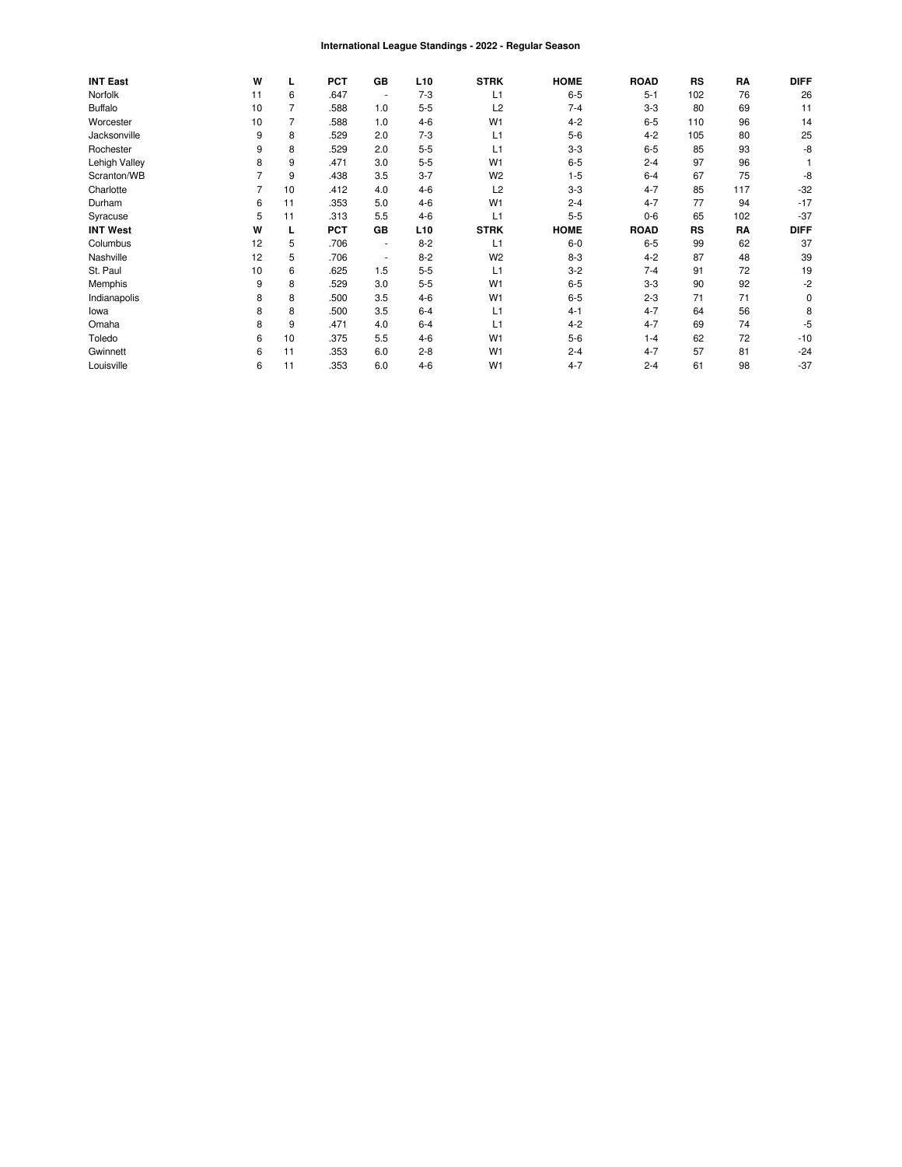#### International League Standings - 2022 - Regular Season

| <b>INT East</b> | W  |    | <b>PCT</b> | <b>GB</b>                | L <sub>10</sub> | <b>STRK</b>    | <b>HOME</b> | <b>ROAD</b> | <b>RS</b> | RA  | <b>DIFF</b> |
|-----------------|----|----|------------|--------------------------|-----------------|----------------|-------------|-------------|-----------|-----|-------------|
| Norfolk         | 11 | 6  | .647       | $\overline{\phantom{a}}$ | $7-3$           | L1             | $6 - 5$     | $5 - 1$     | 102       | 76  | 26          |
| <b>Buffalo</b>  | 10 | 7  | .588       | 1.0                      | $5 - 5$         | L2             | $7 - 4$     | $3-3$       | 80        | 69  | 11          |
| Worcester       | 10 |    | .588       | 1.0                      | $4 - 6$         | W <sub>1</sub> | $4 - 2$     | $6-5$       | 110       | 96  | 14          |
| Jacksonville    | 9  | 8  | .529       | 2.0                      | $7 - 3$         | L1             | $5-6$       | $4 - 2$     | 105       | 80  | 25          |
| Rochester       | 9  | 8  | .529       | 2.0                      | $5 - 5$         | L1             | $3-3$       | $6-5$       | 85        | 93  | -8          |
| Lehigh Valley   | 8  | 9  | .471       | 3.0                      | $5 - 5$         | W <sub>1</sub> | $6 - 5$     | $2 - 4$     | 97        | 96  |             |
| Scranton/WB     |    | 9  | .438       | 3.5                      | $3 - 7$         | W <sub>2</sub> | $1 - 5$     | $6 - 4$     | 67        | 75  | -8          |
| Charlotte       |    | 10 | .412       | 4.0                      | $4 - 6$         | L2             | $3 - 3$     | $4 - 7$     | 85        | 117 | $-32$       |
| Durham          | 6  | 11 | .353       | 5.0                      | $4 - 6$         | W <sub>1</sub> | $2 - 4$     | $4 - 7$     | 77        | 94  | $-17$       |
| Syracuse        | 5  | 11 | .313       | 5.5                      | $4-6$           | L1             | $5 - 5$     | $0-6$       | 65        | 102 | $-37$       |
| <b>INT West</b> | W  |    | <b>PCT</b> | GB                       | L <sub>10</sub> | <b>STRK</b>    | <b>HOME</b> | <b>ROAD</b> | <b>RS</b> | RA  | <b>DIFF</b> |
| Columbus        | 12 | 5  | .706       | $\sim$                   | $8 - 2$         | L1             | $6-0$       | $6-5$       | 99        | 62  | 37          |
| Nashville       | 12 | 5  | .706       | $\sim$                   | $8 - 2$         | W <sub>2</sub> | $8 - 3$     | $4 - 2$     | 87        | 48  | 39          |
| St. Paul        | 10 | 6  | .625       | 1.5                      | $5 - 5$         | L1             | $3 - 2$     | $7 - 4$     | 91        | 72  | 19          |
| Memphis         | 9  | 8  | .529       | 3.0                      | $5-5$           | W <sub>1</sub> | $6-5$       | $3-3$       | 90        | 92  | -2          |
| Indianapolis    | 8  | 8  | .500       | 3.5                      | $4 - 6$         | W <sub>1</sub> | $6 - 5$     | $2 - 3$     | 71        | 71  | 0           |
| lowa            | 8  | 8  | .500       | 3.5                      | $6 - 4$         | L1             | $4 - 1$     | $4 - 7$     | 64        | 56  |             |
| Omaha           | 8  | 9  | .471       | 4.0                      | $6 - 4$         | L1             | $4 - 2$     | $4 - 7$     | 69        | 74  | -5          |
| Toledo          | 6  | 10 | .375       | 5.5                      | $4 - 6$         | W <sub>1</sub> | $5-6$       | $1 - 4$     | 62        | 72  | $-10$       |
| Gwinnett        | 6  | 11 | .353       | 6.0                      | $2 - 8$         | W <sub>1</sub> | $2 - 4$     | $4 - 7$     | 57        | 81  | $-24$       |
| Louisville      | 6  | 11 | .353       | 6.0                      | $4 - 6$         | W <sub>1</sub> | $4 - 7$     | $2 - 4$     | 61        | 98  | $-37$       |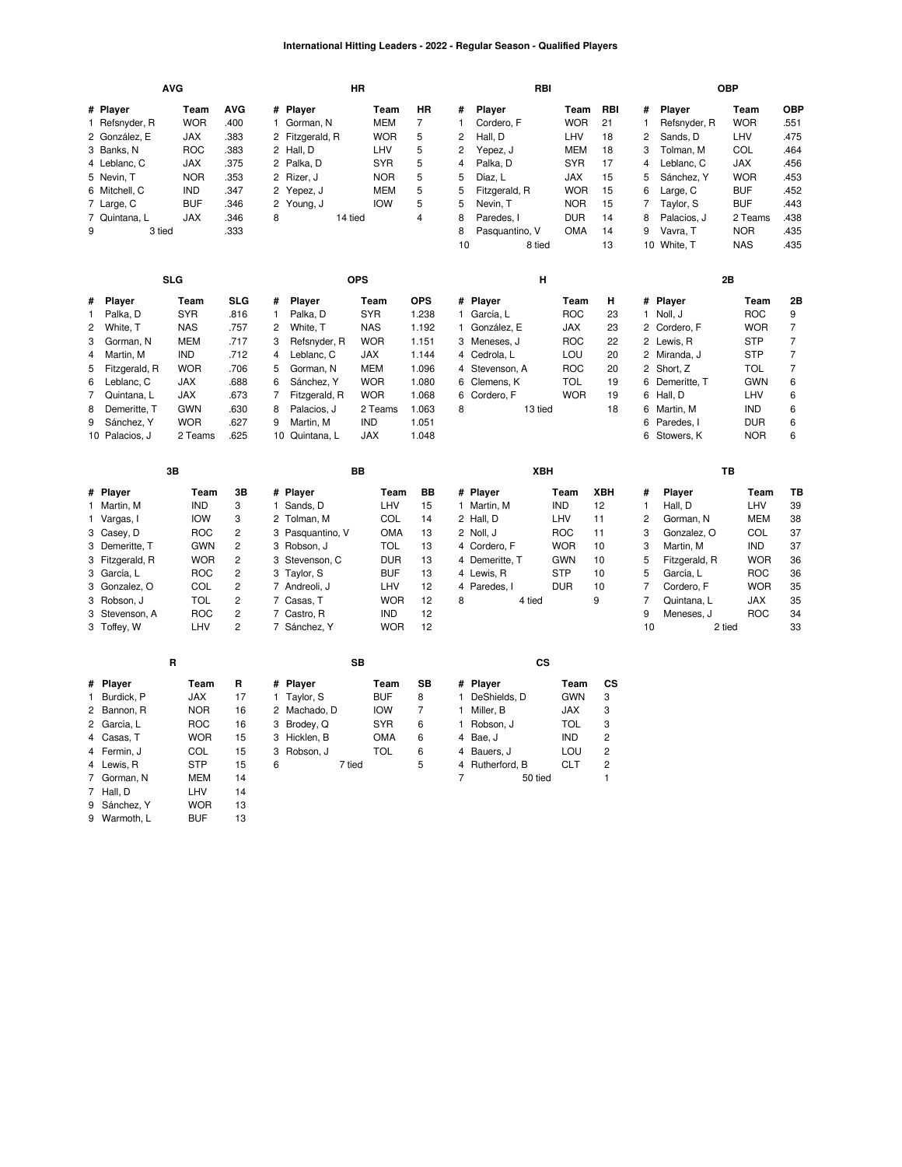### **International Hitting Leaders - 2022 - Regular Season - Qualified Players**

|                                                |                                                                                                                                                        | <b>AVG</b>                                                                                                                                    |                                                                                                                   |                                                                                                                                                                                                          | HR                                                                                                                                            |                                                                                                      |                                                                                                                                                                                                      | RBI                                                                                                                            |                                                                 |                                                                                                           | <b>OBP</b>                                                                                                                                                |                                                                                                                                           |                                                                                             |
|------------------------------------------------|--------------------------------------------------------------------------------------------------------------------------------------------------------|-----------------------------------------------------------------------------------------------------------------------------------------------|-------------------------------------------------------------------------------------------------------------------|----------------------------------------------------------------------------------------------------------------------------------------------------------------------------------------------------------|-----------------------------------------------------------------------------------------------------------------------------------------------|------------------------------------------------------------------------------------------------------|------------------------------------------------------------------------------------------------------------------------------------------------------------------------------------------------------|--------------------------------------------------------------------------------------------------------------------------------|-----------------------------------------------------------------|-----------------------------------------------------------------------------------------------------------|-----------------------------------------------------------------------------------------------------------------------------------------------------------|-------------------------------------------------------------------------------------------------------------------------------------------|---------------------------------------------------------------------------------------------|
| 9                                              | # Player<br>1 Refsnyder, R<br>2 González, E<br>3 Banks, N<br>4 Leblanc, C<br>5 Nevin, T<br>6 Mitchell, C<br>7 Large, C<br>7 Quintana, L<br>3 tied      | Team<br><b>WOR</b><br>JAX<br><b>ROC</b><br><b>JAX</b><br><b>NOR</b><br><b>IND</b><br><b>BUF</b><br><b>JAX</b>                                 | AVG<br>.400<br>.383<br>.383<br>.375<br>.353<br>.347<br>.346<br>.346<br>.333                                       | # Player<br>Gorman, N<br>1<br>2<br>Fitzgerald, R<br>2 Hall, D<br>2 Palka, D<br>2<br>Rizer, J<br>2<br>Yepez, J<br>$\overline{2}$<br>Young, J<br>8<br>14 tied                                              | Team<br><b>MEM</b><br><b>WOR</b><br>LHV<br><b>SYR</b><br><b>NOR</b><br>MEM<br><b>IOW</b>                                                      | HR<br>7<br>5<br>5<br>5<br>5<br>5<br>5<br>$\overline{4}$                                              | #<br>Player<br>1<br>Cordero, F<br>$\overline{c}$<br>Hall, D<br>2<br>Yepez, J<br>4<br>Palka, D<br>5<br>Díaz, L<br>5<br>Fitzgerald, R<br>5<br>Nevin, T<br>8<br>Paredes, I<br>8<br>Pasquantino, V<br>10 | Team<br><b>WOR</b><br>LHV<br><b>MEM</b><br><b>SYR</b><br>JAX<br><b>WOR</b><br><b>NOR</b><br><b>DUR</b><br><b>OMA</b><br>8 tied | RBI<br>21<br>18<br>18<br>17<br>15<br>15<br>15<br>14<br>14<br>13 | #<br>$\mathbf{1}$<br>$\overline{\mathbf{c}}$<br>3<br>$\overline{4}$<br>5<br>6<br>$\overline{7}$<br>8<br>9 | Player<br>Refsnyder, R<br>Sands, D<br>Tolman, M<br>Leblanc, C<br>Sánchez, Y<br>Large, C<br>Taylor, S<br>Palacios, J<br>Vavra, T<br>10 White, T            | Team<br><b>WOR</b><br>LHV<br>COL<br><b>JAX</b><br><b>WOR</b><br><b>BUF</b><br><b>BUF</b><br>2 Teams<br><b>NOR</b><br><b>NAS</b>           | <b>OBP</b><br>.551<br>.475<br>.464<br>.456<br>.453<br>.452<br>.443<br>.438<br>.435<br>.435  |
|                                                |                                                                                                                                                        | <b>SLG</b>                                                                                                                                    |                                                                                                                   |                                                                                                                                                                                                          | <b>OPS</b>                                                                                                                                    |                                                                                                      |                                                                                                                                                                                                      | н                                                                                                                              |                                                                 |                                                                                                           | 2B                                                                                                                                                        |                                                                                                                                           |                                                                                             |
| #<br>1<br>2<br>3<br>4<br>5<br>6<br>7<br>8<br>9 | Player<br>Palka, D<br>White, T<br>Gorman, N<br>Martin, M<br>Fitzgerald, R<br>Leblanc, C<br>Quintana, L<br>Demeritte, T<br>Sánchez, Y<br>10 Palacios, J | Team<br><b>SYR</b><br><b>NAS</b><br><b>MEM</b><br><b>IND</b><br><b>WOR</b><br><b>JAX</b><br><b>JAX</b><br><b>GWN</b><br><b>WOR</b><br>2 Teams | <b>SLG</b><br>.816<br>.757<br>.717<br>.712<br>.706<br>.688<br>.673<br>.630<br>.627<br>.625                        | Player<br>#<br>Palka, D<br>1<br>2<br>White, T<br>3<br>Refsnyder, R<br>4<br>Leblanc, C<br>5<br>Gorman, N<br>6<br>Sánchez, Y<br>7<br>Fitzgerald, R<br>8<br>Palacios, J<br>9<br>Martin, M<br>10 Quintana, L | Team<br><b>SYR</b><br><b>NAS</b><br><b>WOR</b><br><b>JAX</b><br><b>MEM</b><br><b>WOR</b><br><b>WOR</b><br>2 Teams<br><b>IND</b><br><b>JAX</b> | <b>OPS</b><br>1.238<br>1.192<br>1.151<br>1.144<br>1.096<br>1.080<br>1.068<br>1.063<br>1.051<br>1.048 | # Player<br>1 García, L<br>González, E<br>1.<br>3 Meneses, J<br>4<br>Cedrola, L<br>$\overline{4}$<br>Stevenson, A<br>6<br>Clemens, K<br>6<br>Cordero, F<br>8                                         | Team<br><b>ROC</b><br>JAX<br><b>ROC</b><br>LOU<br><b>ROC</b><br><b>TOL</b><br><b>WOR</b><br>13 tied                            | н<br>23<br>23<br>22<br>20<br>20<br>19<br>19<br>18               | 2<br>6<br>6                                                                                               | # Player<br>1 Noll, J<br>2 Cordero, F<br>2 Lewis, R<br>2 Miranda, J<br>Short, Z<br>6 Demeritte, T<br>6 Hall, D<br>Martin, M<br>Paredes, I<br>6 Stowers, K | Team<br><b>ROC</b><br><b>WOR</b><br><b>STP</b><br><b>STP</b><br><b>TOL</b><br><b>GWN</b><br>LHV<br><b>IND</b><br><b>DUR</b><br><b>NOR</b> | 2Β<br>9<br>$\overline{7}$<br>7<br>$\overline{7}$<br>$\overline{7}$<br>6<br>6<br>6<br>6<br>6 |
|                                                |                                                                                                                                                        | 3B                                                                                                                                            |                                                                                                                   |                                                                                                                                                                                                          | BB                                                                                                                                            |                                                                                                      |                                                                                                                                                                                                      | XBH                                                                                                                            |                                                                 |                                                                                                           | TB                                                                                                                                                        |                                                                                                                                           |                                                                                             |
| 1                                              | # Player<br>1 Martin, M<br>Vargas, I<br>3 Casey, D<br>3 Demeritte, T<br>3 Fitzgerald, R                                                                | Team<br><b>IND</b><br><b>IOW</b><br><b>ROC</b><br><b>GWN</b><br><b>WOR</b>                                                                    | 3B<br>3<br>3<br>$\overline{c}$<br>$\overline{c}$                                                                  | # Player<br>1 Sands, D<br>2<br>Tolman, M<br>3 Pasquantino, V<br>3 Robson, J                                                                                                                              | Team<br>LHV<br>COL<br><b>OMA</b><br><b>TOL</b>                                                                                                | <b>BB</b><br>15<br>14<br>13<br>13                                                                    | # Player<br>1 Martin, M<br>2 Hall, D<br>2 Noll, J<br>4 Cordero, F                                                                                                                                    | Team<br><b>IND</b><br>LHV<br><b>ROC</b><br><b>WOR</b>                                                                          | <b>XBH</b><br>12<br>11<br>11<br>10                              | #<br>$\mathbf{1}$<br>$\overline{c}$<br>3<br>3                                                             | Player<br>Hall, D<br>Gorman, N<br>Gonzalez, O<br>Martin, M                                                                                                | Team<br>LHV<br><b>MEM</b><br>COL<br><b>IND</b>                                                                                            | TB<br>39<br>38<br>37<br>37<br>36                                                            |
|                                                | 3 García, L<br>3 Gonzalez, O<br>3 Robson, J<br>3 Stevenson, A<br>3 Toffey, W                                                                           | <b>ROC</b><br>COL<br><b>TOL</b><br><b>ROC</b><br>LHV                                                                                          | $\overline{c}$<br>$\overline{c}$<br>$\overline{c}$<br>$\overline{\mathbf{c}}$<br>$\overline{c}$<br>$\overline{c}$ | Stevenson, C<br>3<br>3 Taylor, S<br>7 Andreoli, J<br>7 Casas, T<br>7 Castro, R<br>7 Sánchez, Y                                                                                                           | <b>DUR</b><br><b>BUF</b><br>LHV<br><b>WOR</b><br><b>IND</b><br><b>WOR</b>                                                                     | 13<br>13<br>12<br>12<br>12<br>12                                                                     | 4 Demeritte, T<br>4 Lewis, R<br>4 Paredes, I<br>8                                                                                                                                                    | <b>GWN</b><br><b>STP</b><br><b>DUR</b><br>4 tied                                                                               | 10<br>10<br>10<br>9                                             | 5<br>5<br>$\overline{7}$<br>$\overline{7}$<br>9<br>10                                                     | Fitzgerald, R<br>García, L<br>Cordero, F<br>Quintana, L<br>Meneses, J<br>2 tied                                                                           | <b>WOR</b><br><b>ROC</b><br><b>WOR</b><br><b>JAX</b><br><b>ROC</b>                                                                        | 36<br>35<br>35<br>34<br>33                                                                  |
|                                                |                                                                                                                                                        | R                                                                                                                                             |                                                                                                                   |                                                                                                                                                                                                          | SB                                                                                                                                            |                                                                                                      |                                                                                                                                                                                                      | CS                                                                                                                             |                                                                 |                                                                                                           |                                                                                                                                                           |                                                                                                                                           |                                                                                             |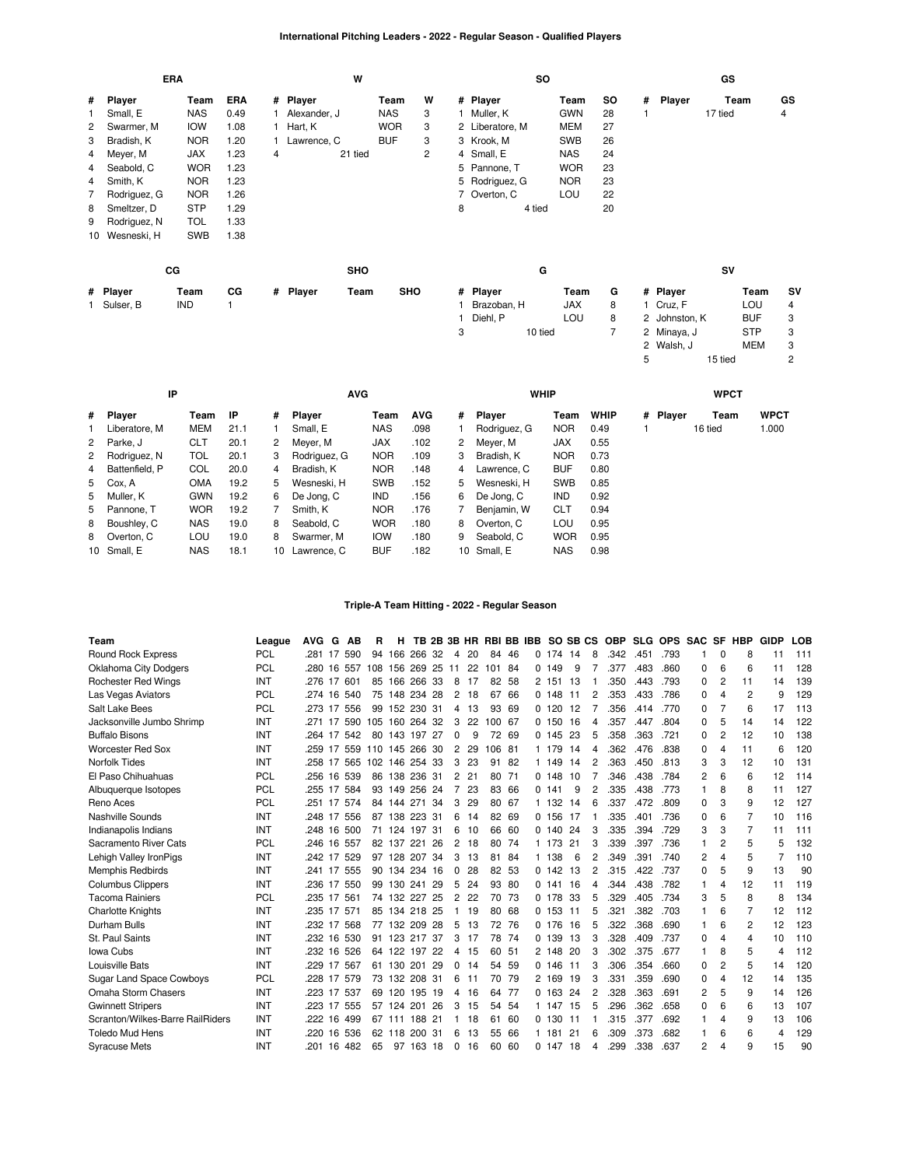### **International Pitching Leaders - 2022 - Regular Season - Qualified Players**

|                |              | <b>ERA</b>  |      |   | W                |            |                |   | so              |            |     |   |               | GS      |            |           |
|----------------|--------------|-------------|------|---|------------------|------------|----------------|---|-----------------|------------|-----|---|---------------|---------|------------|-----------|
| #              | Player       | Team        | ERA  |   | # Player         | Team       | W              |   | # Player        | Team       | SO. |   | # Player      |         | Team       | GS        |
|                | Small, E     | <b>NAS</b>  | 0.49 |   | 1 Alexander, J   | <b>NAS</b> | 3              |   | 1 Muller, K     | <b>GWN</b> | 28  |   |               | 17 tied |            | 4         |
| 2              | Swarmer, M   | <b>IOW</b>  | 1.08 |   | 1 Hart, K        | <b>WOR</b> | 3              |   | 2 Liberatore, M | <b>MEM</b> | 27  |   |               |         |            |           |
| 3              | Bradish, K   | <b>NOR</b>  | 1.20 |   | 1 Lawrence, C    | <b>BUF</b> | 3              |   | 3 Krook, M      | <b>SWB</b> | 26  |   |               |         |            |           |
| 4              | Meyer, M     | <b>JAX</b>  | 1.23 | 4 | 21 tied          |            | $\overline{c}$ |   | 4 Small, E      | <b>NAS</b> | 24  |   |               |         |            |           |
| 4              | Seabold, C   | <b>WOR</b>  | 1.23 |   |                  |            |                |   | 5 Pannone, T    | <b>WOR</b> | 23  |   |               |         |            |           |
| 4              | Smith, K     | <b>NOR</b>  | 1.23 |   |                  |            |                |   | 5 Rodriguez, G  | <b>NOR</b> | 23  |   |               |         |            |           |
| $\overline{7}$ | Rodriguez, G | <b>NOR</b>  | 1.26 |   |                  |            |                |   | 7 Overton, C    | LOU        | 22  |   |               |         |            |           |
| 8              | Smeltzer, D  | <b>STP</b>  | 1.29 |   |                  |            |                | 8 | 4 tied          |            | 20  |   |               |         |            |           |
| 9              | Rodriguez, N | <b>TOL</b>  | 1.33 |   |                  |            |                |   |                 |            |     |   |               |         |            |           |
| 10             | Wesneski, H  | SWB         | 1.38 |   |                  |            |                |   |                 |            |     |   |               |         |            |           |
|                |              | $_{\rm CG}$ |      |   | <b>SHO</b>       |            |                |   | G               |            |     |   |               | SV      |            |           |
|                |              |             |      |   |                  |            |                |   |                 |            |     |   |               |         |            |           |
|                | # Player     | Team        | CG   |   | # Player<br>Team | <b>SHO</b> |                |   | # Player        | Team       | G   |   | # Player      |         | Team       | <b>SV</b> |
|                | 1 Sulser, B  | IND         | 1    |   |                  |            |                |   | Brazoban, H     | JAX        | 8   |   | 1 Cruz, F     |         | LOU        | 4         |
|                |              |             |      |   |                  |            |                |   | Diehl, P        | LOU        | 8   |   | 2 Johnston, K |         | <b>BUF</b> | 3         |
|                |              |             |      |   |                  |            |                | 3 | 10 tied         |            | 7   |   | 2 Minaya, J   |         | <b>STP</b> | 3         |
|                |              |             |      |   |                  |            |                |   |                 |            |     |   | 2 Walsh, J    |         | MEM        | 3         |
|                |              |             |      |   |                  |            |                |   |                 |            |     | 5 |               | 15 tied |            | 2         |

| IP               |            |      |                 | <b>AVG</b>    |            |            |   | <b>WHIP</b>  |            |      |          | <b>WPCT</b> |             |
|------------------|------------|------|-----------------|---------------|------------|------------|---|--------------|------------|------|----------|-------------|-------------|
| # Player         | Team       | IP   | #               | <b>Player</b> | Team       | <b>AVG</b> | # | Player       | Team       | WHIP | # Plaver | Team        | <b>WPCT</b> |
| Liberatore, M    | MEM        | 21.1 |                 | Small, E      | <b>NAS</b> | .098       |   | Rodriguez, G | <b>NOR</b> | 0.49 |          | 16 tied     | 1.000       |
| 2 Parke, J       | CLT        | 20.1 | $^{2}$          | Meyer, M      | <b>JAX</b> | .102       | 2 | Meyer, M     | <b>JAX</b> | 0.55 |          |             |             |
| 2 Rodriguez, N   | TOL        | 20.1 | 3               | Rodriguez, G  | <b>NOR</b> | .109       | 3 | Bradish, K   | <b>NOR</b> | 0.73 |          |             |             |
| 4 Battenfield, P | COL        | 20.0 | 4               | Bradish, K    | <b>NOR</b> | .148       | 4 | Lawrence. C  | <b>BUF</b> | 0.80 |          |             |             |
| 5 Cox, A         | <b>OMA</b> | 19.2 | 5.              | Wesneski, H   | <b>SWB</b> | .152       | 5 | Wesneski, H  | <b>SWB</b> | 0.85 |          |             |             |
| 5 Muller, K      | <b>GWN</b> | 19.2 | 6               | De Jong, C    | <b>IND</b> | .156       | 6 | De Jong, C   | <b>IND</b> | 0.92 |          |             |             |
| 5 Pannone, T     | <b>WOR</b> | 19.2 |                 | Smith, K      | <b>NOR</b> | .176       |   | Benjamin, W  | <b>CLT</b> | 0.94 |          |             |             |
| 8 Boushley, C    | <b>NAS</b> | 19.0 | 8               | Seabold, C    | <b>WOR</b> | .180       | 8 | Overton, C   | LOU        | 0.95 |          |             |             |
| 8 Overton, C     | LOU        | 19.0 | 8               | Swarmer, M    | <b>IOW</b> | .180       | 9 | Seabold, C   | <b>WOR</b> | 0.95 |          |             |             |
| 10 Small, E      | <b>NAS</b> | 18.1 | 10 <sup>1</sup> | Lawrence. C   | <b>BUF</b> | .182       |   | 10 Small, E  | <b>NAS</b> | 0.98 |          |             |             |

### **Triple-A Team Hitting - 2022 - Regular Season**

| Team                             | League     | <b>AVG</b> | G   | АB          | R   | н              |        |    |                |    | TB 2B 3B HR RBI BB IBB |       |   | SO SB CS   |     |                | <b>OBP</b> |      | SLG OPS SAC |          | <b>SF</b> | <b>HBP</b>     | <b>GIDP</b> | <b>LOB</b> |
|----------------------------------|------------|------------|-----|-------------|-----|----------------|--------|----|----------------|----|------------------------|-------|---|------------|-----|----------------|------------|------|-------------|----------|-----------|----------------|-------------|------------|
| <b>Round Rock Express</b>        | <b>PCL</b> | .281       | -17 | 590         | 94  | 166            | 266    | 32 | 4              | 20 | 84                     | 46    | 0 | 174        | 14  | 8              | .342       | .451 | .793        |          | $\Omega$  | 8              | 11          | 111        |
| <b>Oklahoma City Dodgers</b>     | <b>PCL</b> | .280       | 16  | 557         |     | 108 156 269 25 |        |    | 11             | 22 | 101 84                 |       |   | 0.149      | 9   |                | .377       | .483 | .860        | 0        | 6         | 6              | 11          | 128        |
| <b>Rochester Red Wings</b>       | <b>INT</b> | .276 17    |     | 601         | 85  | 166            | 266 33 |    | 8              | 17 | 82                     | -58   |   | 2 151      | 13  |                | .350       | .443 | .793        | 0        | 2         | 11             | 14          | 139        |
| Las Vegas Aviators               | <b>PCL</b> | .274       | 16  | 540         |     | 75 148 234     |        | 28 | 2              | 18 | 67                     | 66    |   | 0.148      | -11 | $\overline{2}$ | .353       | .433 | .786        | $\Omega$ |           | 2              | 9           | 129        |
| Salt Lake Bees                   | <b>PCL</b> | .273 17    |     | 556         |     | 99 152 230 31  |        |    | 4              | 13 | 93                     | 69    |   | 0, 120, 12 |     |                | .356       | .414 | .770        | 0        |           | 6              | 17          | 113        |
| Jacksonville Jumbo Shrimp        | <b>INT</b> | .271       | -17 | 590         | 105 | 160            | 264    | 32 | 3              | 22 | 100 67                 |       |   | 0, 150     | 16  | 4              | 357        | .447 | .804        | 0        | 5         | 14             | 14          | 122        |
| <b>Buffalo Bisons</b>            | <b>INT</b> | .264 17    |     | 542         | 80  | 143 197 27     |        |    | $\Omega$       | 9  | 72                     | 69    |   | 0, 145, 23 |     | 5              | .358       | .363 | .721        | $\Omega$ | 2         | 12             | 10          | 138        |
| <b>Worcester Red Sox</b>         | <b>INT</b> | .259 17    |     |             |     | 559 110 145    | 266 30 |    | 2              | 29 | 106 81                 |       |   | 1 179      | 14  | 4              | .362       | .476 | .838        | 0        | 4         | 11             | 6           | 120        |
| Norfolk Tides                    | INT        | .258 17    |     | 565         |     | 102 146 254 33 |        |    | 3              | 23 | 91                     | -82   |   | 1 149      | 14  | $\overline{2}$ | .363       | .450 | .813        | 3        | 3         | 12             | 10          | 131        |
| El Paso Chihuahuas               | <b>PCL</b> | .256       | 16  | 539         | 86  | 138 236 31     |        |    | $\overline{c}$ | 21 |                        | 80 71 |   | 0.148      | 10  |                | .346       | .438 | .784        | 2        | 6         | 6              | 12          | 114        |
| Albuquerque Isotopes             | <b>PCL</b> | .255       | 17  | 584         | 93  | 149            | 256 24 |    | 7              | 23 | 83                     | 66    |   | 0 141      | 9   | 2              | .335       | .438 | .773        |          | 8         | 8              | 11          | 127        |
| Reno Aces                        | <b>PCL</b> | .251 17    |     | 574         |     | 84 144 271 34  |        |    | 3              | 29 |                        | 80 67 |   | 1 132      | 14  | 6              | .337       | .472 | .809        | $\Omega$ | 3         | 9              | 12          | 127        |
| <b>Nashville Sounds</b>          | INT        | .248 17    |     | 556         | 87  | 138            | 223 31 |    | 6              | 14 |                        | 82 69 |   | 0.156      | 17  |                | .335       | .401 | .736        | 0        | 6         | 7              | 10          | 116        |
| Indianapolis Indians             | <b>INT</b> |            |     | .248 16 500 |     | 71 124 197 31  |        |    | 6              | 10 | 66                     | 60    |   | 0, 140, 24 |     | 3              | .335       | .394 | .729        | 3        | 3         | 7              | 11          | 111        |
| Sacramento River Cats            | <b>PCL</b> | .246       | 16  | 557         | 82  | 137            | 221    | 26 | 2              | 18 | 80                     | 74    |   | 1 173      | 21  | 3              | .339       | .397 | .736        | 1        | 2         | 5              | 5           | 132        |
| Lehigh Valley IronPigs           | INT        | .242       | 17  | 529         | 97  | 128            | 207 34 |    | 3              | 13 | 81                     | 84    |   | 1 138      | 6   | 2              | .349       | .391 | .740        | 2        | 4         | 5              |             | 110        |
| Memphis Redbirds                 | INT        | .241 17    |     | 555         |     | 90 134 234 16  |        |    | 0              | 28 |                        | 82 53 |   | 0.142      | 13  | 2              | .315       | .422 | .737        | 0        | 5         | 9              | 13          | 90         |
| <b>Columbus Clippers</b>         | <b>INT</b> | .236 17    |     | 550         | 99  | 130            | 241    | 29 | 5              | 24 | 93                     | -80   |   | 0 141      | 16  | 4              | .344       | .438 | .782        |          | 4         | 12             | 11          | 119        |
| <b>Tacoma Rainiers</b>           | <b>PCL</b> | .235 17    |     | 561         |     | 74 132 227     |        | 25 | $\overline{2}$ | 22 |                        | 70 73 |   | 0 178      | -33 | 5              | .329       | .405 | .734        | 3        | 5         | 8              | 8           | 134        |
| <b>Charlotte Knights</b>         | <b>INT</b> | .235 17    |     | 571         | 85  | 134            | 218 25 |    | -1             | 19 | 80                     | 68    |   | 0.153      | 11  | 5              | .321       | .382 | .703        |          | 6         | $\overline{7}$ | 12          | 112        |
| Durham Bulls                     | <b>INT</b> | .232 17    |     | 568         | 77  | 132 209 28     |        |    | 5              | 13 | 72                     | 76    |   | 0.176      | 16  | 5              | .322       | .368 | .690        | 1        | 6         | 2              | 12          | 123        |
| St. Paul Saints                  | <b>INT</b> | $.232$ 16  |     | 530         |     | 91 123         | 217    | 37 | 3              | 17 | 78                     | 74    |   | 0 139      | 13  | 3              | .328       | .409 | .737        | $\Omega$ | 4         | 4              | 10          | 110        |
| <b>Iowa Cubs</b>                 | <b>INT</b> | .232       | 16  | 526         | 64  | 122            | 197    | 22 | 4              | 15 |                        | 60 51 |   | 2 148      | -20 | 3              | .302       | .375 | .677        |          | 8         | 5              | 4           | 112        |
| Louisville Bats                  | <b>INT</b> | .229       | 17  | 567         |     | 61 130         | 201    | 29 | 0              | 14 | 54                     | -59   |   | 0.146      | 11  | 3              | .306       | .354 | .660        | 0        | 2         | 5              | 14          | 120        |
| <b>Sugar Land Space Cowboys</b>  | <b>PCL</b> | .228       | 17  | 579         | 73  | 132            | 208    | 31 | 6              | 11 | 70                     | 79    |   | 2 169      | 19  | 3              | .331       | .359 | .690        | 0        | 4         | 12             | 14          | 135        |
| Omaha Storm Chasers              | <b>INT</b> | .223       | 17  | 537         |     | 69 120         | 195 19 |    | 4              | 16 | 64                     | 77    |   | 0, 163, 24 |     | 2              | .328       | .363 | .691        | 2        | 5         | 9              | 14          | 126        |
| <b>Gwinnett Stripers</b>         | <b>INT</b> | .223       | 17  | 555         | 57  | 124            | 201    | 26 | 3              | 15 |                        | 54 54 |   | 1 147      | 15  | 5              | .296       | .362 | .658        | $\Omega$ | 6         | 6              | 13          | 107        |
| Scranton/Wilkes-Barre RailRiders | <b>INT</b> | .222       | 16  | 499         | 67  | 111            | 188 21 |    |                | 18 | 61                     | -60   |   | 0 130      | 11  |                | .315       | .377 | .692        |          | 4         | 9              | 13          | 106        |
| <b>Toledo Mud Hens</b>           | INT        | .220       | 16  | 536         | 62  | 118            | 200 31 |    | 6              | 13 | 55                     | 66    |   | 1 181      | 21  | 6              | .309       | .373 | .682        |          | հ         | 6              | 4           | 129        |
| <b>Syracuse Mets</b>             | <b>INT</b> | .201 16    |     | 482         | 65  | 97             | 163 18 |    | $\Omega$       | 16 | 60                     | 60    |   | 0.147      | 18  | 4              | 299        | .338 | .637        | 2        | 4         | 9              | 15          | 90         |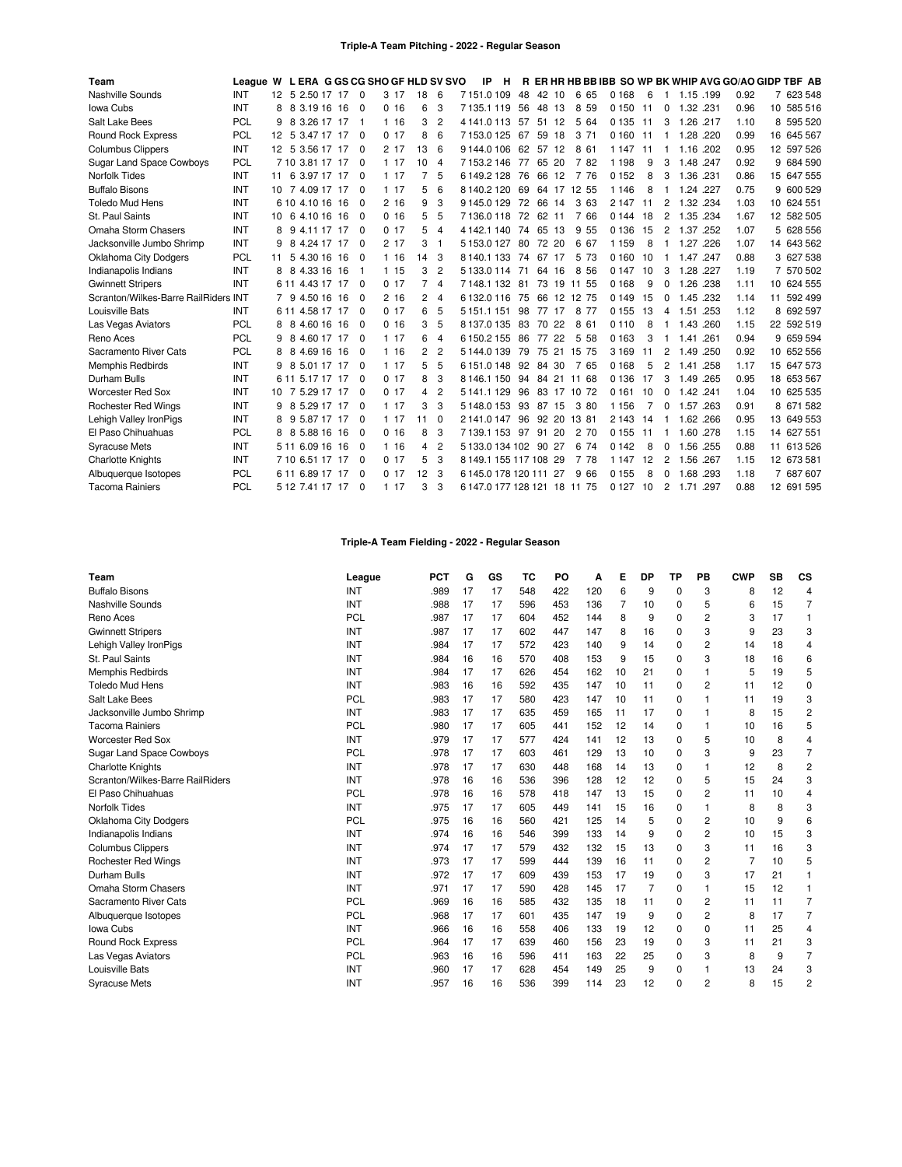| Team                                 | League W L ERA G GS CG SHO GF HLD SV SVO |    |                   |  |                |       |    |                | IP<br>н                      |    |          |                |         |    |                |              | R ER HR HB BB IBB SO WP BK WHIP AVG GO/AO GIDP TBF AB |            |
|--------------------------------------|------------------------------------------|----|-------------------|--|----------------|-------|----|----------------|------------------------------|----|----------|----------------|---------|----|----------------|--------------|-------------------------------------------------------|------------|
| Nashville Sounds                     | INT                                      |    | 12 5 2.50 17 17 0 |  |                | 3 17  | 18 | 6              | 7151.0109                    | 48 | 42 10    | 6 65           | 0 1 6 8 | 6  | -1             | 1.15 .199    | 0.92                                                  | 7 623 548  |
| Iowa Cubs                            | INT                                      | 8  | 3.19 16 16<br>8   |  | $\overline{0}$ | 0, 16 | 6  | 3              | 7135.1119                    | 56 | 48<br>13 | 8 5 9          | 0 150   | 11 | $\Omega$       | 1.32<br>.231 | 0.96                                                  | 10 585 516 |
| Salt Lake Bees                       | PCL                                      | 9  | 8 3.26 17 17      |  | - 1            | 1 16  | 3  | $\overline{2}$ | 4 141 0 113                  | 57 | 51 12    | 5 64           | 0 1 3 5 | 11 | 3              | 1.26 .217    | 1.10                                                  | 8 595 520  |
| <b>Round Rock Express</b>            | PCL                                      | 12 | 5 3.47 17 17      |  | - 0            | 0.17  | 8  | 6              | 7153.0125                    | 67 | 59<br>18 | 3<br>71        | 0 1 6 0 | 11 |                | 1.28         | 0.99<br>.220                                          | 16 645 567 |
| <b>Columbus Clippers</b>             | <b>INT</b>                               |    | 12 5 3.56 17 17   |  | - 0            | 2 17  | 13 | 6              | 9144.0106                    | 62 | 57<br>12 | 8 61           | 1 1 4 7 | 11 |                | 1.16         | .202<br>0.95                                          | 12 597 526 |
| <b>Sugar Land Space Cowboys</b>      | PCL                                      |    | 7 10 3.81 17 17   |  | - 0            | 117   | 10 | $\overline{4}$ | 7153.2146                    | 77 | 65 20    | 7 82           | 1 1 9 8 | 9  | 3              | 1.48 .247    | 0.92                                                  | 9 684 590  |
| <b>Norfolk Tides</b>                 | INT                                      | 11 | 6 3.97 17 17      |  | - 0            | 117   | 7  | 5              | 6149.2128                    | 76 | 66<br>12 | 7<br>76        | 0 1 5 2 | 8  | 3              | 1.36 .231    | 0.86                                                  | 15 647 555 |
| <b>Buffalo Bisons</b>                | <b>INT</b>                               | 10 | 7 4.09 17 17      |  | - 0            | 117   | 5  | 6              | 8140.2120                    | 69 | 64 17    | 12 55          | 1 1 4 6 | 8  | 1              | 1.24<br>.227 | 0.75                                                  | 9 600 529  |
| <b>Toledo Mud Hens</b>               | <b>INT</b>                               |    | 6 10 4 10 16 16   |  | - 0            | 2.16  | 9  | 3              | 9145.0129                    | 72 | 66 14    | 3 63           | 2 1 4 7 | 11 | 2              | 1.32 .234    | 1.03                                                  | 10 624 551 |
| St. Paul Saints                      | INT                                      | 10 | 4.10 16 16<br>6   |  | - 0            | 0, 16 | 5  | 5              | 7136.0118                    | 72 | 62 11    | 7 66           | 0 1 4 4 | 18 | 2              | 1.35 .234    | 1.67                                                  | 12 582 505 |
| Omaha Storm Chasers                  | <b>INT</b>                               | 8  | 9 4.11 17 17      |  | $\Omega$       | 0.17  | 5  | 4              | 4 142.1 140                  | 74 | 65 13    | 9 5 5          | 0 1 3 6 | 15 | $\overline{2}$ | 1.37         | 1.07<br>.252                                          | 5 628 556  |
| Jacksonville Jumbo Shrimp            | <b>INT</b>                               | 9  | 8 4.24 17 17      |  | - 0            | 2 17  | 3  | -1             | 5 153.0 127                  | 80 | 72 20    | 6 67           | 1 1 5 9 | 8  |                | 1.27<br>.226 | 1.07                                                  | 14 643 562 |
| Oklahoma City Dodgers                | PCL                                      | 11 | 5 4.30 16 16      |  | $\Omega$       | 1 16  | 14 | 3              | 8 140 1 133                  | 74 | 67<br>17 | 5 73           | 0 1 6 0 | 10 | -1             | 1.47<br>.247 | 0.88                                                  | 3 627 538  |
| Indianapolis Indians                 | INT                                      | 8  | 8 4.33 16 16      |  | - 1            | 115   | 3  | $\overline{2}$ | 5133.0114                    | 71 | 64 16    | 8 5 6          | 0 1 4 7 | 10 | 3              | 1.28 .227    | 1.19                                                  | 7 570 502  |
| <b>Gwinnett Stripers</b>             | <b>INT</b>                               |    | 6 11 4.43 17 17   |  | - 0            | 0.17  | 7  | $\overline{4}$ | 7148.1132                    | 81 | 73 19    | 11 55          | 0 1 6 8 | 9  | 0              | 1.26         | .238<br>1.11                                          | 10 624 555 |
| Scranton/Wilkes-Barre RailRiders INT |                                          |    | 9 4.50 16 16      |  | 0              | 216   | 2  | $\overline{4}$ | 6132.0116                    | 75 |          | 66 12 12 75    | 0 1 4 9 | 15 | 0              | 1.45 .232    | 1.14                                                  | 11 592 499 |
| Louisville Bats                      | INT                                      |    | 6 11 4.58 17 17   |  | - 0            | 0.17  | 6  | 5              | 5 1 5 1 . 1 1 5 1            | 98 | 77 17    | 8 7 7          | 0 1 5 5 | 13 | 4              | 1.51         | .253<br>1.12                                          | 8 692 597  |
| Las Vegas Aviators                   | PCL                                      | 8  | 8<br>4.60 16 16   |  | - 0            | 0.16  | 3  | 5              | 8137.0135                    | 83 | 70<br>22 | 8 61           | 0110    | 8  | -1             | 1.43         | 1.15<br>.260                                          | 22 592 519 |
| Reno Aces                            | PCL                                      | 9  | 8 4.60 17 17      |  | $\Omega$       | 117   | 6  | $\overline{4}$ | 6150.2155                    | 86 | 77<br>22 | 5 5 8          | 0 1 6 3 | 3  | 1              | 1.41<br>.261 | 0.94                                                  | 9 659 594  |
| Sacramento River Cats                | <b>PCL</b>                               | 8  | 8 4.69 16 16      |  | - 0            | 116   | 2  | $\overline{2}$ | 5 144.0 139                  | 79 |          | 75 21 15 75    | 3 1 6 9 | 11 | 2              | 1.49 .250    | 0.92                                                  | 10 652 556 |
| Memphis Redbirds                     | INT                                      | 9  | 5.01 17 17<br>8   |  | - 0            | 117   | 5  | 5              | 6151.0148                    | 92 | 84 30    | 7 65           | 0 1 6 8 | 5  | 2              | 1.41         | .258<br>1.17                                          | 15 647 573 |
| Durham Bulls                         | <b>INT</b>                               |    | 6 11 5.17 17 17   |  | $\Omega$       | 0.17  | 8  | 3              | 8146.1150                    |    |          | 94 84 21 11 68 | 0 1 3 6 | 17 | 3              | 1.49 .265    | 0.95                                                  | 18 653 567 |
| <b>Worcester Red Sox</b>             | <b>INT</b>                               | 10 | 5.29 17 17        |  | - 0            | 017   | 4  | $\overline{c}$ | 5 141.1 129                  | 96 |          | 83 17 10 72    | 0 1 6 1 | 10 | 0              | 1.42.241     | 1.04                                                  | 10 625 535 |
| <b>Rochester Red Wings</b>           | <b>INT</b>                               | 9  | 8 5 29 17 17      |  | - 0            | 117   | 3  | 3              | 5148.0153                    |    | 93 87 15 | 3 80           | 1 1 5 6 |    | $\Omega$       | 1.57         | 0.91<br>.263                                          | 8 671 582  |
| Lehigh Valley IronPigs               | INT                                      |    | 9 5.87 17 17      |  | - 0            | 117   | 11 | $\Omega$       | 2141.0147                    | 96 | 92 20    | 13 81          | 2 1 4 3 | 14 | 1              | 1.62 .266    | 0.95                                                  | 13 649 553 |
| El Paso Chihuahuas                   | <b>PCL</b>                               | 8  | 8 5.88 16 16      |  | - 0            | 0.16  | 8  | 3              | 7139.1153                    | 97 | 91<br>20 | 2<br>70        | 0 1 5 5 | 11 | $\mathbf{1}$   | 1.60 .278    | 1.15                                                  | 14 627 551 |
| <b>Syracuse Mets</b>                 | <b>INT</b>                               |    | 5 11 6.09 16 16   |  | - 0            | 116   | 4  | $\overline{2}$ | 5 133.0 134 102 90 27        |    |          | 6 74           | 0 1 4 2 | 8  | 0              | 1.56         | .255<br>0.88                                          | 11 613 526 |
| <b>Charlotte Knights</b>             | <b>INT</b>                               |    | 7 10 6.51 17 17   |  | - 0            | 0.17  | 5  | 3              | 8 149 1 155 117 108 29       |    |          | 7 78           | 1 1 4 7 | 12 | 2              | 1.56 .267    | 1.15                                                  | 12 673 581 |
| Albuquerque Isotopes                 | <b>PCL</b>                               |    | 6 11 6.89 17 17   |  | - 0            | 0.17  | 12 | 3              | 6145.0178120111              |    | 27       | 9<br>66        | 0 1 5 5 | 8  | $\Omega$       | 1.68         | .293<br>1.18                                          | 7 687 607  |
| <b>Tacoma Rainiers</b>               | PCL                                      |    | 5 12 7.41 17 17   |  | - 0            | 1 17  | 3  | 3              | 6 147.0 177 128 121 18 11 75 |    |          |                | 0 1 2 7 | 10 | $\overline{2}$ | 1.71 .297    | 0.88                                                  | 12 691 595 |

# **Triple-A Team Fielding - 2022 - Regular Season**

| Team                             | League     | <b>PCT</b> | G  | GS | тс  | PO  | А   | Е  | DP | ТP       | PB | <b>CWP</b>     | SB | <b>CS</b>      |
|----------------------------------|------------|------------|----|----|-----|-----|-----|----|----|----------|----|----------------|----|----------------|
| <b>Buffalo Bisons</b>            | INT        | .989       | 17 | 17 | 548 | 422 | 120 | 6  | 9  | $\Omega$ | 3  | 8              | 12 | 4              |
| Nashville Sounds                 | INT        | .988       | 17 | 17 | 596 | 453 | 136 | 7  | 10 | $\Omega$ | 5  | 6              | 15 | $\overline{7}$ |
| Reno Aces                        | <b>PCL</b> | .987       | 17 | 17 | 604 | 452 | 144 | 8  | 9  | $\Omega$ | 2  | 3              | 17 | $\mathbf{1}$   |
| <b>Gwinnett Stripers</b>         | INT        | .987       | 17 | 17 | 602 | 447 | 147 | 8  | 16 | $\Omega$ | 3  | 9              | 23 | 3              |
| Lehigh Valley IronPigs           | INT        | .984       | 17 | 17 | 572 | 423 | 140 | 9  | 14 | 0        | 2  | 14             | 18 | 4              |
| St. Paul Saints                  | <b>INT</b> | .984       | 16 | 16 | 570 | 408 | 153 | 9  | 15 | 0        | 3  | 18             | 16 | 6              |
| Memphis Redbirds                 | INT        | .984       | 17 | 17 | 626 | 454 | 162 | 10 | 21 | $\Omega$ | 1  | 5              | 19 | 5              |
| <b>Toledo Mud Hens</b>           | INT        | .983       | 16 | 16 | 592 | 435 | 147 | 10 | 11 | $\Omega$ | 2  | 11             | 12 | $\Omega$       |
| Salt Lake Bees                   | PCL        | .983       | 17 | 17 | 580 | 423 | 147 | 10 | 11 | $\Omega$ | 1  | 11             | 19 | 3              |
| Jacksonville Jumbo Shrimp        | INT        | .983       | 17 | 17 | 635 | 459 | 165 | 11 | 17 | 0        | 1  | 8              | 15 | $\overline{2}$ |
| <b>Tacoma Rainiers</b>           | PCL        | .980       | 17 | 17 | 605 | 441 | 152 | 12 | 14 | 0        | 1  | 10             | 16 | 5              |
| <b>Worcester Red Sox</b>         | INT        | .979       | 17 | 17 | 577 | 424 | 141 | 12 | 13 | $\Omega$ | 5  | 10             | 8  | 4              |
| <b>Sugar Land Space Cowboys</b>  | <b>PCL</b> | .978       | 17 | 17 | 603 | 461 | 129 | 13 | 10 | 0        | 3  | 9              | 23 | $\overline{7}$ |
| <b>Charlotte Knights</b>         | INT        | .978       | 17 | 17 | 630 | 448 | 168 | 14 | 13 | $\Omega$ | 1  | 12             | 8  | $\overline{c}$ |
| Scranton/Wilkes-Barre RailRiders | INT        | .978       | 16 | 16 | 536 | 396 | 128 | 12 | 12 | 0        | 5  | 15             | 24 | 3              |
| El Paso Chihuahuas               | PCL        | .978       | 16 | 16 | 578 | 418 | 147 | 13 | 15 | 0        | 2  | 11             | 10 | 4              |
| <b>Norfolk Tides</b>             | INT        | .975       | 17 | 17 | 605 | 449 | 141 | 15 | 16 | $\Omega$ | 1  | 8              | 8  | 3              |
| <b>Oklahoma City Dodgers</b>     | PCL        | .975       | 16 | 16 | 560 | 421 | 125 | 14 | 5  | $\Omega$ | 2  | 10             | 9  | 6              |
| Indianapolis Indians             | INT        | .974       | 16 | 16 | 546 | 399 | 133 | 14 | 9  | $\Omega$ | 2  | 10             | 15 | 3              |
| <b>Columbus Clippers</b>         | INT        | .974       | 17 | 17 | 579 | 432 | 132 | 15 | 13 | $\Omega$ | 3  | 11             | 16 | 3              |
| <b>Rochester Red Wings</b>       | <b>INT</b> | .973       | 17 | 17 | 599 | 444 | 139 | 16 | 11 | 0        | 2  | $\overline{7}$ | 10 | 5              |
| Durham Bulls                     | INT        | .972       | 17 | 17 | 609 | 439 | 153 | 17 | 19 | 0        | 3  | 17             | 21 |                |
| Omaha Storm Chasers              | INT        | .971       | 17 | 17 | 590 | 428 | 145 | 17 | 7  | $\Omega$ | 1  | 15             | 12 | 1              |
| Sacramento River Cats            | <b>PCL</b> | .969       | 16 | 16 | 585 | 432 | 135 | 18 | 11 | 0        | 2  | 11             | 11 | $\overline{7}$ |
| Albuquerque Isotopes             | PCL        | .968       | 17 | 17 | 601 | 435 | 147 | 19 | 9  | $\Omega$ | 2  | 8              | 17 | $\overline{7}$ |
| Iowa Cubs                        | INT        | .966       | 16 | 16 | 558 | 406 | 133 | 19 | 12 | $\Omega$ | 0  | 11             | 25 | 4              |
| <b>Round Rock Express</b>        | PCL        | .964       | 17 | 17 | 639 | 460 | 156 | 23 | 19 | 0        | 3  | 11             | 21 | 3              |
| Las Vegas Aviators               | PCL        | .963       | 16 | 16 | 596 | 411 | 163 | 22 | 25 | 0        | 3  | 8              | 9  | $\overline{7}$ |
| Louisville Bats                  | INT        | .960       | 17 | 17 | 628 | 454 | 149 | 25 | 9  | $\Omega$ | 1  | 13             | 24 | 3              |
| <b>Syracuse Mets</b>             | <b>INT</b> | .957       | 16 | 16 | 536 | 399 | 114 | 23 | 12 | $\Omega$ | 2  | 8              | 15 | 2              |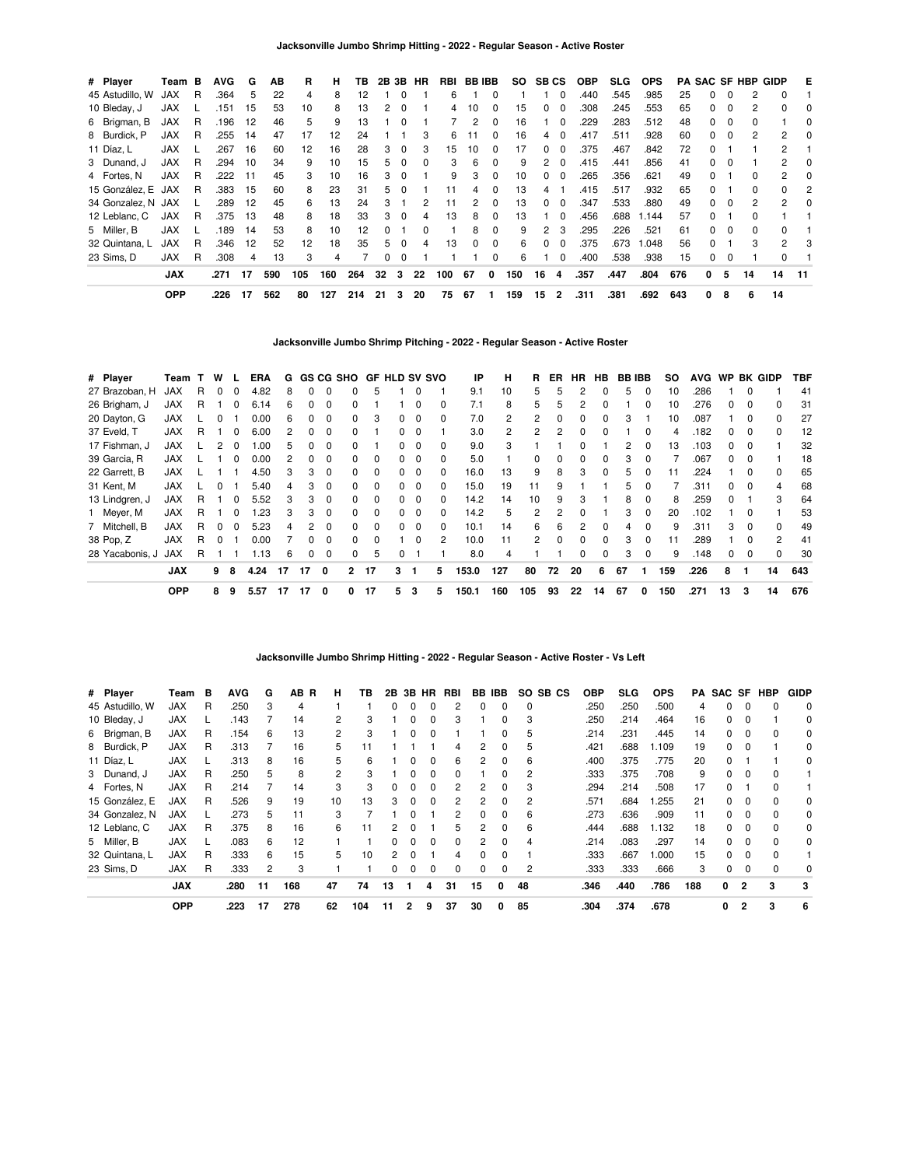| # Player           | Team B     |   | <b>AVG</b> | G   | AВ  | R   | н   | ΤВ  |    |              | 2B 3B HR | RBI | BB IBB |          | SO. | <b>SB CS</b>   |                | <b>OBP</b> | SLG. | <b>OPS</b> |     |              |          |          | <b>PA SAC SF HBP GIDP</b> | Е        |
|--------------------|------------|---|------------|-----|-----|-----|-----|-----|----|--------------|----------|-----|--------|----------|-----|----------------|----------------|------------|------|------------|-----|--------------|----------|----------|---------------------------|----------|
| 45 Astudillo, W    | <b>JAX</b> | R | .364       | 5   | 22  | 4   | 8   | 12  |    |              |          | 6   |        | 0        |     |                | 0              | .440       | .545 | .985       | 25  |              | 0        |          | 0                         |          |
| 10 Bleday, J       | <b>JAX</b> |   | .151       | 15  | 53  | 10  | 8   | 13  | 2  | $\Omega$     |          | 4   | 10     | 0        | 15  | $\Omega$       | $\Omega$       | .308       | .245 | .553       | 65  |              | 0        |          | 0                         | 0        |
| 6 Brigman, B       | <b>JAX</b> | R | .196       | -12 | 46  | 5   | 9   | 13  |    | 0            |          |     | 2      | 0        | 16  |                | 0              | .229       | .283 | .512       | 48  | 0            | 0        |          |                           | 0        |
| 8 Burdick, P       | <b>JAX</b> | R | .255       | -14 | 47  | 17  | 12  | 24  |    |              | 3        | 6   | 11     | $\Omega$ | 16  | 4              | $\Omega$       | .417       | .511 | .928       | 60  | 0            | $\Omega$ | 2        | 2                         | $\Omega$ |
| 11 Díaz, L         | <b>JAX</b> |   | .267       | 16  | 60  | 12  | 16  | 28  | 3  | $\Omega$     | 3        | 15  | 10     | $\Omega$ | 17  | $\Omega$       | $\Omega$       | .375       | .467 | .842       | 72  | <sup>0</sup> |          |          | 2                         |          |
| 3 Dunand, J        | <b>JAX</b> | R | .294       | 10  | 34  | 9   | 10  | 15  | 5. | $\Omega$     |          | 3   | 6      | 0        | 9   | 2              | $\Omega$       | .415       | .441 | .856       | 41  |              | 0        |          | 2                         | $\Omega$ |
| 4 Fortes, N        | <b>JAX</b> | R | .222       | -11 | 45  | 3   | 10  | 16  | 3  | <sup>0</sup> |          | 9   | 3      | 0        | 10  | $\Omega$       | $\Omega$       | .265       | .356 | .621       | 49  |              |          | $\Omega$ | $\mathbf{2}$              | 0        |
| 15 González, E JAX |            | R | .383       | 15  | 60  | 8   | 23  | 31  | 5. | $\Omega$     |          | 11  | 4      | $\Omega$ | 13  | 4              |                | .415       | .517 | .932       | 65  |              |          | $\Omega$ | 0                         | 2        |
| 34 Gonzalez, N JAX |            |   | .289       | -12 | 45  | 6   | 13  | 24  | З. |              | 2        | 11  | 2      | $\Omega$ | 13  | $\Omega$       | $\Omega$       | .347       | .533 | .880       | 49  | 0            | 0        | 2        | 2                         | $\Omega$ |
| 12 Leblanc, C      | <b>JAX</b> | R | .375       | 13  | 48  | 8   | 18  | 33  | 3  | $\Omega$     | 4        | 13  | 8      | $\Omega$ | 13  |                | $\Omega$       | .456       | .688 | 1.144      | 57  | 0            |          | $\Omega$ |                           |          |
| 5 Miller, B        | <b>JAX</b> |   | .189       | 14  | 53  | 8   | 10  | 12  |    |              |          |     | 8      | 0        | 9   | $\overline{2}$ | 3              | .295       | .226 | .521       | 61  | <sup>n</sup> | 0        | $\Omega$ | <sup>0</sup>              |          |
| 32 Quintana, L     | <b>JAX</b> | R | .346       | -12 | 52  | 12  | 18  | 35  | 5. | $\Omega$     | 4        | 13  | 0      | $\Omega$ | 6   | $\Omega$       |                | .375       | .673 | 1.048      | 56  |              |          | 3        | 2                         | 3        |
| 23 Sims. D         | <b>JAX</b> | R | .308       | 4   | 13  | 3   | 4   |     | 0  | $\Omega$     |          |     |        | $\Omega$ | 6   |                | 0              | .400       | .538 | .938       | 15  | 0            | 0        |          | $\Omega$                  |          |
|                    | <b>JAX</b> |   | .271       | 17  | 590 | 105 | 160 | 264 | 32 | 3            | 22       | 100 | 67     | 0        | 150 | 16             | 4              | .357       | .447 | .804       | 676 | 0            | 5        | 14       | 14                        | - 11     |
|                    | <b>OPP</b> |   | .226       | 17  | 562 | 80  | 127 | 214 | 21 | 3            | 20       | 75  | 67     | 1        | 159 | 15             | $\overline{2}$ | .311       | .381 | .692       | 643 | 0            | 8        | 6        | 14                        |          |

**Jacksonville Jumbo Shrimp Pitching - 2022 - Regular Season - Active Roster**

| # Player        | Team       | $\mathbf{T}$ | W            |          | <b>ERA</b> | G  |    |          | <b>GS CG SHO</b> |              |          |          | <b>GF HLD SV SVO</b> | IP    | н   | R.       | ER | HR. | HB.          | <b>BB IBB</b> |          | so  | <b>AVG</b> | <b>WP</b>    |          | BK GIDP      | TBF |
|-----------------|------------|--------------|--------------|----------|------------|----|----|----------|------------------|--------------|----------|----------|----------------------|-------|-----|----------|----|-----|--------------|---------------|----------|-----|------------|--------------|----------|--------------|-----|
| 27 Brazoban, H  | <b>JAX</b> | R            |              |          | 4.82       | 8  | 0  | $\Omega$ | 0                | 5            |          | 0        |                      | 9.1   | 10  | 5        | 5  | 2   |              | 5             | 0        | 10  | 286        |              | 0        |              | 41  |
| 26 Brigham, J   | <b>JAX</b> | R            |              |          | 6.14       | 6  | 0  |          | ŋ                |              |          | 0        | $\Omega$             | 7.1   | 8   | 5        |    |     |              |               |          | 10  | 276        |              | 0        | 0            | 31  |
| 20 Dayton, G    | <b>JAX</b> |              |              |          | 0.00       | 6. | 0  | $\Omega$ | 0                | 3            |          | 0        | 0                    | 7.0   |     | 2        |    | 0   | 0            | З             |          | 10  | .087       |              | 0        | 0            | 27  |
| 37 Eveld, T     | <b>JAX</b> | R            |              |          | 6.00       |    | 0  | $\Omega$ | 0                |              | 0        | 0        |                      | 3.0   |     | 2        |    | 0   | 0            |               | $\Omega$ | 4   | .182       | 0            | $\Omega$ | $\Omega$     | 12  |
| 17 Fishman, J   | <b>JAX</b> |              |              |          | 1.00       | 5. | 0  | $\Omega$ | 0                |              | 0        | $\Omega$ | $\Omega$             | 9.0   | з   |          |    | O.  |              | 2             | $\Omega$ | 13  | .103       | 0            | $\Omega$ |              | 32  |
| 39 Garcia, R    | <b>JAX</b> |              |              |          | 0.00       | 2  | 0  | $\Omega$ | 0                | $\Omega$     |          | $\Omega$ | $\Omega$             | 5.0   |     | $\Omega$ |    | 0   | O            | З             | 0        |     | .067       | <sup>0</sup> | 0        |              | 18  |
| 22 Garrett, B   | <b>JAX</b> |              |              |          | 4.50       |    | 3  | $\Omega$ | 0                | <sup>0</sup> |          | 0        | 0                    | 16.0  | 13  | 9        | 8  | 3   | <sup>0</sup> |               |          | 11  | 224        |              | 0        | <sup>0</sup> | 65  |
| 31 Kent, M      | <b>JAX</b> |              | <sup>0</sup> |          | 5.40       |    | 3  | $\Omega$ | 0                | $\Omega$     | 0        | 0        | <sup>0</sup>         | 15.0  | 19  | 11       | 9  |     |              | 5             | 0        |     | .311       | 0            | $\Omega$ | 4            | 68  |
| 13 Lindgren, J  | <b>JAX</b> | R            |              | $\Omega$ | 5.52       | 3  | 3  | $\Omega$ | 0                | $\Omega$     | $\Omega$ | 0        | 0                    | 14.2  | 14  | 10       | 9  | 3   |              | 8             | $\Omega$ | 8   | 259        | 0            |          | 3            | 64  |
| 1 Meyer, M      | <b>JAX</b> | R            |              |          | .23        | 3  | 3  | $\Omega$ | $\Omega$         | $\Omega$     | 0        | $\Omega$ | $\Omega$             | 14.2  | 5   | 2        | 2  | 0   |              | 3             | $\Omega$ | 20  | .102       |              | $\Omega$ |              | 53  |
| 7 Mitchell, B   | <b>JAX</b> | R            |              |          | 5.23       |    | 2  | $\Omega$ | 0                | $\Omega$     |          | $\Omega$ | $\Omega$             | 10.1  | 14  | 6        | 6  | 2   |              |               | 0        | 9   | .311       | 3            | $\Omega$ | <sup>0</sup> | 49  |
| 38 Pop, Z       | <b>JAX</b> | R            |              |          | 0.00       |    | 0  | $\Omega$ | $\Omega$         | <sup>0</sup> |          | $\Omega$ | 2                    | 10.0  | 11  | 2        |    | 0   | <sup>0</sup> | з             |          | 11  | 289        |              | 0        | 2            | 41  |
| 28 Yacabonis, J | <b>JAX</b> | R            |              |          | 1.13       | 6  | 0  | $\Omega$ | 0                | 5            |          |          |                      | 8.0   | 4   |          |    | 0   | 0            | 3             | 0        | 9   | .148       | 0            | $\Omega$ | 0            | 30  |
|                 | <b>JAX</b> |              | 9            | 8        | 4.24       | 17 | 17 | 0        | $\mathbf{2}$     | 17           | 3        |          | 5                    | 153.0 | 127 | 80       | 72 | 20  | 6            | 67            |          | 159 | .226       | 8            |          | 14           | 643 |
|                 | <b>OPP</b> |              | 8            | 9        | 5.57       | 17 | 17 | 0        | 0                | 17           | 5        | 3        | 5                    | 150.1 | 160 | 105      | 93 | 22  | 14           | 67            | 0        | 150 | .271       | 13           | 3        | 14           | 676 |

### **Jacksonville Jumbo Shrimp Hitting - 2022 - Regular Season - Active Roster - Vs Left**

| # Player        | Team       | в | <b>AVG</b> | G  | AB<br>B | н  | ΤВ  | 2B       | 3B       | HR           | RBI |          | BB IBB   | SO.<br>SB CS | <b>OBP</b> | SLG. | <b>OPS</b> | PA  | SAC SF |                | HBP | <b>GIDP</b> |
|-----------------|------------|---|------------|----|---------|----|-----|----------|----------|--------------|-----|----------|----------|--------------|------------|------|------------|-----|--------|----------------|-----|-------------|
| 45 Astudillo, W | JAX        | R | .250       | 3  | 4       |    |     | 0        | 0        |              | 2   | $\Omega$ | $\Omega$ | $\Omega$     | .250       | .250 | .500       | 4   | 0      | 0              |     | $\Omega$    |
| 10 Bleday, J    | JAX        |   | .143       |    | 14      | 2  | з   |          |          |              | 3   |          |          | 3            | .250       | .214 | .464       | 16  | 0      |                |     | 0           |
| 6 Brigman, B    | <b>JAX</b> | R | .154       | 6  | 13      | 2  | 3   |          | 0        | O            |     |          | 0        | 5            | .214       | .231 | .445       | 14  | 0      |                |     | 0           |
| 8 Burdick, P    | <b>JAX</b> | R | .313       |    | 16      | 5  | 11  |          |          |              | 4   | 2        | 0        | 5            | .421       | .688 | 1.109      | 19  | 0      |                |     | 0           |
| 11 Díaz, L      | <b>JAX</b> |   | .313       | 8  | 16      | 5  | 6   |          |          |              | 6   | 2        | 0        | 6            | .400       | .375 | .775       | 20  | 0      |                |     | 0           |
| 3 Dunand, J     | JAX        | R | .250       | 5  | 8       | 2  | з   |          |          |              | 0   |          |          |              | .333       | .375 | .708       | 9   | 0      |                |     |             |
| 4 Fortes, N     | <b>JAX</b> | R | .214       |    | 14      | 3  | 3   | 0        | 0        | 0            | 2   | 2        | 0        | 3            | .294       | .214 | .508       | 17  | 0      |                |     |             |
| 15 González. E  | <b>JAX</b> | R | .526       | 9  | 19      | 10 | 13  | 3        | $\Omega$ | <sup>0</sup> | 2   | 2        | 0        | 2            | .571       | .684 | .255       | 21  | 0      | $\Omega$       |     | $\Omega$    |
| 34 Gonzalez, N  | <b>JAX</b> |   | .273       | 5  | 11      | 3  |     |          |          |              | 2   | $\Omega$ | $\Omega$ | 6            | .273       | .636 | .909       | 11  | 0      |                |     | $\Omega$    |
| 12 Leblanc, C   | JAX        | R | .375       | 8  | 16      | 6  |     | 2        |          |              | 5   | 2        | 0        | 6            | .444       | .688 | 1.132      | 18  | 0      |                |     | 0           |
| 5 Miller, B     | <b>JAX</b> |   | .083       | 6  | 12      |    |     | 0        | O        | <sup>0</sup> | 0   | 2        | 0        | 4            | .214       | .083 | .297       | 14  | 0      | 0              |     | 0           |
| 32 Quintana, L  | <b>JAX</b> | R | .333       | 6  | 15      | 5  | 10  | 2        | O        |              | 4   | $\Omega$ | $\Omega$ |              | .333       | .667 | 1.000      | 15  | 0      | <sup>0</sup>   |     |             |
| 23 Sims, D      | <b>JAX</b> | R | .333       | 2  | 3       |    |     | $\Omega$ | O        | $\Omega$     | 0   | $\Omega$ | $\Omega$ | 2            | .333       | .333 | .666       | 3   | 0      | 0              |     | 0           |
|                 | <b>JAX</b> |   | .280       | 11 | 168     | 47 | 74  | 13       |          | 4            | 31  | 15       | 0        | 48           | .346       | .440 | .786       | 188 | 0      | $\overline{2}$ | 3   | 3           |
|                 | <b>OPP</b> |   | .223       | 17 | 278     | 62 | 104 | 11       | 2        | 9            | 37  | 30       | 0        | 85           | .304       | .374 | .678       |     | 0      | $\overline{2}$ | 3   | 6           |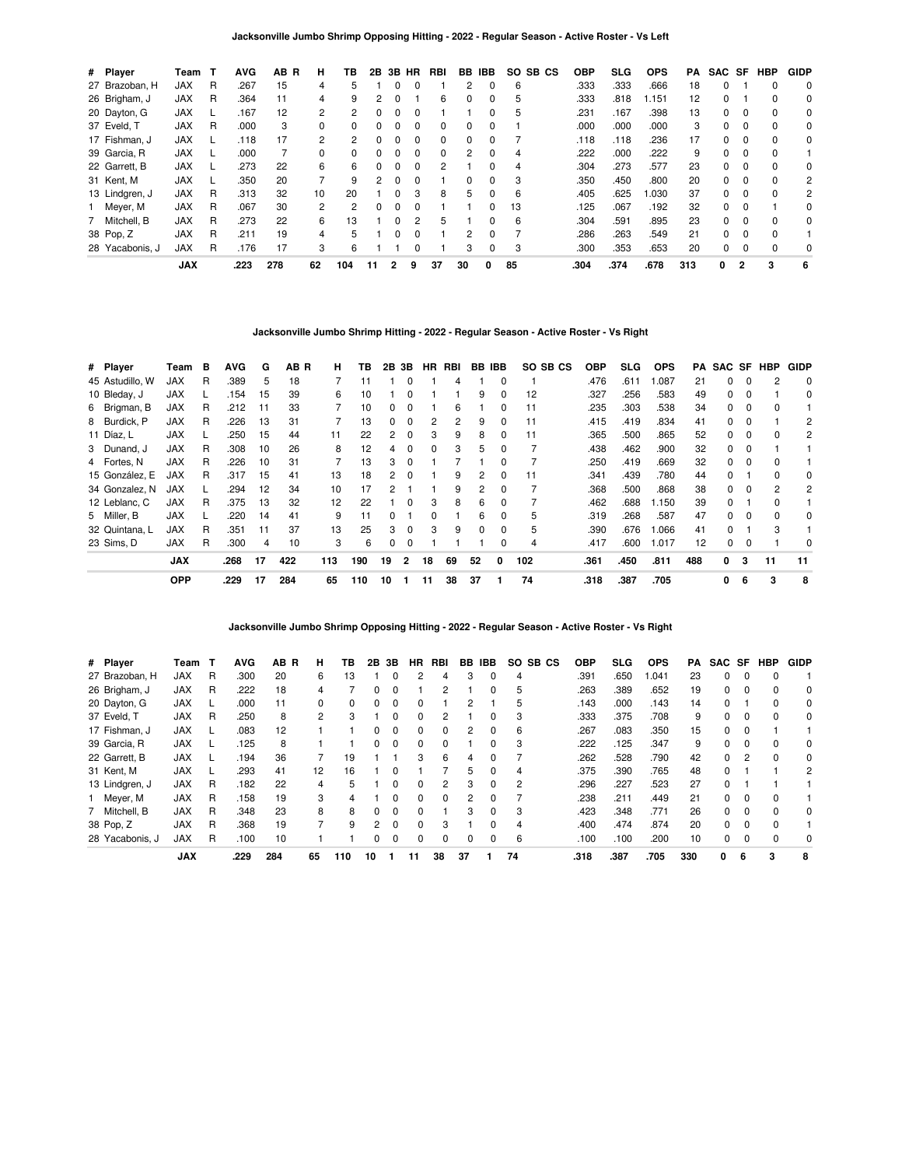**Jacksonville Jumbo Shrimp Opposing Hitting - 2022 - Regular Season - Active Roster - Vs Left**

| # Player        | Team       | т | <b>AVG</b> | AB R | н  | ΤВ  | 2В | 3В           | HR       | RBI      | BB.      | IBB          | SO.<br>SB CS | <b>OBP</b> | SLG. | <b>OPS</b> | PA  | SAC SF   |          | <b>HBP</b> | <b>GIDP</b> |
|-----------------|------------|---|------------|------|----|-----|----|--------------|----------|----------|----------|--------------|--------------|------------|------|------------|-----|----------|----------|------------|-------------|
| 27 Brazoban, H  | <b>JAX</b> | R | 267        | 15   | 4  | 5   |    |              |          |          | 2        | 0            | 6            | .333       | .333 | .666       | 18  | 0        |          | 0          | 0           |
| 26 Brigham, J   | JAX        | R | .364       | 11   | 4  | 9   | 2  | $\Omega$     |          | 6        | 0        | $\Omega$     | 5            | .333       | .818 | 1.151      | 12  | $\Omega$ |          | $\Omega$   | 0           |
| 20 Dayton, G    | <b>JAX</b> |   | .167       | 12   | 2  | 2   | 0  |              |          |          |          |              | 5            | .231       | .167 | .398       | 13  | $\Omega$ |          | 0          | 0           |
| 37 Eveld, T     | <b>JAX</b> | R | .000       | 3    | 0  | 0   | 0  | <sup>0</sup> | $\Omega$ | 0        | $\Omega$ | 0            |              | .000       | .000 | .000       | 3   | $\Omega$ | $\Omega$ | $\Omega$   | 0           |
| 17 Fishman, J   | <b>JAX</b> |   | .118       | 17   | 2  | 2   | 0  |              | $\Omega$ | $\Omega$ | $\Omega$ | <sup>0</sup> |              | .118       | .118 | .236       | 17  | $\Omega$ | $\Omega$ | $\Omega$   | 0           |
| 39 Garcia, R    | <b>JAX</b> |   | .000       |      | 0  | 0   | 0  | 0            | $\Omega$ | 0        | 2        | 0            | 4            | .222       | .000 | .222       | 9   | $\Omega$ | $\Omega$ | $\Omega$   |             |
| 22 Garrett, B   | <b>JAX</b> |   | .273       | 22   | 6  | 6   | 0  |              | $\Omega$ | 2        |          | <sup>0</sup> | 4            | .304       | .273 | .577       | 23  | $\Omega$ | $\Omega$ | $\Omega$   | 0           |
| 31 Kent, M      | <b>JAX</b> |   | .350       | 20   |    | 9   | 2  | $\Omega$     | 0        |          | 0        | 0            | 3            | .350       | .450 | .800       | 20  | 0        | 0        | 0          | 2           |
| 13 Lindgren, J  | <b>JAX</b> | R | .313       | 32   | 10 | 20  |    | <sup>0</sup> | 3        | 8        | 5        | $\Omega$     | 6            | .405       | .625 | 1.030      | 37  | $\Omega$ | $\Omega$ | $\Omega$   | 2           |
| 1 Meyer, M      | <b>JAX</b> | R | .067       | 30   | 2  | 2   | 0  |              |          |          |          |              | 13           | .125       | .067 | .192       | 32  | $\Omega$ |          |            | 0           |
| 7 Mitchell, B   | <b>JAX</b> | R | .273       | 22   | 6  | 13  |    | <sup>n</sup> | 2        | 5        |          | <sup>0</sup> | 6            | .304       | .591 | .895       | 23  | $\Omega$ | $\Omega$ | $\Omega$   | 0           |
| 38 Pop, Z       | JAX        | R | .211       | 19   | 4  | 5   |    |              |          |          | 2        | ŋ            |              | .286       | .263 | .549       | 21  | $\Omega$ | $\Omega$ | $\Omega$   |             |
| 28 Yacabonis, J | <b>JAX</b> | R | .176       | 17   | 3  | 6   |    |              |          |          | 3        | 0            | 3            | .300       | .353 | .653       | 20  | 0        | $\Omega$ | 0          | 0           |
|                 | <b>JAX</b> |   | .223       | 278  | 62 | 104 | 11 | 2            | 9        | 37       | 30       | 0            | 85           | .304       | .374 | .678       | 313 | 0        | 2        | 3          | 6           |

**Jacksonville Jumbo Shrimp Hitting - 2022 - Regular Season - Active Roster - Vs Right**

| # Player        | Team       | в | <b>AVG</b> | G  | AB R | н   | ΤВ  | 2В | 3В             |    | HR RBI | BB | <b>IBB</b>   | SO SB CS | <b>OBP</b> | SLG  | <b>OPS</b> | PA. | SAC SF       |   | HBP          | <b>GIDP</b> |
|-----------------|------------|---|------------|----|------|-----|-----|----|----------------|----|--------|----|--------------|----------|------------|------|------------|-----|--------------|---|--------------|-------------|
| 45 Astudillo, W | JAX        | R | .389       | 5  | 18   |     |     |    |                |    |        |    |              |          | .476       | .611 | .087       | 21  | 0            | 0 |              | 0           |
| 10 Bleday, J    | <b>JAX</b> |   | .154       | 15 | 39   | 6   | 10  |    | 0              |    |        | 9  | 0            | 12       | .327       | .256 | .583       | 49  | 0            | 0 |              | 0           |
| 6 Brigman, B    | <b>JAX</b> | R | .212       | 11 | 33   |     | 10  | 0  | 0              |    | 6      |    | <sup>0</sup> | 11       | .235       | .303 | .538       | 34  | 0            | 0 |              |             |
| 8 Burdick, P    | <b>JAX</b> | R | .226       | 13 | 31   |     | 13  | 0  | 0              | 2  | 2      | 9  | $\Omega$     | 11       | .415       | .419 | .834       | 41  | 0            | 0 |              | 2           |
| 11 Díaz, L      | <b>JAX</b> |   | .250       | 15 | 44   | 11  | 22  | 2  | $\Omega$       | 3  | 9      | 8  | <sup>0</sup> | 11       | .365       | .500 | .865       | 52  | 0            | 0 |              | 2           |
| 3 Dunand, J     | <b>JAX</b> | R | .308       | 10 | 26   | 8   | 12  | 4  | 0              | 0  | 3      | 5  |              |          | .438       | .462 | .900       | 32  | 0            | 0 |              |             |
| 4 Fortes, N     | <b>JAX</b> | R | .226       | 10 | 31   |     | 13  | 3  | $\Omega$       |    |        |    | $\Omega$     |          | .250       | .419 | .669       | 32  | 0            | 0 |              |             |
| 15 González. E  | <b>JAX</b> | R | .317       | 15 | 41   | 13  | 18  | 2  | $\Omega$       |    | 9      | 2  | $\Omega$     | 11       | .341       | .439 | .780       | 44  | 0            |   | <sup>0</sup> | $\Omega$    |
| 34 Gonzalez, N  | <b>JAX</b> |   | 294        | 12 | 34   | 10  | 17  | 2  |                |    | 9      | 2  | $\Omega$     |          | .368       | .500 | .868       | 38  | 0            | 0 | 2            | 2           |
| 12 Leblanc, C   | JAX        | R | .375       | 13 | 32   | 12  | 22  |    | <sup>0</sup>   | 3  | 8      | 6  |              |          | .462       | .688 | 1.150      | 39  | 0            |   |              |             |
| 5 Miller, B     | <b>JAX</b> |   | .220       | 14 | 41   | 9   | 11  |    |                | o  |        | 6  | 0            | 5        | .319       | .268 | .587       | 47  | 0            | 0 |              | 0           |
| 32 Quintana, L  | <b>JAX</b> | R | .351       | 11 | 37   | 13  | 25  | 3  | $\Omega$       | 3  | 9      | 0  | $\Omega$     | 5        | .390       | .676 | 0.066      | 41  | 0            |   | 3            |             |
| 23 Sims, D      | <b>JAX</b> | R | .300       | 4  | 10   | 3   | 6   | 0  | $\Omega$       |    |        |    |              | 4        | .417       | .600 | 1.017      | 12  | 0            | 0 |              | $\Omega$    |
|                 | <b>JAX</b> |   | .268       | 17 | 422  | 113 | 190 | 19 | $\overline{2}$ | 18 | 69     | 52 | 0            | 102      | .361       | .450 | .811       | 488 | $\mathbf{0}$ | 3 | 11           | 11          |
|                 | <b>OPP</b> |   | .229       | 17 | 284  | 65  | 110 | 10 |                | 11 | 38     | 37 |              | 74       | .318       | .387 | .705       |     | 0            | 6 | 3            | 8           |

**Jacksonville Jumbo Shrimp Opposing Hitting - 2022 - Regular Season - Active Roster - Vs Right**

| # Player        | Team       |   | <b>AVG</b> | AB R | н              | ΤВ  | 2Β            | 3В           | <b>HR</b> | RBI          | BB | IBB          | SO.<br>SB CS   | <b>OBP</b> | <b>SLG</b> | <b>OPS</b> | PA. | SAC SF   |          | HBP      | <b>GIDP</b> |
|-----------------|------------|---|------------|------|----------------|-----|---------------|--------------|-----------|--------------|----|--------------|----------------|------------|------------|------------|-----|----------|----------|----------|-------------|
| 27 Brazoban, H  | <b>JAX</b> | R | .300       | 20   | 6              | 13  |               | 0            |           | 4            | 3  | 0            | 4              | .391       | .650       | 1.041      | 23  | $\Omega$ | $\Omega$ |          |             |
| 26 Brigham, J   | <b>JAX</b> | R | .222       | 18   | 4              |     |               | $\Omega$     |           | 2            |    |              | 5              | .263       | .389       | .652       | 19  | $\Omega$ | $\Omega$ |          | 0           |
| 20 Dayton, G    | <b>JAX</b> |   | .000       | 11   | 0              | 0   |               | 0            |           |              | 2  |              | 5              | .143       | .000       | .143       | 14  | $\Omega$ |          |          | 0           |
| 37 Eveld, T     | <b>JAX</b> | R | .250       | 8    | $\overline{2}$ | 3   |               | $\Omega$     | $\Omega$  |              |    | 0            | 3              | .333       | .375       | .708       | 9   | $\Omega$ | 0        | $\Omega$ | 0           |
| 17 Fishman, J   | <b>JAX</b> |   | .083       | 12   |                |     |               |              |           |              | 2  |              | 6              | .267       | .083       | .350       | 15  | $\Omega$ |          |          |             |
| 39 Garcia, R    | <b>JAX</b> |   | .125       | 8    |                |     | 0             | $\Omega$     | $\Omega$  | <sup>0</sup> |    | <sup>0</sup> | 3              | .222       | .125       | .347       | 9   | $\Omega$ | $\Omega$ |          | $\Omega$    |
| 22 Garrett, B   | <b>JAX</b> |   | .194       | 36   |                | 19  |               |              | 3         | 6            | 4  |              |                | .262       | .528       | .790       | 42  | $\Omega$ | 2        |          | 0           |
| 31 Kent, M      | <b>JAX</b> |   | .293       | 41   | 12             | 16  |               | <sup>0</sup> |           |              | 5  | 0            | 4              | .375       | .390       | .765       | 48  | $\Omega$ |          |          | 2           |
| 13 Lindgren, J  | <b>JAX</b> | R | .182       | 22   | 4              | 5   |               | $\Omega$     | $\Omega$  | 2            | 3  | $\Omega$     | $\overline{2}$ | .296       | .227       | .523       | 27  | $\Omega$ |          |          |             |
| 1 Meyer, M      | <b>JAX</b> | R | .158       | 19   | 3              | 4   |               |              |           | 0            | 2  |              |                | .238       | .211       | .449       | 21  | $\Omega$ |          |          |             |
| 7 Mitchell, B   | <b>JAX</b> | R | .348       | 23   | 8              | 8   | <sup>0</sup>  | $\Omega$     | $\Omega$  |              | 3  | $\Omega$     | 3              | .423       | .348       | .771       | 26  | $\Omega$ | $\Omega$ | $\Omega$ | $\Omega$    |
| 38 Pop, Z       | <b>JAX</b> | R | .368       | 19   | 7              | 9   | $\mathcal{P}$ | $\Omega$     | $\Omega$  | 3            |    |              | 4              | .400       | .474       | .874       | 20  | $\Omega$ | $\Omega$ |          |             |
| 28 Yacabonis, J | <b>JAX</b> | R | .100       | 10   |                |     |               | $\Omega$     | $\Omega$  | 0            | 0  | $\Omega$     | 6              | .100       | .100       | .200       | 10  | 0        | $\Omega$ |          | 0           |
|                 | <b>JAX</b> |   | .229       | 284  | 65             | 110 | 10            |              | 11        | 38           | 37 |              | 74             | .318       | .387       | .705       | 330 | 0        | 6        | 3        | 8           |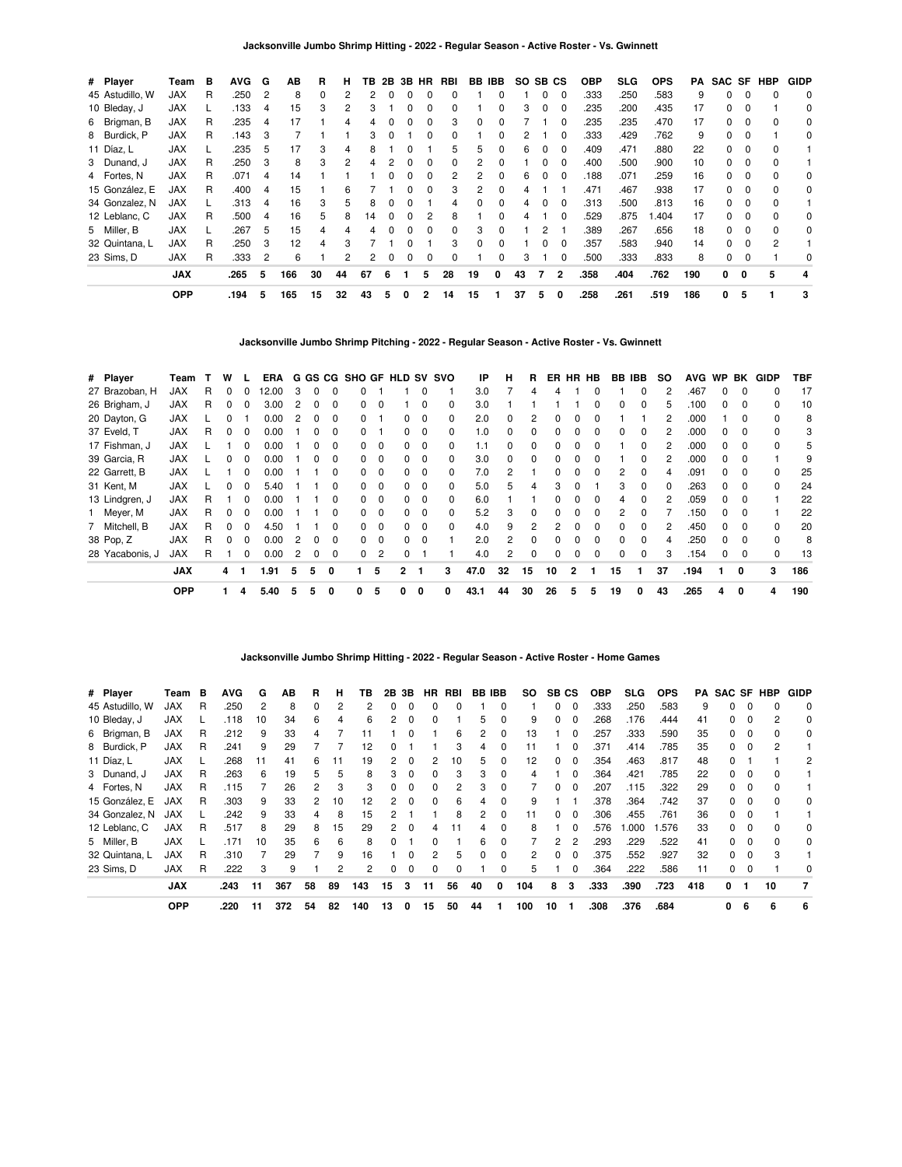| # Player        | Team       | в | <b>AVG</b> | G              | AВ  | R  | н  | TВ | 2B       |   | 3B HR        | RBI          |    | BB IBB       | SO.           | SB CS    |          | <b>OBP</b> | SLG  | <b>OPS</b> | PA  |    |          | SAC SF HBP | <b>GIDP</b> |
|-----------------|------------|---|------------|----------------|-----|----|----|----|----------|---|--------------|--------------|----|--------------|---------------|----------|----------|------------|------|------------|-----|----|----------|------------|-------------|
| 45 Astudillo, W | JAX        | R | .250       | $\overline{2}$ | 8   | 0  |    |    |          |   |              |              |    | 0            |               | 0        | $\Omega$ | .333       | .250 | .583       | 9   | 0  |          | $\Omega$   | $\mathbf 0$ |
| 10 Bleday, J    | <b>JAX</b> |   | .133       | 4              | 15  | 3  |    | 3  |          |   |              |              |    | 0            | 3             | 0        | 0        | .235       | .200 | .435       | 17  | 0  |          |            | 0           |
| 6 Brigman, B    | JAX        | R | .235       | 4              | 17  |    |    |    |          |   |              | 3            | 0  |              |               |          | $\Omega$ | .235       | .235 | .470       | 17  | 0  |          |            | 0           |
| 8 Burdick, P    | <b>JAX</b> | R | .143       | 3              |     |    |    | 3  |          |   | $\Omega$     | <sup>0</sup> |    | <sup>0</sup> | $\mathcal{P}$ |          | $\Omega$ | .333       | .429 | .762       | 9   | 0  |          |            | 0           |
| 11 Díaz, L      | <b>JAX</b> |   | 235        | 5              | 17  | 3  | 4  | 8  |          |   |              | 5.           | 5  | 0            | 6             | $\Omega$ | $\Omega$ | .409       | .471 | .880       | 22  | 0  | $\Omega$ | $\Omega$   |             |
| 3 Dunand, J     | <b>JAX</b> | R | .250       | 3              | 8   | 3  |    |    |          |   | $\Omega$     | 0            | 2  |              |               | 0        | 0        | .400       | .500 | .900       | 10  | O. | $\Omega$ | $\Omega$   |             |
| 4 Fortes, N     | <b>JAX</b> | R | .071       | 4              | 14  |    |    |    |          |   |              |              |    |              | 6             | 0        | $\Omega$ | .188       | .071 | .259       | 16  | 0  |          | $\Omega$   | 0           |
| 15 González, E  | <b>JAX</b> | R | .400       | 4              | 15  |    | 6  |    |          |   | O            |              |    | 0            |               |          |          | .471       | .467 | .938       | 17  | 0  |          |            | 0           |
| 34 Gonzalez, N  | <b>JAX</b> |   | .313       | 4              | 16  | 3  | 5  | 8  |          |   |              | 4            | 0  | 0            | 4             | $\Omega$ | $\Omega$ | .313       | .500 | .813       | 16  | 0  | $\Omega$ | $\Omega$   |             |
| 12 Leblanc, C   | <b>JAX</b> | R | .500       | 4              | 16  | 5  | 8  | 14 | $\Omega$ | 0 | 2            | 8            |    | <sup>0</sup> | 4             |          | $\Omega$ | .529       | .875 | .404       | 17  | 0  | $\Omega$ | $\Omega$   | 0           |
| 5 Miller, B     | <b>JAX</b> |   | 267        | 5              | 15  | 4  |    |    |          | n | <sup>0</sup> | <sup>0</sup> | 3  | <sup>0</sup> |               |          |          | .389       | .267 | .656       | 18  | 0  | $\Omega$ | $\Omega$   | 0           |
| 32 Quintana, L  | <b>JAX</b> | R | .250       | 3              | 12  | 4  |    |    |          |   |              | 3            |    |              |               | 0        |          | .357       | .583 | .940       | 14  | O. |          | 2          |             |
| 23 Sims, D      | <b>JAX</b> | R | .333       | 2              | 6   |    | 2  | 2  | $\Omega$ | 0 | 0            | 0            |    | 0            | 3             |          | 0        | .500       | .333 | .833       | 8   | 0  |          |            | 0           |
|                 | <b>JAX</b> |   | .265       | 5              | 166 | 30 | 44 | 67 | 6        |   | 5.           | 28           | 19 | 0            | 43            | 7        | 2        | .358       | .404 | .762       | 190 | 0  | 0        | 5          |             |
|                 | <b>OPP</b> |   | .194       | 5              | 165 | 15 | 32 | 43 | 5        | 0 | 2            | 14           | 15 |              | 37            | 5        | 0        | .258       | .261 | .519       | 186 | 0  | 5        |            | 3           |

**Jacksonville Jumbo Shrimp Pitching - 2022 - Regular Season - Active Roster - Vs. Gwinnett**

| # Player        | Team       |   | w            |              | <b>ERA</b> |   |              |              |              |                |              |                         | G GS CG SHO GF HLD SV SVO | IP   | н  | R.           |    | ER HR HB     |              |    | BB IBB       | SO. | <b>AVG</b> | WP BK        |          | GIDP         | TBF |
|-----------------|------------|---|--------------|--------------|------------|---|--------------|--------------|--------------|----------------|--------------|-------------------------|---------------------------|------|----|--------------|----|--------------|--------------|----|--------------|-----|------------|--------------|----------|--------------|-----|
| 27 Brazoban, H  | <b>JAX</b> | R | ŋ            | $\Omega$     | 12.00      | 3 | <sup>0</sup> |              |              |                |              | 0                       |                           | 3.0  |    | 4            |    |              |              |    | $\Omega$     |     | .467       | <sup>0</sup> | $\Omega$ |              | 17  |
| 26 Brigham, J   | <b>JAX</b> | R | 0            | <sup>0</sup> | 3.00       | 2 | 0            | <sup>0</sup> | 0            | $\Omega$       |              | $\Omega$                | $\Omega$                  | 3.0  |    |              |    |              | 0            | 0  | $\Omega$     |     | .100       |              | $\Omega$ | <sup>0</sup> | 10  |
| 20 Dayton, G    | <b>JAX</b> |   |              |              | 0.00       |   |              |              |              |                |              | $\Omega$                | 0                         | 2.0  |    | 2            |    |              |              |    |              |     | .000       |              |          |              | 8   |
| 37 Eveld, T     | <b>JAX</b> | R | 0            |              | 0.00       |   |              |              |              |                | 0.           | 0                       | 0                         | 1.0  |    |              |    |              |              | 0  | 0            |     | .000       |              |          |              | 3   |
| 17 Fishman, J   | <b>JAX</b> |   |              | 0            | 0.00       |   | 0            | 0            | 0            | 0              | 0            | 0                       | 0                         | 1.1  | 0  | 0            |    |              | 0            |    | 0            |     | .000       | 0            | $\Omega$ | 0            | 5   |
| 39 Garcia, R    | <b>JAX</b> |   | ŋ            | $\Omega$     | 0.00       |   | <sup>0</sup> | <sup>0</sup> | <sup>0</sup> | $\Omega$       | $\Omega$     | $\Omega$                | $\Omega$                  | 3.0  | 0  | <sup>0</sup> |    |              | O            |    | <sup>0</sup> |     | .000       | <sup>0</sup> | $\Omega$ |              | 9   |
| 22 Garrett, B   | <b>JAX</b> |   |              |              | 0.00       |   |              |              |              | $\Omega$       |              | $\Omega$                | <sup>0</sup>              | 7.0  | 2  |              |    |              |              | 2  | 0            |     | .091       |              |          | <sup>0</sup> | 25  |
| 31 Kent, M      | <b>JAX</b> |   | 0            |              | 5.40       |   |              |              | 0            | 0              | 0.           | 0                       | 0                         | 5.0  | 5  |              |    |              |              | 3  | $\Omega$     |     | .263       |              |          | <sup>0</sup> | 24  |
| 13 Lindgren, J  | <b>JAX</b> | R |              | 0            | 0.00       |   |              |              | 0            | 0              | <sup>0</sup> | $\overline{\mathbf{0}}$ | $\Omega$                  | 6.0  |    |              |    |              | 0            | 4  | $\Omega$     |     | .059       | 0            | 0        |              | 22  |
| 1 Meyer, M      | <b>JAX</b> | R | <sup>0</sup> | $\Omega$     | 0.00       |   |              | 0            | <sup>0</sup> | $\Omega$       | $\Omega$     | $\Omega$                | <sup>0</sup>              | 5.2  | 3  | <sup>0</sup> |    |              | <sup>0</sup> | 2  | <sup>0</sup> |     | .150       | <sup>0</sup> | $\Omega$ |              | 22  |
| 7 Mitchell, B   | <b>JAX</b> | R | 0            | $\Omega$     | 4.50       |   |              |              | n.           | $\Omega$       | n.           | $\Omega$                | 0                         | 4.0  | 9  | 2            |    |              |              | n  | <sup>0</sup> |     | .450       | <sup>n</sup> | $\Omega$ | <sup>0</sup> | 20  |
| 38 Pop, Z       | <b>JAX</b> | R | o            | <sup>0</sup> | 0.00       |   |              |              | <sup>0</sup> | $\Omega$       | n.           | $\Omega$                |                           | 2.0  | 2  | n            |    |              |              | n  | <sup>0</sup> |     | .250       |              |          |              | 8   |
| 28 Yacabonis, J | <b>JAX</b> | R |              | $\Omega$     | 0.00       | 2 | 0            | 0            | 0            | $\overline{c}$ |              |                         |                           | 4.0  | 2  | 0            |    |              | 0            | 0  | $\Omega$     | 3   | .154       |              | $\Omega$ | 0            | 13  |
|                 | <b>JAX</b> |   | 4            |              | 1.91       | 5 | 5            | 0            |              | 5              | $\mathbf{2}$ |                         | 3                         | 47.0 | 32 | 15           | 10 | $\mathbf{2}$ | 1            | 15 |              | 37  | .194       |              | 0        | 3            | 186 |
|                 | <b>OPP</b> |   |              | 4            | 5.40       | 5 | 5            | 0            | 0            | 5              | 0            | 0                       | 0                         | 43.1 | 44 | 30           | 26 | 5            | 5            | 19 | 0            | 43  | .265       | 4            | 0        | 4            | 190 |

### **Jacksonville Jumbo Shrimp Hitting - 2022 - Regular Season - Active Roster - Home Games**

| # Player        | Team       | в | <b>AVG</b> | G  | AB  | R              | н  | ΤВ  | 2B | 3В           | <b>HR</b>    | RBI | <b>BB IBB</b> |          | SO. |    | SB CS          | <b>OBP</b> | <b>SLG</b> | <b>OPS</b> |     | <b>PA SAC SF HBP</b> |              |    | <b>GIDP</b> |
|-----------------|------------|---|------------|----|-----|----------------|----|-----|----|--------------|--------------|-----|---------------|----------|-----|----|----------------|------------|------------|------------|-----|----------------------|--------------|----|-------------|
| 45 Astudillo, W | <b>JAX</b> | R | .250       | 2  | 8   | $\Omega$       | 2  |     | ŋ  |              |              |     |               |          |     | ი  | $\Omega$       | .333       | .250       | .583       | 9   |                      |              |    | 0           |
| 10 Bleday, J    | <b>JAX</b> |   | .118       | 10 | 34  | 6              | 4  | 6   | 2  |              |              |     | 5             |          | 9   |    | 0              | 268        | .176       | .444       | 41  |                      | 0            |    | 0           |
| 6 Brigman, B    | <b>JAX</b> | R | .212       | 9  | 33  | 4              |    |     |    |              |              | 6   | 2             | $\Omega$ | 13  |    | 0              | .257       | .333       | .590       | 35  | 0                    | 0            |    | 0           |
| 8 Burdick, P    | <b>JAX</b> | R | .241       | 9  | 29  |                |    | 12  | 0  |              |              | 3   | 4             | $\Omega$ | 11  |    | $\Omega$       | .371       | .414       | .785       | 35  | $\Omega$             | $\Omega$     | 2  |             |
| 11 Díaz, L      | JAX        |   | .268       | 11 | 41  | 6              |    | 19  | 2  |              |              | 10  | 5             |          | 12  |    | $\Omega$       | .354       | .463       | .817       | 48  | <sup>o</sup>         |              |    | 2           |
| 3 Dunand, J     | <b>JAX</b> | R | .263       | 6  | 19  | 5              | 5  | 8   | 3  |              |              | 3   | 3             |          | 4   |    | $\Omega$       | .364       | .421       | .785       | 22  | <sup>o</sup>         | 0            |    |             |
| 4 Fortes, N     | <b>JAX</b> | R | .115       |    | 26  | $\overline{2}$ | 3  | 3   | 0  | $\Omega$     | 0            | 2   | 3             | $\Omega$ |     | 0  | $\Omega$       | .207       | .115       | .322       | 29  | 0                    | $\Omega$     |    |             |
| 15 González, E  | <b>JAX</b> | R | .303       | 9  | 33  | 2              | 10 | 12  | 2  | n            | <sup>0</sup> | 6   | 4             | $\Omega$ | 9   |    |                | 378        | .364       | .742       | 37  | <sup>0</sup>         | $\Omega$     |    | $\Omega$    |
| 34 Gonzalez, N  | <b>JAX</b> |   | 242.       | 9  | 33  | 4              | 8  | 15  | 2  |              |              | 8   | 2             |          | 11  |    | $\Omega$       | .306       | .455       | .761       | 36  | <sup>o</sup>         |              |    |             |
| 12 Leblanc, C   | <b>JAX</b> | R | .517       | 8  | 29  | 8              | 15 | 29  | 2  | $\Omega$     |              | 11  | 4             |          | 8   |    | 0              | .576       | 1.000      | 1.576      | 33  | 0                    | <sup>0</sup> |    | 0           |
| 5 Miller, B     | <b>JAX</b> |   | .171       | 10 | 35  | 6              | 6  | 8   | 0  |              |              |     | 6             | $\Omega$ |     | 2  | $\overline{2}$ | .293       | .229       | .522       | 41  | 0                    | 0            |    | 0           |
| 32 Quintana, L  | <b>JAX</b> | R | .310       | 7  | 29  |                | 9  | 16  |    | $\Omega$     | 2            | 5   | $\Omega$      | $\Omega$ | 2   | 0  | $\Omega$       | .375       | .552       | .927       | 32  | 0                    | $\Omega$     | 3  |             |
| 23 Sims, D      | <b>JAX</b> | R | .222       | 3  | 9   |                | 2  | 2   | 0  | <sup>0</sup> | 0            | 0   |               | $\Omega$ | 5   |    | 0              | 364        | .222       | .586       | 11  | 0                    | 0            |    | $\Omega$    |
|                 | <b>JAX</b> |   | .243       | 11 | 367 | 58             | 89 | 143 | 15 | 3            | 11           | 56  | 40            | 0        | 104 | 8  | 3              | .333       | .390       | .723       | 418 | 0                    | -1           | 10 | 7           |
|                 | <b>OPP</b> |   | .220       | 11 | 372 | 54             | 82 | 140 | 13 | 0            | 15           | 50  | 44            |          | 100 | 10 |                | .308       | .376       | .684       |     | 0                    | 6            | 6  | 6           |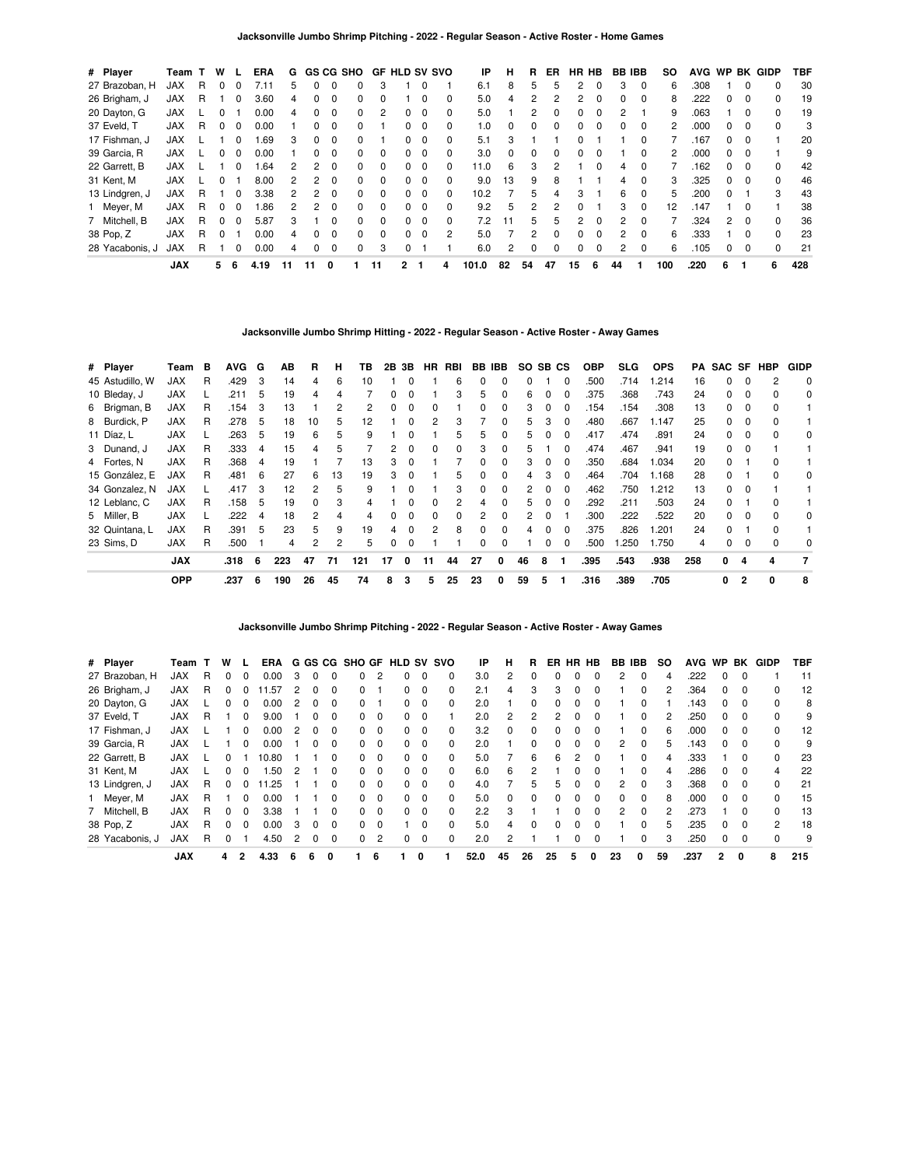| # Player        | Team       |    | W |              | <b>ERA</b> | G  |              |              | <b>GS CG SHO</b> |          | <b>GF HLD SV SVO</b> |          |              | ΙP    | н        | R. | ER       | HR HB        |          | <b>BB IBB</b>  |          | so  | <b>AVG</b> | <b>WP</b>     |          | <b>BK GIDP</b> | TBF |
|-----------------|------------|----|---|--------------|------------|----|--------------|--------------|------------------|----------|----------------------|----------|--------------|-------|----------|----|----------|--------------|----------|----------------|----------|-----|------------|---------------|----------|----------------|-----|
| 27 Brazoban, H  | <b>JAX</b> | R  |   |              | 7.11       | 5  |              |              |                  | 3        |                      |          |              | 6.1   | 8        | 5  | 5        |              | 0        | 3              | $\Omega$ | 6   | .308       |               | 0        | 0              | 30  |
| 26 Brigham, J   | <b>JAX</b> | R. |   | 0            | 3.60       | 4  | 0            | 0            | 0                | 0        |                      | $\Omega$ | $\Omega$     | 5.0   | 4        | 2  | 2        | 2            | $\Omega$ | 0              | $\Omega$ | 8   | .222       | 0             | $\Omega$ | <sup>0</sup>   | 19  |
| 20 Dayton, G    | <b>JAX</b> |    |   |              | 0.00       | 4  |              |              |                  | 2        | 0                    | 0        | 0            | 5.0   |          |    | 0        | 0            | 0        | 2              |          | 9   | .063       |               | 0        | 0              | 19  |
| 37 Eveld, T     | <b>JAX</b> | R. |   | $\Omega$     | 0.00       |    | $\Omega$     | 0            | 0                |          | 0                    | $\Omega$ | $\Omega$     | 1.0   | $\Omega$ | 0  | $\Omega$ | $\Omega$     | $\Omega$ | 0              | $\Omega$ | 2   | .000       | 0             | 0        | <sup>0</sup>   | 3   |
| 17 Fishman, J   | <b>JAX</b> |    |   |              | .69        | 3  | <sup>0</sup> | <sup>0</sup> | <sup>0</sup>     |          | O.                   | - 0      | $\Omega$     | 5.1   | 3        |    |          |              |          |                | $\Omega$ |     | 167        | <sup>o</sup>  |          |                | 20  |
| 39 Garcia, R    | <b>JAX</b> |    |   | $\Omega$     | 0.00       |    | $\Omega$     | 0            | 0                | 0        | 0                    | - 0      | $\Omega$     | 3.0   | $\Omega$ | 0  | $\Omega$ | $\Omega$     | $\Omega$ |                | $\Omega$ | 2   | .000       | 0             | $\Omega$ |                | 9   |
| 22 Garrett, B   | <b>JAX</b> |    |   | 0            | .64        | 2  | 2            | 0            | 0                | 0        | 0                    | $\Omega$ | <sup>0</sup> | 11.0  | 6        | 3  | 2        |              | 0        | 4              | 0        |     | 162        | 0             | $\Omega$ | <sup>0</sup>   | 42  |
| 31 Kent, M      | <b>JAX</b> |    |   |              | 8.00       | 2  | 2            | 0            | 0                | 0        | 0                    | $\Omega$ | $\Omega$     | 9.0   | 13       | 9  | 8        |              |          | 4              | $\Omega$ | 3   | .325       | 0             | $\Omega$ | 0              | 46  |
| 13 Lindgren, J  | <b>JAX</b> | R  |   | <sup>0</sup> | 3.38       | 2  | 2            | <sup>0</sup> | 0                | $\Omega$ | 0                    | $\Omega$ | $\Omega$     | 10.2  |          | 5  | 4        | з            |          | 6              | $\Omega$ | 5   | .200       | 0             |          | 3              | 43  |
| 1 Meyer, M      | <b>JAX</b> | R  |   | 0            | .86        | 2  | 2            | 0            | 0                | 0        | 0                    | - 0      | $\Omega$     | 9.2   | 5        | 2  |          | <sup>0</sup> |          | 3              | $\Omega$ | 12  | 147        |               | 0        |                | 38  |
| 7 Mitchell, B   | <b>JAX</b> | R  |   | $\Omega$     | 5.87       | 3  |              | U            | 0                | $\Omega$ | O.                   | $\Omega$ | $\Omega$     | 7.2   | 11       | 5  | 5        | 2            | $\Omega$ | $\mathcal{P}$  | $\Omega$ |     | .324       | $\mathcal{P}$ | - 0      | <sup>0</sup>   | 36  |
| 38 Pop, Z       | <b>JAX</b> | R. |   |              | 0.00       | 4  |              |              | 0                | 0        | 0                    | - 0      | 2            | 5.0   |          | 2  | $\Omega$ | 0            | $\Omega$ | $\mathbf{2}$   | $\Omega$ | 6   | .333       |               | 0        | 0              | 23  |
| 28 Yacabonis. J | <b>JAX</b> | R  |   | O            | 0.00       | 4  | 0            | 0            | 0                | 3        | 0                    |          |              | 6.0   | 2        | 0  | $\Omega$ | $\Omega$     | 0        | $\overline{2}$ | $\Omega$ | 6   | .105       | 0             | $\Omega$ | 0              | 21  |
|                 | <b>JAX</b> |    | 5 | 6            | 4.19       | 11 | 11           | 0            |                  | 11       | 2                    |          | 4            | 101.0 | 82       | 54 | 47       | 15           | 6        | 44             |          | 100 | .220       | 6             |          | 6              | 428 |

**Jacksonville Jumbo Shrimp Hitting - 2022 - Regular Season - Active Roster - Away Games**

| # Player        | Team       | в | <b>AVG</b> | G | AВ  | R  | н  | ΤВ  |    | 2B 3B        | HR | RBI |              | BB IBB       | SO. | SB CS |          | <b>OBP</b> | SLG. | <b>OPS</b> | PA  |              |                | SAC SF HBP   | <b>GIDP</b> |
|-----------------|------------|---|------------|---|-----|----|----|-----|----|--------------|----|-----|--------------|--------------|-----|-------|----------|------------|------|------------|-----|--------------|----------------|--------------|-------------|
| 45 Astudillo, W | <b>JAX</b> | R | .429       | 3 | 14  | 4  | 6  | 10  |    |              |    | 6   |              |              |     |       | $\Omega$ | .500       | .714 | 1.214      | 16  | 0            |                |              | 0           |
| 10 Bleday, J    | <b>JAX</b> |   | .211       | 5 | 19  | 4  |    |     |    |              |    | 3   | 5            | 0            | 6   |       |          | .375       | .368 | .743       | 24  | 0            | 0              |              | 0           |
| 6 Brigman, B    | <b>JAX</b> | R | .154       | 3 | 13  |    | 2  | 2   | 0  | $\Omega$     |    |     | 0            | 0            | 3   | 0     | $\Omega$ | .154       | .154 | .308       | 13  | 0            | 0              | <sup>0</sup> |             |
| 8 Burdick, P    | <b>JAX</b> | R | .278       | 5 | 18  | 10 | 5  | 12  |    | $\Omega$     | 2  | 3   |              | $\Omega$     | 5.  | з     | $\Omega$ | .480       | .667 | 1.147      | 25  | 0            | $\Omega$       | $\Omega$     |             |
| 11 Díaz, L      | <b>JAX</b> |   | .263       | 5 | 19  | 6  | 5  | 9   |    |              |    | 5   | 5            | 0            | 5   |       |          | .417       | .474 | .891       | 24  | O.           |                | $\Omega$     | 0           |
| 3 Dunand, J     | <b>JAX</b> | R | .333       | 4 | 15  | 4  | 5  |     | 2  |              |    | 0   | 3            | 0            | 5   |       |          | .474       | .467 | .941       | 19  | 0            | 0              |              |             |
| 4 Fortes, N     | <b>JAX</b> | R | .368       | 4 | 19  |    |    | 13  | 3  | $\Omega$     |    |     | 0            | <sup>0</sup> | 3   | 0     | $\Omega$ | .350       | .684 | 1.034      | 20  | <sup>o</sup> |                | $\Omega$     |             |
| 15 González, E  | <b>JAX</b> | R | .481       | 6 | 27  | 6  | 13 | 19  | 3  | <sup>0</sup> |    | 5   | <sup>0</sup> | $\Omega$     | 4   | з     | n        | .464       | .704 | 1.168      | 28  | 0            |                | <sup>n</sup> | 0           |
| 34 Gonzalez, N  | <b>JAX</b> |   | .417       | 3 | 12  | 2  | 5  | 9   |    |              |    | 3   | 0            | <sup>0</sup> | 2   |       |          | .462       | .750 | 1.212      | 13  | O.           |                |              |             |
| 12 Leblanc, C   | <b>JAX</b> | R | .158       | 5 | 19  | 0  | 3  | 4   |    |              |    | 2   |              | 0            | 5   |       | 0        | .292       | .211 | .503       | 24  | 0            |                |              |             |
| 5 Miller, B     | <b>JAX</b> |   | .222       | 4 | 18  | 2  | 4  |     | 0  | $\Omega$     |    | 0   | 2            | $\Omega$     | 2   | 0     |          | .300       | .222 | .522       | 20  | 0            | - 0            |              | 0           |
| 32 Quintana, L  | <b>JAX</b> | R | .391       | 5 | 23  | 5  | 9  | 19  | 4  | $\Omega$     | 2  | 8   | $\Omega$     | <sup>0</sup> | 4   | 0     | $\Omega$ | .375       | .826 | 1.201      | 24  | 0            |                | $\Omega$     |             |
| 23 Sims, D      | <b>JAX</b> | R | .500       |   | 4   | 2  | 2  | 5   | 0  | $\Omega$     |    |     | 0            |              |     |       | 0        | .500       | .250 | 1.750      | 4   | 0            |                |              | 0           |
|                 | <b>JAX</b> |   | .318       | 6 | 223 | 47 | 71 | 121 | 17 | 0            | 11 | 44  | 27           | 0            | 46  | 8     |          | .395       | .543 | .938       | 258 | 0            | 4              | 4            | 7           |
|                 | <b>OPP</b> |   | .237       | 6 | 190 | 26 | 45 | 74  | 8  | 3            | 5  | 25  | 23           | 0            | 59  | 5     |          | .316       | .389 | .705       |     | 0            | $\overline{2}$ | 0            | 8           |

**Jacksonville Jumbo Shrimp Pitching - 2022 - Regular Season - Active Roster - Away Games**

| # Player        | Team       |   | w |              | ERA   |   |              |              |          |          | G GS CG SHO GF HLD SV SVO |                         |          | IP   | н            | R  | ER | <b>HR</b> | HB           | BB | IBB          | <b>SO</b> | <b>AVG</b> | <b>WP</b>    | BK       | GIDP         | TBF |
|-----------------|------------|---|---|--------------|-------|---|--------------|--------------|----------|----------|---------------------------|-------------------------|----------|------|--------------|----|----|-----------|--------------|----|--------------|-----------|------------|--------------|----------|--------------|-----|
| 27 Brazoban, H  | <b>JAX</b> | R | 0 | $\Omega$     | 0.00  | З |              |              | 0        | 2        |                           | $\Omega$                | 0        | 3.0  | 2            |    |    |           |              | 2  | 0            | 4         | .222       |              |          |              | 11  |
| 26 Brigham, J   | <b>JAX</b> | R | 0 |              | .57   | 2 | 0            | 0            | $\Omega$ |          | 0                         | 0                       | 0        | 2.1  | 4            | 3  | 3  | 0         | $\Omega$     |    | $\Omega$     |           | .364       | <sup>0</sup> | $\Omega$ |              | 12  |
| 20 Dayton, G    | <b>JAX</b> |   | 0 |              | 0.00  |   |              |              | 0        |          |                           | 0                       | 0        | 2.0  |              | 0  |    |           |              |    | 0            |           | .143       |              | $\Omega$ |              | 8   |
| 37 Eveld, T     | <b>JAX</b> | R |   | 0            | 9.00  |   | 0            | $\Omega$     | $\Omega$ | $\Omega$ | 0                         | $\overline{\mathbf{0}}$ |          | 2.0  | 2            | 2  | 2  | ი         | 0            |    | 0            |           | .250       | $\Omega$     | $\Omega$ | <sup>0</sup> | 9   |
| 17 Fishman, J   | <b>JAX</b> |   |   |              | 0.00  | 2 |              |              | O.       | $\Omega$ | 0                         | $\Omega$                | 0        | 3.2  | <sup>0</sup> |    |    |           |              |    | <sup>0</sup> |           | .000       |              |          |              | 12  |
| 39 Garcia, R    | <b>JAX</b> |   |   | <sup>0</sup> | 0.00  |   | <sup>0</sup> | 0            | $\Omega$ | $\Omega$ | 0                         | $\overline{\mathbf{0}}$ | $\Omega$ | 2.0  |              | 0  |    |           | 0            | 2  | $\Omega$     | 5.        | .143       | <sup>0</sup> | $\Omega$ | 0            | 9   |
| 22 Garrett, B   | <b>JAX</b> |   | U |              | 10.80 |   |              |              | O.       | $\Omega$ | O.                        | $\Omega$                | 0        | 5.0  |              | 6  | հ  | 2         |              |    | $\Omega$     |           | .333       |              |          |              | 23  |
| 31 Kent, M      | <b>JAX</b> |   | U | <sup>0</sup> | .50   |   |              | <sup>0</sup> | $\Omega$ | $\Omega$ | 0                         | $\overline{\mathbf{0}}$ | $\Omega$ | 6.0  | 6            | 2  |    |           |              |    | $\Omega$     | 4         | .286       | $\Omega$     | $\Omega$ | 4            | 22  |
| 13 Lindgren, J  | <b>JAX</b> | R | U |              | .25   |   |              | <sup>0</sup> | $\Omega$ | $\Omega$ | 0                         | $\Omega$                | $\Omega$ | 4.0  |              | 5  | 5  | ŋ         | <sup>0</sup> | 2  | $\Omega$     | з         | .368       | 0            | $\Omega$ | $\Omega$     | 21  |
| 1 Meyer, M      | <b>JAX</b> | R |   | 0            | 0.00  |   |              | 0            | 0        | $\Omega$ | 0                         | - 0                     | 0        | 5.0  | 0            | 0  |    | ი         | 0            | 0  | $\Omega$     | 8         | .000       | 0            | $\Omega$ | 0            | 15  |
| 7 Mitchell, B   | <b>JAX</b> | R | U | $\Omega$     | 3.38  |   |              | O            | $\Omega$ | $\Omega$ | n.                        | $\Omega$                | $\Omega$ | 2.2  | 3            |    |    | n         | <sup>0</sup> | 2  | $\Omega$     |           | .273       |              | $\Omega$ | 0            | 13  |
| 38 Pop, Z       | <b>JAX</b> | R | 0 | <sup>0</sup> | 0.00  | 3 | 0            |              | 0        | 0        |                           | $\Omega$                | 0        | 5.0  | 4            | 0  |    |           |              |    | <sup>0</sup> | 'n.       | .235       |              |          | 2            | 18  |
| 28 Yacabonis, J | <b>JAX</b> | R | 0 |              | 4.50  | 2 | 0            | 0            | $\Omega$ | 2        | 0                         | $\mathbf 0$             | 0        | 2.0  | 2            |    |    |           | 0            |    | $\Omega$     | з         | .250       | $\Omega$     | $\Omega$ | $\Omega$     | 9   |
|                 | <b>JAX</b> |   | 4 | $\mathbf{2}$ | 4.33  | 6 | 6            | 0            |          | 6        |                           | 0                       |          | 52.0 | 45           | 26 | 25 | 5         | 0            | 23 |              | 59        | .237       | $\mathbf{2}$ | 0        | 8            | 215 |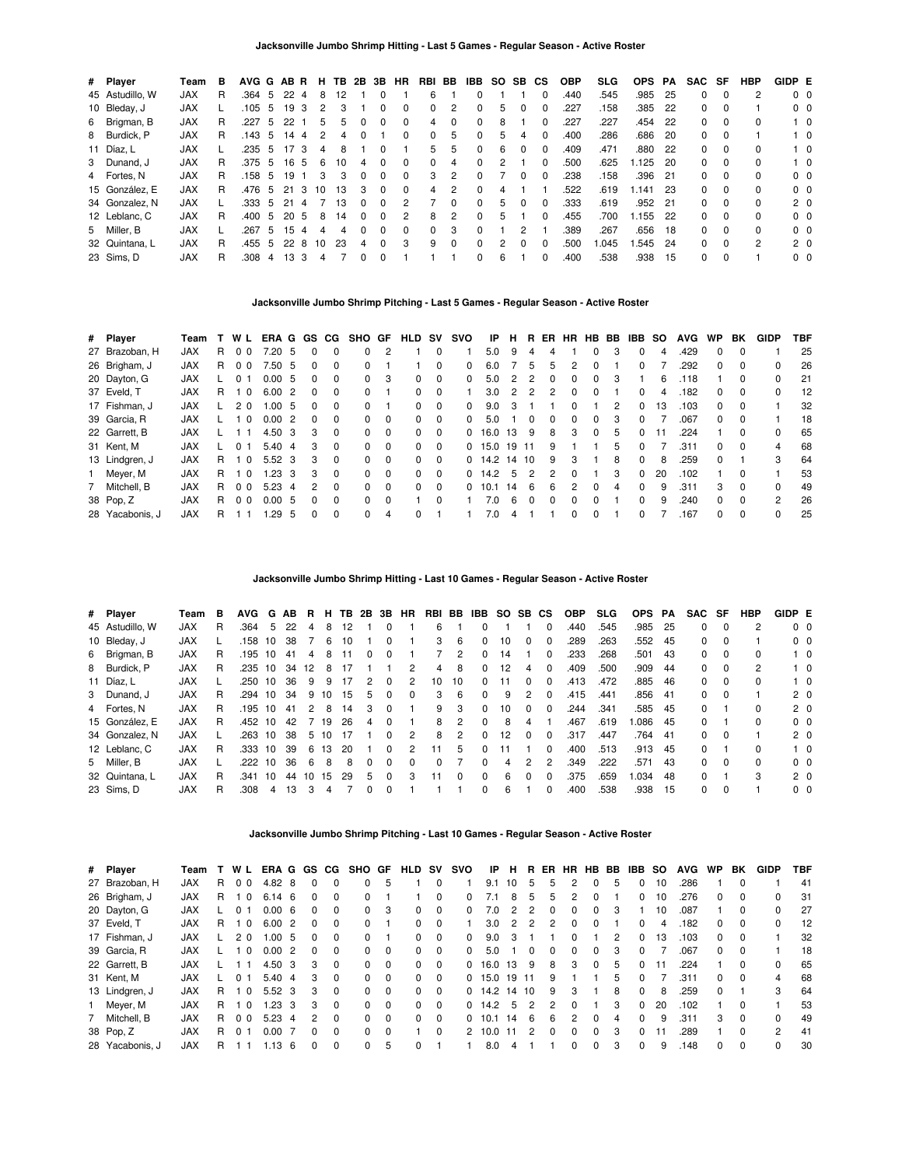| # Player        | Team       | в  | AVG G AB R |    |     |             | н. | TB. | 2B           | 3B       | HR           | RBI          | BB       | IBB.         | SO. | SB.          | <b>CS</b> | <b>OBP</b> | <b>SLG</b> | <b>OPS</b> | PA   | <b>SAC</b> | SF       | <b>HBP</b>   | GIDP E |                |
|-----------------|------------|----|------------|----|-----|-------------|----|-----|--------------|----------|--------------|--------------|----------|--------------|-----|--------------|-----------|------------|------------|------------|------|------------|----------|--------------|--------|----------------|
| 45 Astudillo, W | <b>JAX</b> | R  | .364 5     |    | 22  | 4           | 8  | 12  |              | $\Omega$ |              | 6            |          |              |     |              |           | .440       | .545       | .985       | 25   | 0          | 0        | 2            |        | 0 <sub>0</sub> |
| 10 Bleday, J    | <b>JAX</b> |    | .105       | -5 | 19  | -3          | 2  | 3   |              |          |              | 0            |          | 0            | 5.  |              |           | .227       | .158       | .385       | 22   | 0          | $\Omega$ |              |        | 0 <sub>0</sub> |
| 6 Brigman, B    | <b>JAX</b> | R  | .227       | 5  | 22  |             | 5  | 5   | 0            | $\Omega$ | $\Omega$     | 4            | 0        | 0            | 8   |              | 0         | .227       | .227       | .454       | -22  | 0          | $\Omega$ | 0            |        | $1\quad 0$     |
| 8 Burdick, P    | <b>JAX</b> | R. | .143 5     |    | 14  | $\mathbf 4$ | 2  |     | 0            |          | <sup>0</sup> | <sup>0</sup> | 5.       | 0            | 5.  | 4            | $\Omega$  | .400       | .286       | .686       | -20  | 0          | 0        |              |        | $1\quad$ 0     |
| 11 Díaz, L      | <b>JAX</b> |    | .235       | -5 | -17 | 3           | 4  | 8   |              |          |              | 5.           | 5.       | 0            | 6.  | 0            |           | .409       | .471       | .880       | -22  | 0          | $\Omega$ | 0            |        | $1\quad 0$     |
| 3 Dunand, J     | <b>JAX</b> | R. | .375 5     |    | 16  | 5           | 6  | 10  | 4            | $\Omega$ | $\Omega$     | 0            | 4        | $\Omega$     |     |              |           | .500       | .625       | .125       | 20   | 0          | $\Omega$ | 0            |        | $1\quad 0$     |
| 4 Fortes, N     | <b>JAX</b> | R. | .158 5     |    | 19  |             | 3  | з   | 0            | $\Omega$ | $\Omega$     | з            | 2        | <sup>0</sup> |     | 0            | $\Omega$  | .238       | .158       | .396       | 21   | 0          | $\Omega$ | <sup>0</sup> |        | 0 <sub>0</sub> |
| 15 González, E  | <b>JAX</b> | R  | .476       | -5 | 21  | 3           | 10 | 13  | 3            | $\Omega$ | $\Omega$     | 4            | 2        | 0            |     |              |           | .522       | .619       | .141       | -23  | 0          | $\Omega$ | <sup>0</sup> |        | 0 <sub>0</sub> |
| 34 Gonzalez, N  | <b>JAX</b> |    | .333       | -5 | 21  |             |    | 13  | <sup>0</sup> | $\Omega$ | 2            |              | $\Omega$ | 0            | 5.  | <sup>0</sup> | 0         | .333       | .619       | .952 21    |      | 0          | $\Omega$ | 0            |        | 2 <sub>0</sub> |
| 12 Leblanc, C   | <b>JAX</b> | R  | .400       | -5 | 20  | 5           | 8  | 14  | 0            | $\Omega$ | 2            | 8            | 2        | 0            | 5   |              | $\Omega$  | .455       | .700       | .155       | -22  | 0          | $\Omega$ | <sup>0</sup> |        | 0 <sub>0</sub> |
| 5 Miller, B     | <b>JAX</b> |    | .267       | 5  | 15  |             | 4  | Δ   | 0            | $\Omega$ | <sup>0</sup> | 0            | 3        | 0            |     | 2            |           | .389       | .267       | .656       | - 18 | 0          | $\Omega$ | <sup>0</sup> |        | 0 <sub>0</sub> |
| 32 Quintana, L  | <b>JAX</b> | R  | .455       | -5 | 22  | 8           | 10 | 23  | 4            | $\Omega$ | 3            | 9            | $\Omega$ | $\Omega$     |     | 0            |           | .500       | .045       | .545       | -24  | 0          | $\Omega$ | 2            |        | 2 <sub>0</sub> |
| 23 Sims, D      | <b>JAX</b> | R  | .308       | 4  | 13  | 3           | 4  |     |              | 0        |              |              |          | 0            | 6   |              | 0         | .400       | .538       | .938       | 15   | 0          | $\Omega$ |              |        | 0 <sub>0</sub> |

## **Jacksonville Jumbo Shrimp Pitching - Last 5 Games - Regular Season - Active Roster**

| # Player        | Team       |    | W L            | ERA G GS CG |    |              |          | SHO GF   |                | <b>HLD SV</b> |          | svo          | IP.  | н. | R.             |   |              | ER HR HB BB  |   | <b>IBB SO</b> |    | <b>AVG</b> | <b>WP</b>    | BK           | GIDP           | TBF |
|-----------------|------------|----|----------------|-------------|----|--------------|----------|----------|----------------|---------------|----------|--------------|------|----|----------------|---|--------------|--------------|---|---------------|----|------------|--------------|--------------|----------------|-----|
| 27 Brazoban, H  | <b>JAX</b> | R  | 0 <sub>0</sub> | 7.20        | 5  |              | $\Omega$ | 0        | $\overline{c}$ |               | 0        |              | 5.0  | 9  |                |   |              |              | 3 | 0             | 4  | .429       | 0            | <sup>0</sup> |                | 25  |
| 26 Brigham, J   | <b>JAX</b> | R. | 0 <sub>0</sub> | 7.50        | -5 | <sup>n</sup> | $\Omega$ | $\Omega$ |                |               | $\Omega$ | $\Omega$     | 6.0  |    | 5              | 5 | 2            | <sup>0</sup> |   | 0             |    | .292       | 0            | 0            | 0              | 26  |
| 20 Dayton, G    | <b>JAX</b> |    | 0              | 0.00        | 5  |              | 0        | $\Omega$ | 3              | 0             | $\Omega$ | <sup>0</sup> | 5.0  | 2  | 2              |   |              | 0            | 3 |               | 6  | .118       |              |              |                | 21  |
| 37 Eveld, T     | <b>JAX</b> | R. | - 0            | 6.00        | 2  | <sup>n</sup> | $\Omega$ | 0        |                | 0             | $\Omega$ |              | 3.0  | 2  | $\overline{2}$ |   | 0            | $\Omega$     |   | 0             | 4  | .182       | 0            | $\Omega$     | 0              | 12  |
| 17 Fishman. J   | <b>JAX</b> |    | 20             | 1.00        | 5  |              | $\Omega$ | $\Omega$ |                | 0             | $\Omega$ | $\Omega$     | 9.0  |    |                |   | <sup>0</sup> |              | 2 | 0             | 13 | .103       | 0            | 0            |                | 32  |
| 39 Garcia, R    | <b>JAX</b> |    | $\Omega$       | 0.00        | 2  |              | $\Omega$ | 0        | $\Omega$       | 0             | 0        | <sup>0</sup> | 5.0  |    |                |   |              |              | 3 | <sup>o</sup>  |    | .067       | <sup>0</sup> | 0            |                | 18  |
| 22 Garrett, B   | <b>JAX</b> |    |                | 4.50        | 3  | з            | $\Omega$ | 0        | $\Omega$       | 0             | $\Omega$ | 0            | 16.0 | 13 | 9              | 8 | 3            | $\Omega$     | 5 | 0             | 11 | .224       |              | $\Omega$     | 0              | 65  |
| 31 Kent, M      | <b>JAX</b> |    | $\Omega$       | 5.40        | 4  | з            | $\Omega$ | $\Omega$ | $\Omega$       | 0             | $\Omega$ | $\Omega$     | 15.0 | 19 | 11             | 9 |              |              | 5 | 0             |    | .311       | <sup>o</sup> | $\Omega$     | 4              | 68  |
| 13 Lindgren, J  | <b>JAX</b> | R. | - 0            | 5.52        | -3 | з            | $\Omega$ | 0        | $\Omega$       | 0             | $\Omega$ | $\Omega$     | 14.2 | 14 | 10             | 9 | 3            |              | 8 | <sup>o</sup>  | 8  | .259       | <sup>o</sup> |              | 3              | 64  |
| 1 Meyer, M      | <b>JAX</b> | R. | $\Omega$       | 1.23        | 3  | з            | $\Omega$ | 0        | $\Omega$       | 0             | $\Omega$ | 0            | 14.2 | 5  | $\mathfrak{p}$ |   | 0            |              | 3 | 0             | 20 | .102       |              | $\Omega$     |                | 53  |
| 7 Mitchell, B   | <b>JAX</b> | R. | 0 <sub>0</sub> | 5.23        | 4  | 2            | $\Omega$ | $\Omega$ | $\Omega$       | <sup>0</sup>  | $\Omega$ | <sup>0</sup> | 10.1 | 14 | 6              | 6 | 2            | $\Omega$     | 4 | <sup>o</sup>  | 9  | .311       | 3            | $\Omega$     | $\Omega$       | 49  |
| 38 Pop, Z       | <b>JAX</b> | R  | 0 <sub>0</sub> | 0.00        | 5  |              | $\Omega$ | $\Omega$ | $\Omega$       |               | $\Omega$ |              | 7.0  | 6  |                |   |              |              |   | 0             | 9  | .240       | 0            | 0            | $\mathfrak{p}$ | 26  |
| 28 Yacabonis, J | <b>JAX</b> | R  |                | .29         | 5  |              | $\Omega$ | 0        | 4              | $\Omega$      |          |              | 7.0  |    |                |   | 0            | <sup>0</sup> |   | <sup>o</sup>  |    | .167       | <sup>o</sup> | $\Omega$     | 0              | 25  |

# **Jacksonville Jumbo Shrimp Hitting - Last 10 Games - Regular Season - Active Roster**

| # Player        | Team       | в  | <b>AVG</b> |    | G AB | R. | н. | TB 2B 3B |    |          | HR.      | RBI      | BB           | IBB SO SB CS |    |   |              | <b>OBP</b> | <b>SLG</b> | <b>OPS</b> | PA   | SAC SF |          | HBP | GIDP E |                |
|-----------------|------------|----|------------|----|------|----|----|----------|----|----------|----------|----------|--------------|--------------|----|---|--------------|------------|------------|------------|------|--------|----------|-----|--------|----------------|
| 45 Astudillo, W | <b>JAX</b> | R  | .364       | 5  | 22   | 4  | 8  | 12       |    |          |          | 6        |              | 0            |    |   | 0            | .440       | .545       | .985       | -25  | 0      | $\Omega$ |     |        | 0 <sub>0</sub> |
| 10 Bleday, J    | <b>JAX</b> |    | .158       | 10 | 38   |    | 6  | 10       |    | 0        |          | 3        | 6            | 0            | 10 | 0 | 0            | .289       | .263       | .552       | 45   | 0      | $\Omega$ |     |        | 0 <sub>0</sub> |
| 6 Brigman, B    | <b>JAX</b> | R  | .195       | 10 | 41   | 4  | 8  |          |    |          |          |          | 2            | 0            | 14 |   | 0            | .233       | .268       | .501       | -43  | 0      | - 0      | 0   |        | $1\quad 0$     |
| 8 Burdick, P    | <b>JAX</b> | R  | .235       | 10 | -34  | 12 | 8  |          |    |          |          | 4        | 8            | 0            | 12 |   | O            | .409       | .500       | .909       | -44  | 0      | $\Omega$ | 2   |        | $1\quad 0$     |
| 11 Díaz, L      | <b>JAX</b> |    | .250 10    |    | 36   | 9  | 9  |          |    |          | 2        | 10       | 10           | O.           |    |   | 0            | .413       | .472       | .885       | -46  | 0      | $\Omega$ | 0   |        | $1\quad 0$     |
| 3 Dunand, J     | <b>JAX</b> | R  | .294 10    |    | 34   | 9  | 10 | 15       | 5. | $\Omega$ | $\Omega$ | 3        | 6            | 0            | 9  | 2 | 0            | .415       | .441       | .856       | - 41 | 0      | $\Omega$ |     |        | 2 <sub>0</sub> |
| 4 Fortes, N     | <b>JAX</b> | R  | .195       | 10 | -41  | 2  | 8  | 14       | 3  |          |          | 9        | 3            | 0            | 10 | 0 | <sup>0</sup> | 244.       | .341       | .585       | - 45 | 0      |          | 0   |        | 2 <sub>0</sub> |
| 15 González. E  | <b>JAX</b> | R  | .452 10    |    | 42   |    | 19 | 26       | 4  |          |          | 8        | 2            | 0            | 8  | 4 |              | .467       | .619       | .086       | -45  | 0      |          | 0   |        | 0 <sub>0</sub> |
| 34 Gonzalez, N  | <b>JAX</b> |    | .263       | 10 | 38   | 5  | 10 |          |    |          | 2        | 8        | 2            | O.           | 12 | 0 | 0            | .317       | .447       | .764       | -41  | 0      | - 0      |     |        | 2 <sub>0</sub> |
| 12 Leblanc, C   | <b>JAX</b> | R. | .333 10    |    | 39   | 6  | 13 | 20       |    | 0        | 2        | 11       | 5            | 0.           |    |   | <sup>0</sup> | .400       | .513       | .913       | - 45 | 0      |          | 0   |        | $1\quad$ 0     |
| 5 Miller, B     | <b>JAX</b> |    | .222 10    |    | 36   | -6 | 8  | 8        |    | $\Omega$ | $\Omega$ | $\Omega$ |              | 0            | 4  | 2 | 2            | .349       | .222       | .571       | 43   | 0      | $\Omega$ | 0   |        | 0 <sub>0</sub> |
| 32 Quintana, L  | <b>JAX</b> | R  | .341       | 10 | 44   | 10 | 15 | 29       | 5  | $\Omega$ | 3        | 11       | <sup>0</sup> | 0            | 6  | ŋ | O            | 375        | .659       | .034       | -48  | 0      |          | 3   |        | 2 <sub>0</sub> |
| 23 Sims, D      | <b>JAX</b> | R  | .308       | 4  | 13   | 3  |    |          |    |          |          |          |              | 0            | 6  |   | 0            | .400       | .538       | .938       | 15   | 0      | $\Omega$ |     |        | 0 <sub>0</sub> |

## **Jacksonville Jumbo Shrimp Pitching - Last 10 Games - Regular Season - Active Roster**

| # Player        | Team       |    | W L            | ERA G GS |                |   | CG.          | SHO GF     |          | <b>HLD</b> | sv          | svo          | IP.        | н  | R.            | ER | HR            | HB           | BB | <b>IBB</b> SO |    | <b>AVG</b> | <b>WP</b>    | BK           | <b>GIDP</b> | TBF |
|-----------------|------------|----|----------------|----------|----------------|---|--------------|------------|----------|------------|-------------|--------------|------------|----|---------------|----|---------------|--------------|----|---------------|----|------------|--------------|--------------|-------------|-----|
| 27 Brazoban, H  | <b>JAX</b> | R  | 0 <sub>0</sub> | 4.82     | 8              |   | <sup>0</sup> |            | 5        |            | $\mathbf 0$ |              | 9.1        | 10 | 5             | 5  | 2             |              | 5  | 0             | 10 | .286       |              | 0            |             | 41  |
| 26 Brigham, J   | <b>JAX</b> | R. | - 0            | 6.14     | 6              |   | <sup>0</sup> | $\Omega$   |          |            | $\Omega$    | <sup>0</sup> | 7.1        | 8  | 5             | 5  |               | <sup>0</sup> |    | 0             | 10 | .276       | 0            | 0            | 0           | 31  |
| 20 Dayton, G    | <b>JAX</b> |    | 0              | 0.00     | 6              |   |              | $^{\circ}$ | 3        | 0          | $\Omega$    |              | 7.0        | 2  |               |    |               |              | 3  |               | 10 | .087       |              |              | 0           | 27  |
| 37 Eveld, T     | <b>JAX</b> | R  | 0              | 6.00     | $\overline{2}$ | 0 | $\Omega$     | $\Omega$   |          | 0          | $\Omega$    |              | 3.0        | 2  | 2             | 2  | 0             | $\Omega$     |    | 0             | 4  | .182       | 0            | 0            | 0           | 12  |
| 17 Fishman. J   | <b>JAX</b> |    | 2 <sub>0</sub> | 00. ا    | 5              |   | <sup>0</sup> | $\Omega$   |          | 0          | $\Omega$    | <sup>0</sup> | 9.0        | 3  |               |    | <sup>0</sup>  |              | 2  | 0             | 13 | .103       | <sup>0</sup> | 0            |             | 32  |
| 39 Garcia, R    | <b>JAX</b> |    | 0              | 0.00     | $\mathcal{P}$  |   |              | $\Omega$   | - 0      | 0          | $\Omega$    |              | 5.0        |    |               |    |               |              | 3  | 0             |    | .067       | <sup>o</sup> | 0            |             | 18  |
| 22 Garrett, B   | <b>JAX</b> |    |                | 4.50     | 3              | 3 | <sup>0</sup> | $\Omega$   | $\Omega$ | 0          | $\Omega$    | 0            | 16.0       | 13 | 9             | 8  | 3             | <sup>n</sup> | 5  | 0             | 11 | .224       |              | <sup>0</sup> | ŋ           | 65  |
| 31 Kent, M      | <b>JAX</b> |    | 0 <sub>1</sub> | 5.40     | 4              | з | $\Omega$     | $^{\circ}$ | $\Omega$ | 0          | $\Omega$    | 0            | 15.0       | 19 | -11           | 9  |               |              | 5  | 0             |    | .311       | 0            | 0            | 4           | 68  |
| 13 Lindgren, J  | <b>JAX</b> | R  | $\Omega$       | 5.52 3   |                | з | $\Omega$     | $^{\circ}$ | $\Omega$ | 0          | $\Omega$    | 0            | 14.2 14 10 |    |               | 9  | 3             |              | 8  | 0             | 8  | .259       | <sup>o</sup> |              | 3           | 64  |
| 1 Meyer, M      | <b>JAX</b> | R. | $\Omega$       | .23      | 3              | 3 | $\Omega$     | $\Omega$   | $\Omega$ | 0          | $\Omega$    | 0            | 14.2       | 5  | $\mathcal{P}$ | 2  | 0             |              | 3  | 0             | 20 | .102       |              | $\Omega$     |             | 53  |
| 7 Mitchell, B   | <b>JAX</b> | R. | 0 <sub>0</sub> | 5.23     | 4              | 2 | $\Omega$     | $\Omega$   | $\Omega$ | 0          | $\Omega$    | 0            | 10.1       | 14 | 6             | 6  | $\mathcal{P}$ | <sup>n</sup> | 4  | 0             | 9  | .311       | 3            | 0            | 0           | 49  |
| 38 Pop, Z       | <b>JAX</b> | R. | 0              | 0.00     |                |   |              | 0          | $\Omega$ |            | $\Omega$    | 2            | 10.0       | 11 |               |    |               |              | 3  | 0             | 11 | .289       |              | 0            | 2           | 41  |
| 28 Yacabonis, J | <b>JAX</b> | R. |                | .13      | 6              |   | $\Omega$     | $\Omega$   | 5        | 0          |             |              | 8.0        |    |               |    |               | $\Omega$     | 3  | 0             | 9  | .148       | 0            | $\Omega$     |             | 30  |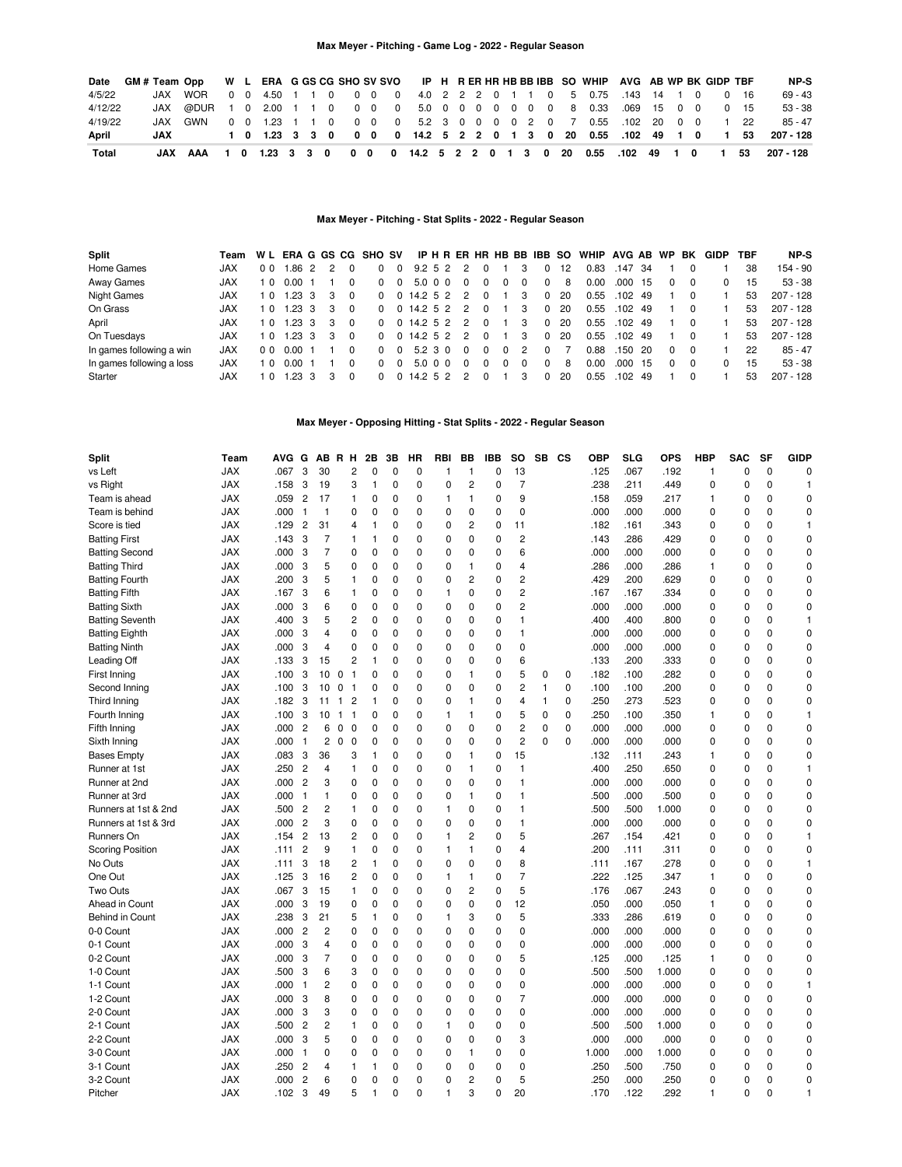| Date    | GM# Team Opp W L ERA G GS CG SHO SV SVO IP H R ER HR HB BB IBB SO WHIP AVG AB WP BK GIDP TBF |                                                                      |  |  |  |  |  |  |  |  |  |                                                                  |  |  |      |              | NP-S      |
|---------|----------------------------------------------------------------------------------------------|----------------------------------------------------------------------|--|--|--|--|--|--|--|--|--|------------------------------------------------------------------|--|--|------|--------------|-----------|
| 4/5/22  |                                                                                              | JAX WOR                                                              |  |  |  |  |  |  |  |  |  | 0 0 4.50 1 1 0 0 0 0 4.0 2 2 2 0 1 1 0 5 0.75 143 14 1 0         |  |  |      | 0 16         | $69 - 43$ |
| 4/12/22 |                                                                                              | JAX @DUR 1 0 2.00 1 1 0 0 0 0 0 5.0 0 0 0 0 0 0 0 8 0.33 .069 15 0 0 |  |  |  |  |  |  |  |  |  |                                                                  |  |  |      | $0 \quad 15$ | $53 - 38$ |
| 4/19/22 |                                                                                              | JAX GWN                                                              |  |  |  |  |  |  |  |  |  | 0 0 1.23 1 1 0 0 0 0 5.2 3 0 0 0 0 2 0 7 0.55 .102 20 0 0 1 22   |  |  |      |              | $85 - 47$ |
| April   | JAX                                                                                          |                                                                      |  |  |  |  |  |  |  |  |  | 1 0 1.23 3 3 0 0 0 0 14.2 5 2 2 0 1 3 0 20 0.55 .102 49 1 0 1 53 |  |  |      |              | 207 - 128 |
| Total   |                                                                                              | JAX AAA 1 0 1.23 3 3 0 0 0 0 14.2 5 2 2 0 1 3 0 20 0.55 .102 49 1 0  |  |  |  |  |  |  |  |  |  |                                                                  |  |  | 1 53 |              | 207 - 128 |

## **Max Meyer - Pitching - Stat Splits - 2022 - Regular Season**

| Split                     | Team       |                | W L ERA G GS CG SHO SV |               |   |          |              |          |              |  |          |   |   |   | IP H R ER HR HB BB IBB SO |    | WHIP AVG AB WP BK |           |      |          |          | <b>GIDP</b> | TBF | NP-S        |
|---------------------------|------------|----------------|------------------------|---------------|---|----------|--------------|----------|--------------|--|----------|---|---|---|---------------------------|----|-------------------|-----------|------|----------|----------|-------------|-----|-------------|
| Home Games                | <b>JAX</b> | 0 <sub>0</sub> | .86                    | $\mathcal{P}$ |   |          |              | $\Omega$ | 9.252        |  |          |   |   |   | $\Omega$                  | 12 | 0.83              | .147      | -34  |          |          |             | 38  | 154 - 90    |
| Away Games                | <b>JAX</b> | 10             | 0.00                   |               |   |          | <sup>0</sup> | $\Omega$ | 5.0 0 0      |  |          |   |   | 0 | 0                         | 8  | 0.00              | .000      | 15   |          | $\Omega$ |             | 15  | $53 - 38$   |
| Night Games               | <b>JAX</b> | 10             | $1.23 \quad 3$         |               | 3 | $\Omega$ | $\Omega$     |          | 0.14.252     |  | 2        | 0 |   | 3 | $\Omega$                  | 20 | 0.55              | .102      | 49   |          |          |             | 53  | 207 - 128   |
| On Grass                  | <b>JAX</b> | 10             | $1.23 \quad 3$         |               | 3 | $\Omega$ | $\Omega$     |          | 0.14.252     |  | 2        | 0 |   | 3 | $\Omega$                  | 20 | 0.55              | $.102$ 49 |      |          |          |             | 53  | $207 - 128$ |
| April                     | <b>JAX</b> | 10             | $.23 \, 3$             |               | 3 | $\Omega$ | $\Omega$     |          | 0.14.252     |  | 2        | 0 |   | 3 | $\Omega$                  | 20 | 0.55              | .102      | - 49 |          | $\Omega$ |             | 53  | $207 - 128$ |
| On Tuesdays               | <b>JAX</b> | 1 0            | $1.23 \quad 3$         |               | 3 | $\Omega$ | $\Omega$     |          | $0$ 14.2 5 2 |  | 2        | 0 |   | 3 | $\Omega$                  | 20 | 0.55              | $.102$ 49 |      |          |          |             | 53  | $207 - 128$ |
| In games following a win  | <b>JAX</b> | 0 <sub>0</sub> | 0.001                  |               |   |          | <sup>0</sup> | $\Omega$ | 5.2 3 0      |  | $\Omega$ | 0 | 0 | 2 | $\Omega$                  |    | 0.88              | .150      | -20  | $\Omega$ | $\Omega$ |             | 22  | $85 - 47$   |
| In games following a loss | <b>JAX</b> |                | 0.00                   |               |   |          | <sup>0</sup> | $\Omega$ | 5.0 0 0      |  | $\Omega$ | 0 | 0 | 0 | $\Omega$                  | 8  | 0.00              | .000      | -15  | $\Omega$ | $\Omega$ | 0           | 15  | $53 - 38$   |
| Starter                   | JAX        |                | 23                     | 3             |   | $\Omega$ | $\Omega$     | $\Omega$ | $14.2\ 5.2$  |  | 2        |   |   |   |                           | 20 | 0.55              | .102      | -49  |          |          |             | 53  | $207 - 128$ |

## **Max Meyer - Opposing Hitting - Stat Splits - 2022 - Regular Season**

| <b>JAX</b><br>3<br>30<br>$\overline{c}$<br>$\mathbf 0$<br>13<br>.067<br>$\mathbf 0$<br>$\mathbf 0$<br>vs Left<br>.067<br>0<br>$\mathbf 0$<br>0<br>.125<br>.192<br>$\mathbf{1}$<br>0<br>$\mathbf{1}$<br>1<br>$\overline{7}$<br>JAX<br>.158<br>3<br>19<br>3<br>2<br>.238<br>.211<br>.449<br>$\Omega$<br>vs Right<br>1<br>0<br>0<br>$\mathbf 0$<br>0<br>0<br>0<br>1<br><b>JAX</b><br>.059<br>17<br>9<br>.059<br>$\mathbf 0$<br>Team is ahead<br>$\overline{c}$<br>$\mathbf{1}$<br>0<br>0<br>$\mathbf 0$<br>$\mathbf{1}$<br>1<br>0<br>.158<br>.217<br>$\mathbf{1}$<br>0<br>0<br>.000<br>.000<br><b>JAX</b><br>.000<br>$\overline{1}$<br>0<br>0<br>$\mathbf 0$<br>$\mathbf 0$<br>0<br>0<br>0<br>0<br>0<br>0<br>0<br>Team is behind<br>.000<br>0<br>-1<br>$\overline{c}$<br><b>JAX</b><br>.129<br>$\overline{c}$<br>31<br>$\mathbf{1}$<br>$\mathbf 0$<br>$\mathbf 0$<br>.161<br>0<br>$\mathbf{1}$<br>Score is tied<br>4<br>0<br>0<br>11<br>.182<br>.343<br>0<br>0<br>$\overline{7}$<br>$\overline{c}$<br>0<br>$\mathbf 0$<br><b>JAX</b><br>.143<br>3<br>$\mathbf{1}$<br>1<br>0<br>$\mathbf 0$<br>0<br>0<br>0<br>.143<br>.286<br>.429<br>0<br>0<br><b>Batting First</b><br>$\overline{7}$<br><b>JAX</b><br>3<br>0<br>0<br>$\mathbf 0$<br>$\mathbf 0$<br>0<br>0<br>6<br>.000<br>.000<br>.000<br>$\Omega$<br>$\mathbf 0$<br><b>Batting Second</b><br>.000<br>0<br>0<br>0<br><b>JAX</b><br>5<br>0<br>$\mathbf 0$<br>.000<br>.286<br>0<br>$\mathbf 0$<br><b>Batting Third</b><br>.000<br>3<br>$\mathbf 0$<br>$\mathbf 0$<br>0<br>1<br>0<br>$\overline{4}$<br>.286<br>$\mathbf{1}$<br>0<br><b>JAX</b><br>5<br>$\mathbf 0$<br>$\overline{c}$<br>2<br>.200<br>.629<br>0<br><b>Batting Fourth</b><br>.200<br>3<br>$\mathbf{1}$<br>0<br>$\mathbf 0$<br>0<br>0<br>.429<br>0<br>0<br>0<br>$\overline{c}$<br><b>JAX</b><br>$\mathbf 0$<br>$\Omega$<br>0<br>.334<br>$\Omega$<br>$\mathbf 0$<br><b>Batting Fifth</b><br>.167<br>3<br>6<br>$\mathbf{1}$<br>$\mathbf 0$<br>$\mathbf 0$<br>$\mathbf{1}$<br>.167<br>.167<br>0<br>0<br>$\overline{c}$<br>0<br><b>Batting Sixth</b><br><b>JAX</b><br>.000<br>3<br>6<br>0<br>$\mathbf 0$<br>$\mathbf 0$<br>0<br>0<br>0<br>.000<br>.000<br>.000<br>0<br>0<br>$\mathbf 0$<br>0<br><b>JAX</b><br>.400<br>3<br>5<br>$\overline{2}$<br>0<br>$\mathbf 0$<br>$\mathbf 0$<br>$\Omega$<br>0<br>1<br>.400<br>.400<br>.800<br>0<br><b>Batting Seventh</b><br>0<br>0<br>0<br>1<br><b>JAX</b><br>.000<br>$\mathbf 0$<br>$\mathbf 0$<br>$\mathbf 0$<br>$\mathbf 0$<br>$\mathbf 0$<br>0<br>$\mathbf 0$<br>$\mathbf{1}$<br>.000<br>.000<br>0<br>$\mathbf 0$<br>3<br>$\overline{\mathbf{4}}$<br>.000<br>0<br>$\mathbf 0$<br><b>Batting Eighth</b><br>$\mathbf 0$<br>$\mathbf 0$<br><b>JAX</b><br>.000<br>3<br>0<br>0<br>0<br>0<br>0<br>0<br>0<br>.000<br>.000<br>0<br>0<br><b>Batting Ninth</b><br>$\overline{4}$<br>0<br>.000<br><b>JAX</b><br>15<br>2<br>$\mathbf 0$<br>6<br>.333<br>$\mathbf 0$<br>$\mathbf 0$<br>Leading Off<br>.133<br>3<br>$\mathbf{1}$<br>$\mathbf 0$<br>$\mathbf 0$<br>$\mathbf 0$<br>0<br>.133<br>.200<br>0<br>$\mathbf 0$<br>5<br>$\mathbf 0$<br>$\mathbf 0$<br><b>JAX</b><br>.100<br>3<br>10<br>0<br>$\overline{1}$<br>0<br>0<br>$\mathbf 0$<br>0<br>1<br>0<br>0<br>$\mathbf 0$<br>.182<br>.100<br>.282<br>0<br>0<br>First Inning<br>$\mathbf 0$<br><b>JAX</b><br>$\mathbf 0$<br>$\mathbf 0$<br>0<br>0<br>$\overline{2}$<br>1<br>.100<br>.100<br>.200<br>$\mathbf 0$<br>0<br>$\Omega$<br>Second Inning<br>.100<br>3<br>10<br>0<br>$\mathbf{1}$<br>0<br>$\Omega$<br>0<br><b>JAX</b><br>.182<br>3<br>$\mathbf 0$<br>$\mathbf{1}$<br>0<br>.250<br>.273<br>.523<br>$\mathbf 0$<br>$\mathbf 0$<br>Third Inning<br>$\mathbf{1}$<br>$\overline{c}$<br>1<br>0<br>$\mathbf 0$<br>1<br>0<br>$\overline{4}$<br>0<br>0<br>11<br>0<br>$\mathbf 0$<br>.350<br><b>JAX</b><br>.100<br>3<br>0<br>$\mathbf 0$<br>$\mathbf 0$<br>0<br>5<br>.250<br>.100<br>$\mathbf 0$<br>0<br>Fourth Inning<br>10<br>$\overline{1}$<br>$\overline{1}$<br>$\mathbf{1}$<br>1<br>$\mathbf{1}$<br>1<br>2<br><b>JAX</b><br>$\overline{2}$<br>0<br>$\mathbf 0$<br>$\Omega$<br>0<br>0<br>$\mathbf 0$<br>.000<br>.000<br>0<br>$\mathbf 0$<br>Fifth Inning<br>.000<br>6<br>$\mathbf 0$<br>$\mathbf 0$<br>$\mathbf 0$<br>$\mathbf 0$<br>.000<br>0<br>0<br>$\mathbf 0$<br>2<br>0<br>0<br><b>JAX</b><br>.000<br>$\overline{c}$<br>$\mathbf 0$<br>0<br>$\mathbf 0$<br>$\mathbf 0$<br>0<br>0<br>0<br>.000<br>.000<br>.000<br>0<br>0<br>0<br>$\mathbf 0$<br>Sixth Inning<br>$\mathbf{1}$<br><b>JAX</b><br>.083<br>3<br>36<br>1<br>$\mathbf 0$<br>$\mathbf 0$<br>1<br>0<br>15<br>.132<br>.111<br>.243<br>0<br>0<br>$\mathbf 0$<br><b>Bases Empty</b><br>3<br>0<br>$\mathbf{1}$<br><b>JAX</b><br>.250<br>$\overline{c}$<br>0<br>$\mathbf 0$<br>0<br>$\mathbf{1}$<br>.250<br>.650<br>0<br>$\mathbf{1}$<br>$\overline{4}$<br>$\mathbf{1}$<br>0<br>0<br>1<br>.400<br>0<br>0<br>Runner at 1st<br>$\overline{c}$<br>3<br>0<br>$\mathbf{1}$<br>$\mathbf 0$<br>$\mathbf 0$<br><b>JAX</b><br>.000<br>0<br>$\mathbf 0$<br>0<br>0<br>0<br>0<br>.000<br>.000<br>0<br>0<br>Runner at 2nd<br>.000<br><b>JAX</b><br>$\mathbf{1}$<br>0<br>0<br>$\mathbf 0$<br>1<br>0<br>$\mathbf{1}$<br>.000<br>.500<br>0<br>$\mathbf 0$<br>Runner at 3rd<br>.000<br>$\mathbf{1}$<br>0<br>$\mathbf 0$<br>.500<br>0<br>0<br>$\overline{c}$<br>$\mathbf{1}$<br>0<br><b>JAX</b><br>.500<br>$\overline{c}$<br>1<br>0<br>$\mathbf 0$<br>$\mathbf 0$<br>$\mathbf{1}$<br>0<br>0<br>.500<br>.500<br>1.000<br>0<br>$\mathbf 0$<br>$\mathbf 0$<br>Runners at 1st & 2nd<br><b>JAX</b><br>$\overline{2}$<br>3<br>0<br>$\mathbf 0$<br>.000<br>$\mathbf 0$<br>$\mathbf 0$<br>0<br>0<br>$\mathbf{1}$<br>.000<br>.000<br>.000<br>0<br>0<br>0<br>0<br>Runners at 1st & 3rd<br>0<br>5<br><b>JAX</b><br>$\overline{c}$<br>13<br>2<br>$\mathbf 0$<br>$\mathbf 0$<br>$\mathbf 0$<br>$\overline{c}$<br>0<br>.154<br>.421<br>$\Omega$<br>Runners On<br>.154<br>$\mathbf{1}$<br>.267<br>0<br>0<br>$\mathbf{1}$<br>$\mathbf 0$<br>$\mathbf 0$<br><b>Scoring Position</b><br><b>JAX</b><br>$\overline{c}$<br>9<br>$\mathbf{1}$<br>0<br>$\mathbf 0$<br>$\mathbf{1}$<br>1<br>0<br>4<br>.200<br>.111<br>.311<br>0<br>0<br>.111<br>0<br>No Outs<br><b>JAX</b><br>3<br>18<br>2<br>$\mathbf 0$<br>$\mathbf 0$<br>0<br>8<br>.167<br>.278<br>0<br>.111<br>1<br>0<br>0<br>.111<br>0<br>0<br>1<br>One Out<br>2<br>$\mathbf 0$<br>$\overline{7}$<br>.125<br>.347<br>$\mathbf 0$<br><b>JAX</b><br>.125<br>3<br>16<br>0<br>$\mathbf 0$<br>1<br>0<br>.222<br>0<br>0<br>$\mathbf{1}$<br>$\mathbf{1}$<br>Two Outs<br>15<br>$\overline{c}$<br>5<br>0<br><b>JAX</b><br>.067<br>3<br>1<br>0<br>$\mathbf 0$<br>0<br>0<br>.176<br>.067<br>.243<br>0<br>0<br>0<br>0<br>12<br><b>JAX</b><br>3<br>19<br>$\mathbf 0$<br>0<br>$\mathbf 0$<br>$\mathbf 0$<br>$\mathbf 0$<br>$\mathbf 0$<br>$\mathbf 0$<br>.000<br>.050<br>$\mathbf 0$<br>$\Omega$<br>$\mathbf 0$<br>Ahead in Count<br>.000<br>.050<br>$\mathbf{1}$<br>5<br>5<br>$\mathbf 0$<br>$\mathbf 0$<br><b>JAX</b><br>.238<br>3<br>21<br>1<br>0<br>$\mathbf 0$<br>$\mathbf{1}$<br>3<br>0<br>.333<br>.286<br>.619<br>0<br>0<br><b>Behind in Count</b><br><b>JAX</b><br>$\overline{c}$<br>$\overline{2}$<br>0<br>0<br>$\mathbf 0$<br>0<br>0<br>.000<br>.000<br>0<br>$\mathbf 0$<br>0-0 Count<br>.000<br>0<br>$\mathbf 0$<br>0<br>.000<br>0<br>0<br>0-1 Count<br><b>JAX</b><br>$\mathbf 0$<br>$\mathbf 0$<br>$\mathbf 0$<br>$\mathbf 0$<br>0<br>0<br>.000<br>.000<br>0<br>$\mathbf 0$<br>.000<br>3<br>$\overline{4}$<br>0<br>$\mathbf 0$<br>.000<br>0<br>0<br><b>JAX</b><br>7<br>$\mathbf 0$<br>5<br>0<br>0-2 Count<br>.000<br>3<br>0<br>$\mathbf 0$<br>$\mathbf 0$<br>0<br>0<br>0<br>.125<br>.000<br>.125<br>0<br>$\mathbf 0$<br>$\mathbf{1}$<br><b>JAX</b><br>6<br>3<br>$\mathbf 0$<br>$\Omega$<br>0<br>$\mathbf 0$<br>.500<br>$\Omega$<br>$\Omega$<br>1-0 Count<br>.500<br>3<br>$\mathbf 0$<br>$\mathbf 0$<br>$\mathbf 0$<br>.500<br>1.000<br>0<br>0<br>$\mathbf 0$<br>1-1 Count<br><b>JAX</b><br>.000<br>$\overline{c}$<br>0<br>$\mathbf 0$<br>$\mathbf 0$<br>0<br>0<br>0<br>0<br>.000<br>.000<br>.000<br>0<br>0<br>$\overline{1}$<br>0<br>1<br>$\overline{7}$<br>1-2 Count<br><b>JAX</b><br>.000<br>8<br>0<br>0<br>$\mathbf 0$<br>$\mathbf 0$<br>$\mathbf 0$<br>0<br>0<br>.000<br>.000<br>.000<br>0<br>$\mathbf 0$<br>3<br>0<br>0<br>2-0 Count<br><b>JAX</b><br>.000<br>3<br>3<br>$\mathbf 0$<br>$\mathbf 0$<br>$\mathbf 0$<br>$\mathbf 0$<br>0<br>$\mathbf 0$<br>.000<br>.000<br>0<br>$\mathbf 0$<br>0<br>$\mathbf 0$<br>.000<br>0<br>0<br>$\overline{c}$<br>0<br>$\mathbf 0$<br>2-1 Count<br><b>JAX</b><br>$\overline{c}$<br>$\mathbf{1}$<br>0<br>$\mathbf 0$<br>$\mathbf 0$<br>$\mathbf{1}$<br>0<br>0<br>.500<br>1.000<br>0<br>.500<br>0<br>.500<br>0<br>5<br>2-2 Count<br><b>JAX</b><br>3<br>$\mathbf 0$<br>$\mathbf 0$<br>$\mathbf 0$<br>$\mathbf 0$<br>$\mathbf 0$<br>0<br>3<br>.000<br>$\mathbf 0$<br>$\mathbf 0$<br>.000<br>$\mathbf 0$<br>.000<br>.000<br>0<br>0<br>3-0 Count<br><b>JAX</b><br>.000<br>$\mathbf 0$<br>0<br>0<br>$\mathbf 0$<br>$\mathbf 0$<br>0<br>1<br>0<br>0<br>1.000<br>.000<br>1.000<br>0<br>$\mathbf 0$<br>0<br>0<br>$\overline{1}$<br>3-1 Count<br><b>JAX</b><br>.250<br>$\overline{2}$<br>$\mathbf{1}$<br>$\mathbf 0$<br>$\mathbf 0$<br>0<br>0<br>0<br>.250<br>.500<br>.750<br>$\Omega$<br>0<br>1<br>0<br>0<br>0<br>4<br>3-2 Count<br><b>JAX</b><br>$\overline{c}$<br>6<br>0<br>$\mathbf 0$<br>$\mathbf 0$<br>$\mathbf 0$<br>$\overline{c}$<br>5<br>.250<br>.000<br>.250<br>$\Omega$<br>$\mathbf 0$<br>.000<br>0<br>0<br>0<br>0<br>3<br>3<br>5<br>$\mathbf{1}$<br>20<br>.122<br>$\Omega$<br>$\mathbf{1}$<br><b>JAX</b><br>.102<br>49<br>$\Omega$<br>$\Omega$<br>$\mathbf{1}$<br>0<br>.170<br>292<br>$\Omega$<br>Pitcher<br>1 | <b>Split</b> | Team | <b>AVG</b> | G | AВ | R H | 2B | 3B | ΗR | RBI | BB | <b>IBB</b> | <b>SO</b> | <b>SB</b> | <b>CS</b> | <b>OBP</b> | <b>SLG</b> | <b>OPS</b> | <b>HBP</b> | <b>SAC</b> | <b>SF</b> | <b>GIDP</b> |
|-------------------------------------------------------------------------------------------------------------------------------------------------------------------------------------------------------------------------------------------------------------------------------------------------------------------------------------------------------------------------------------------------------------------------------------------------------------------------------------------------------------------------------------------------------------------------------------------------------------------------------------------------------------------------------------------------------------------------------------------------------------------------------------------------------------------------------------------------------------------------------------------------------------------------------------------------------------------------------------------------------------------------------------------------------------------------------------------------------------------------------------------------------------------------------------------------------------------------------------------------------------------------------------------------------------------------------------------------------------------------------------------------------------------------------------------------------------------------------------------------------------------------------------------------------------------------------------------------------------------------------------------------------------------------------------------------------------------------------------------------------------------------------------------------------------------------------------------------------------------------------------------------------------------------------------------------------------------------------------------------------------------------------------------------------------------------------------------------------------------------------------------------------------------------------------------------------------------------------------------------------------------------------------------------------------------------------------------------------------------------------------------------------------------------------------------------------------------------------------------------------------------------------------------------------------------------------------------------------------------------------------------------------------------------------------------------------------------------------------------------------------------------------------------------------------------------------------------------------------------------------------------------------------------------------------------------------------------------------------------------------------------------------------------------------------------------------------------------------------------------------------------------------------------------------------------------------------------------------------------------------------------------------------------------------------------------------------------------------------------------------------------------------------------------------------------------------------------------------------------------------------------------------------------------------------------------------------------------------------------------------------------------------------------------------------------------------------------------------------------------------------------------------------------------------------------------------------------------------------------------------------------------------------------------------------------------------------------------------------------------------------------------------------------------------------------------------------------------------------------------------------------------------------------------------------------------------------------------------------------------------------------------------------------------------------------------------------------------------------------------------------------------------------------------------------------------------------------------------------------------------------------------------------------------------------------------------------------------------------------------------------------------------------------------------------------------------------------------------------------------------------------------------------------------------------------------------------------------------------------------------------------------------------------------------------------------------------------------------------------------------------------------------------------------------------------------------------------------------------------------------------------------------------------------------------------------------------------------------------------------------------------------------------------------------------------------------------------------------------------------------------------------------------------------------------------------------------------------------------------------------------------------------------------------------------------------------------------------------------------------------------------------------------------------------------------------------------------------------------------------------------------------------------------------------------------------------------------------------------------------------------------------------------------------------------------------------------------------------------------------------------------------------------------------------------------------------------------------------------------------------------------------------------------------------------------------------------------------------------------------------------------------------------------------------------------------------------------------------------------------------------------------------------------------------------------------------------------------------------------------------------------------------------------------------------------------------------------------------------------------------------------------------------------------------------------------------------------------------------------------------------------------------------------------------------------------------------------------------------------------------------------------------------------------------------------------------------------------------------------------------------------------------------------------------------------------------------------------------------------------------------------------------------------------------------------------------------------------------------------------------------------------------------------------------------------------------------------------------------------------------------------------------------------------------------------------------------------------------------------------------------------------------------------------------------------------------------------------------------------------------------------------------------------------------------------------------------------------------------------------------------------------------------------------------------------------------------------------------------------------------------------------------------------------------------------------------------------------------------------------------------------------------------------------------------------------------------------------------------------------------------------------------------------------------------------------------------------------------------------------------------------------------------------------------------------------------------------------------------------------------------------------------------------------------------------------------------------------------------------------------------------------------------------------------------------------------------------------------------------------------------------------------------------------------------------------------------------------------------------------------------------------------------------------------------------------------------------------------------------------------------------------------------------------------------------------------------------------------------------------------------------------------------------------------------------------------------------------------------------------------------------------------------------------------------------------------------------------------------------------------------------------------------------------------------------------------------------------------------------------------------------------------------------------------------------------------------------------------------------------------------------------------------------------------------------------------------------------------------------------------------------------------------------------------------------------------------|--------------|------|------------|---|----|-----|----|----|----|-----|----|------------|-----------|-----------|-----------|------------|------------|------------|------------|------------|-----------|-------------|
|                                                                                                                                                                                                                                                                                                                                                                                                                                                                                                                                                                                                                                                                                                                                                                                                                                                                                                                                                                                                                                                                                                                                                                                                                                                                                                                                                                                                                                                                                                                                                                                                                                                                                                                                                                                                                                                                                                                                                                                                                                                                                                                                                                                                                                                                                                                                                                                                                                                                                                                                                                                                                                                                                                                                                                                                                                                                                                                                                                                                                                                                                                                                                                                                                                                                                                                                                                                                                                                                                                                                                                                                                                                                                                                                                                                                                                                                                                                                                                                                                                                                                                                                                                                                                                                                                                                                                                                                                                                                                                                                                                                                                                                                                                                                                                                                                                                                                                                                                                                                                                                                                                                                                                                                                                                                                                                                                                                                                                                                                                                                                                                                                                                                                                                                                                                                                                                                                                                                                                                                                                                                                                                                                                                                                                                                                                                                                                                                                                                                                                                                                                                                                                                                                                                                                                                                                                                                                                                                                                                                                                                                                                                                                                                                                                                                                                                                                                                                                                                                                                                                                                                                                                                                                                                                                                                                                                                                                                                                                                                                                                                                                                                                                                                                                                                                                                                                                                                                                                                                                                                                                                                                                                                                                                                                                                                                                                                                                                                                                                                                                                                                                                                                                                                                                                                                                                                                                                                                                                                                                                                                                                                                                                                                                                             |              |      |            |   |    |     |    |    |    |     |    |            |           |           |           |            |            |            |            |            |           |             |
|                                                                                                                                                                                                                                                                                                                                                                                                                                                                                                                                                                                                                                                                                                                                                                                                                                                                                                                                                                                                                                                                                                                                                                                                                                                                                                                                                                                                                                                                                                                                                                                                                                                                                                                                                                                                                                                                                                                                                                                                                                                                                                                                                                                                                                                                                                                                                                                                                                                                                                                                                                                                                                                                                                                                                                                                                                                                                                                                                                                                                                                                                                                                                                                                                                                                                                                                                                                                                                                                                                                                                                                                                                                                                                                                                                                                                                                                                                                                                                                                                                                                                                                                                                                                                                                                                                                                                                                                                                                                                                                                                                                                                                                                                                                                                                                                                                                                                                                                                                                                                                                                                                                                                                                                                                                                                                                                                                                                                                                                                                                                                                                                                                                                                                                                                                                                                                                                                                                                                                                                                                                                                                                                                                                                                                                                                                                                                                                                                                                                                                                                                                                                                                                                                                                                                                                                                                                                                                                                                                                                                                                                                                                                                                                                                                                                                                                                                                                                                                                                                                                                                                                                                                                                                                                                                                                                                                                                                                                                                                                                                                                                                                                                                                                                                                                                                                                                                                                                                                                                                                                                                                                                                                                                                                                                                                                                                                                                                                                                                                                                                                                                                                                                                                                                                                                                                                                                                                                                                                                                                                                                                                                                                                                                                                             |              |      |            |   |    |     |    |    |    |     |    |            |           |           |           |            |            |            |            |            |           |             |
|                                                                                                                                                                                                                                                                                                                                                                                                                                                                                                                                                                                                                                                                                                                                                                                                                                                                                                                                                                                                                                                                                                                                                                                                                                                                                                                                                                                                                                                                                                                                                                                                                                                                                                                                                                                                                                                                                                                                                                                                                                                                                                                                                                                                                                                                                                                                                                                                                                                                                                                                                                                                                                                                                                                                                                                                                                                                                                                                                                                                                                                                                                                                                                                                                                                                                                                                                                                                                                                                                                                                                                                                                                                                                                                                                                                                                                                                                                                                                                                                                                                                                                                                                                                                                                                                                                                                                                                                                                                                                                                                                                                                                                                                                                                                                                                                                                                                                                                                                                                                                                                                                                                                                                                                                                                                                                                                                                                                                                                                                                                                                                                                                                                                                                                                                                                                                                                                                                                                                                                                                                                                                                                                                                                                                                                                                                                                                                                                                                                                                                                                                                                                                                                                                                                                                                                                                                                                                                                                                                                                                                                                                                                                                                                                                                                                                                                                                                                                                                                                                                                                                                                                                                                                                                                                                                                                                                                                                                                                                                                                                                                                                                                                                                                                                                                                                                                                                                                                                                                                                                                                                                                                                                                                                                                                                                                                                                                                                                                                                                                                                                                                                                                                                                                                                                                                                                                                                                                                                                                                                                                                                                                                                                                                                                             |              |      |            |   |    |     |    |    |    |     |    |            |           |           |           |            |            |            |            |            |           |             |
|                                                                                                                                                                                                                                                                                                                                                                                                                                                                                                                                                                                                                                                                                                                                                                                                                                                                                                                                                                                                                                                                                                                                                                                                                                                                                                                                                                                                                                                                                                                                                                                                                                                                                                                                                                                                                                                                                                                                                                                                                                                                                                                                                                                                                                                                                                                                                                                                                                                                                                                                                                                                                                                                                                                                                                                                                                                                                                                                                                                                                                                                                                                                                                                                                                                                                                                                                                                                                                                                                                                                                                                                                                                                                                                                                                                                                                                                                                                                                                                                                                                                                                                                                                                                                                                                                                                                                                                                                                                                                                                                                                                                                                                                                                                                                                                                                                                                                                                                                                                                                                                                                                                                                                                                                                                                                                                                                                                                                                                                                                                                                                                                                                                                                                                                                                                                                                                                                                                                                                                                                                                                                                                                                                                                                                                                                                                                                                                                                                                                                                                                                                                                                                                                                                                                                                                                                                                                                                                                                                                                                                                                                                                                                                                                                                                                                                                                                                                                                                                                                                                                                                                                                                                                                                                                                                                                                                                                                                                                                                                                                                                                                                                                                                                                                                                                                                                                                                                                                                                                                                                                                                                                                                                                                                                                                                                                                                                                                                                                                                                                                                                                                                                                                                                                                                                                                                                                                                                                                                                                                                                                                                                                                                                                                                             |              |      |            |   |    |     |    |    |    |     |    |            |           |           |           |            |            |            |            |            |           |             |
|                                                                                                                                                                                                                                                                                                                                                                                                                                                                                                                                                                                                                                                                                                                                                                                                                                                                                                                                                                                                                                                                                                                                                                                                                                                                                                                                                                                                                                                                                                                                                                                                                                                                                                                                                                                                                                                                                                                                                                                                                                                                                                                                                                                                                                                                                                                                                                                                                                                                                                                                                                                                                                                                                                                                                                                                                                                                                                                                                                                                                                                                                                                                                                                                                                                                                                                                                                                                                                                                                                                                                                                                                                                                                                                                                                                                                                                                                                                                                                                                                                                                                                                                                                                                                                                                                                                                                                                                                                                                                                                                                                                                                                                                                                                                                                                                                                                                                                                                                                                                                                                                                                                                                                                                                                                                                                                                                                                                                                                                                                                                                                                                                                                                                                                                                                                                                                                                                                                                                                                                                                                                                                                                                                                                                                                                                                                                                                                                                                                                                                                                                                                                                                                                                                                                                                                                                                                                                                                                                                                                                                                                                                                                                                                                                                                                                                                                                                                                                                                                                                                                                                                                                                                                                                                                                                                                                                                                                                                                                                                                                                                                                                                                                                                                                                                                                                                                                                                                                                                                                                                                                                                                                                                                                                                                                                                                                                                                                                                                                                                                                                                                                                                                                                                                                                                                                                                                                                                                                                                                                                                                                                                                                                                                                                             |              |      |            |   |    |     |    |    |    |     |    |            |           |           |           |            |            |            |            |            |           |             |
|                                                                                                                                                                                                                                                                                                                                                                                                                                                                                                                                                                                                                                                                                                                                                                                                                                                                                                                                                                                                                                                                                                                                                                                                                                                                                                                                                                                                                                                                                                                                                                                                                                                                                                                                                                                                                                                                                                                                                                                                                                                                                                                                                                                                                                                                                                                                                                                                                                                                                                                                                                                                                                                                                                                                                                                                                                                                                                                                                                                                                                                                                                                                                                                                                                                                                                                                                                                                                                                                                                                                                                                                                                                                                                                                                                                                                                                                                                                                                                                                                                                                                                                                                                                                                                                                                                                                                                                                                                                                                                                                                                                                                                                                                                                                                                                                                                                                                                                                                                                                                                                                                                                                                                                                                                                                                                                                                                                                                                                                                                                                                                                                                                                                                                                                                                                                                                                                                                                                                                                                                                                                                                                                                                                                                                                                                                                                                                                                                                                                                                                                                                                                                                                                                                                                                                                                                                                                                                                                                                                                                                                                                                                                                                                                                                                                                                                                                                                                                                                                                                                                                                                                                                                                                                                                                                                                                                                                                                                                                                                                                                                                                                                                                                                                                                                                                                                                                                                                                                                                                                                                                                                                                                                                                                                                                                                                                                                                                                                                                                                                                                                                                                                                                                                                                                                                                                                                                                                                                                                                                                                                                                                                                                                                                                             |              |      |            |   |    |     |    |    |    |     |    |            |           |           |           |            |            |            |            |            |           |             |
|                                                                                                                                                                                                                                                                                                                                                                                                                                                                                                                                                                                                                                                                                                                                                                                                                                                                                                                                                                                                                                                                                                                                                                                                                                                                                                                                                                                                                                                                                                                                                                                                                                                                                                                                                                                                                                                                                                                                                                                                                                                                                                                                                                                                                                                                                                                                                                                                                                                                                                                                                                                                                                                                                                                                                                                                                                                                                                                                                                                                                                                                                                                                                                                                                                                                                                                                                                                                                                                                                                                                                                                                                                                                                                                                                                                                                                                                                                                                                                                                                                                                                                                                                                                                                                                                                                                                                                                                                                                                                                                                                                                                                                                                                                                                                                                                                                                                                                                                                                                                                                                                                                                                                                                                                                                                                                                                                                                                                                                                                                                                                                                                                                                                                                                                                                                                                                                                                                                                                                                                                                                                                                                                                                                                                                                                                                                                                                                                                                                                                                                                                                                                                                                                                                                                                                                                                                                                                                                                                                                                                                                                                                                                                                                                                                                                                                                                                                                                                                                                                                                                                                                                                                                                                                                                                                                                                                                                                                                                                                                                                                                                                                                                                                                                                                                                                                                                                                                                                                                                                                                                                                                                                                                                                                                                                                                                                                                                                                                                                                                                                                                                                                                                                                                                                                                                                                                                                                                                                                                                                                                                                                                                                                                                                                             |              |      |            |   |    |     |    |    |    |     |    |            |           |           |           |            |            |            |            |            |           |             |
|                                                                                                                                                                                                                                                                                                                                                                                                                                                                                                                                                                                                                                                                                                                                                                                                                                                                                                                                                                                                                                                                                                                                                                                                                                                                                                                                                                                                                                                                                                                                                                                                                                                                                                                                                                                                                                                                                                                                                                                                                                                                                                                                                                                                                                                                                                                                                                                                                                                                                                                                                                                                                                                                                                                                                                                                                                                                                                                                                                                                                                                                                                                                                                                                                                                                                                                                                                                                                                                                                                                                                                                                                                                                                                                                                                                                                                                                                                                                                                                                                                                                                                                                                                                                                                                                                                                                                                                                                                                                                                                                                                                                                                                                                                                                                                                                                                                                                                                                                                                                                                                                                                                                                                                                                                                                                                                                                                                                                                                                                                                                                                                                                                                                                                                                                                                                                                                                                                                                                                                                                                                                                                                                                                                                                                                                                                                                                                                                                                                                                                                                                                                                                                                                                                                                                                                                                                                                                                                                                                                                                                                                                                                                                                                                                                                                                                                                                                                                                                                                                                                                                                                                                                                                                                                                                                                                                                                                                                                                                                                                                                                                                                                                                                                                                                                                                                                                                                                                                                                                                                                                                                                                                                                                                                                                                                                                                                                                                                                                                                                                                                                                                                                                                                                                                                                                                                                                                                                                                                                                                                                                                                                                                                                                                                             |              |      |            |   |    |     |    |    |    |     |    |            |           |           |           |            |            |            |            |            |           |             |
|                                                                                                                                                                                                                                                                                                                                                                                                                                                                                                                                                                                                                                                                                                                                                                                                                                                                                                                                                                                                                                                                                                                                                                                                                                                                                                                                                                                                                                                                                                                                                                                                                                                                                                                                                                                                                                                                                                                                                                                                                                                                                                                                                                                                                                                                                                                                                                                                                                                                                                                                                                                                                                                                                                                                                                                                                                                                                                                                                                                                                                                                                                                                                                                                                                                                                                                                                                                                                                                                                                                                                                                                                                                                                                                                                                                                                                                                                                                                                                                                                                                                                                                                                                                                                                                                                                                                                                                                                                                                                                                                                                                                                                                                                                                                                                                                                                                                                                                                                                                                                                                                                                                                                                                                                                                                                                                                                                                                                                                                                                                                                                                                                                                                                                                                                                                                                                                                                                                                                                                                                                                                                                                                                                                                                                                                                                                                                                                                                                                                                                                                                                                                                                                                                                                                                                                                                                                                                                                                                                                                                                                                                                                                                                                                                                                                                                                                                                                                                                                                                                                                                                                                                                                                                                                                                                                                                                                                                                                                                                                                                                                                                                                                                                                                                                                                                                                                                                                                                                                                                                                                                                                                                                                                                                                                                                                                                                                                                                                                                                                                                                                                                                                                                                                                                                                                                                                                                                                                                                                                                                                                                                                                                                                                                                             |              |      |            |   |    |     |    |    |    |     |    |            |           |           |           |            |            |            |            |            |           |             |
|                                                                                                                                                                                                                                                                                                                                                                                                                                                                                                                                                                                                                                                                                                                                                                                                                                                                                                                                                                                                                                                                                                                                                                                                                                                                                                                                                                                                                                                                                                                                                                                                                                                                                                                                                                                                                                                                                                                                                                                                                                                                                                                                                                                                                                                                                                                                                                                                                                                                                                                                                                                                                                                                                                                                                                                                                                                                                                                                                                                                                                                                                                                                                                                                                                                                                                                                                                                                                                                                                                                                                                                                                                                                                                                                                                                                                                                                                                                                                                                                                                                                                                                                                                                                                                                                                                                                                                                                                                                                                                                                                                                                                                                                                                                                                                                                                                                                                                                                                                                                                                                                                                                                                                                                                                                                                                                                                                                                                                                                                                                                                                                                                                                                                                                                                                                                                                                                                                                                                                                                                                                                                                                                                                                                                                                                                                                                                                                                                                                                                                                                                                                                                                                                                                                                                                                                                                                                                                                                                                                                                                                                                                                                                                                                                                                                                                                                                                                                                                                                                                                                                                                                                                                                                                                                                                                                                                                                                                                                                                                                                                                                                                                                                                                                                                                                                                                                                                                                                                                                                                                                                                                                                                                                                                                                                                                                                                                                                                                                                                                                                                                                                                                                                                                                                                                                                                                                                                                                                                                                                                                                                                                                                                                                                                             |              |      |            |   |    |     |    |    |    |     |    |            |           |           |           |            |            |            |            |            |           |             |
|                                                                                                                                                                                                                                                                                                                                                                                                                                                                                                                                                                                                                                                                                                                                                                                                                                                                                                                                                                                                                                                                                                                                                                                                                                                                                                                                                                                                                                                                                                                                                                                                                                                                                                                                                                                                                                                                                                                                                                                                                                                                                                                                                                                                                                                                                                                                                                                                                                                                                                                                                                                                                                                                                                                                                                                                                                                                                                                                                                                                                                                                                                                                                                                                                                                                                                                                                                                                                                                                                                                                                                                                                                                                                                                                                                                                                                                                                                                                                                                                                                                                                                                                                                                                                                                                                                                                                                                                                                                                                                                                                                                                                                                                                                                                                                                                                                                                                                                                                                                                                                                                                                                                                                                                                                                                                                                                                                                                                                                                                                                                                                                                                                                                                                                                                                                                                                                                                                                                                                                                                                                                                                                                                                                                                                                                                                                                                                                                                                                                                                                                                                                                                                                                                                                                                                                                                                                                                                                                                                                                                                                                                                                                                                                                                                                                                                                                                                                                                                                                                                                                                                                                                                                                                                                                                                                                                                                                                                                                                                                                                                                                                                                                                                                                                                                                                                                                                                                                                                                                                                                                                                                                                                                                                                                                                                                                                                                                                                                                                                                                                                                                                                                                                                                                                                                                                                                                                                                                                                                                                                                                                                                                                                                                                                             |              |      |            |   |    |     |    |    |    |     |    |            |           |           |           |            |            |            |            |            |           |             |
|                                                                                                                                                                                                                                                                                                                                                                                                                                                                                                                                                                                                                                                                                                                                                                                                                                                                                                                                                                                                                                                                                                                                                                                                                                                                                                                                                                                                                                                                                                                                                                                                                                                                                                                                                                                                                                                                                                                                                                                                                                                                                                                                                                                                                                                                                                                                                                                                                                                                                                                                                                                                                                                                                                                                                                                                                                                                                                                                                                                                                                                                                                                                                                                                                                                                                                                                                                                                                                                                                                                                                                                                                                                                                                                                                                                                                                                                                                                                                                                                                                                                                                                                                                                                                                                                                                                                                                                                                                                                                                                                                                                                                                                                                                                                                                                                                                                                                                                                                                                                                                                                                                                                                                                                                                                                                                                                                                                                                                                                                                                                                                                                                                                                                                                                                                                                                                                                                                                                                                                                                                                                                                                                                                                                                                                                                                                                                                                                                                                                                                                                                                                                                                                                                                                                                                                                                                                                                                                                                                                                                                                                                                                                                                                                                                                                                                                                                                                                                                                                                                                                                                                                                                                                                                                                                                                                                                                                                                                                                                                                                                                                                                                                                                                                                                                                                                                                                                                                                                                                                                                                                                                                                                                                                                                                                                                                                                                                                                                                                                                                                                                                                                                                                                                                                                                                                                                                                                                                                                                                                                                                                                                                                                                                                                             |              |      |            |   |    |     |    |    |    |     |    |            |           |           |           |            |            |            |            |            |           |             |
|                                                                                                                                                                                                                                                                                                                                                                                                                                                                                                                                                                                                                                                                                                                                                                                                                                                                                                                                                                                                                                                                                                                                                                                                                                                                                                                                                                                                                                                                                                                                                                                                                                                                                                                                                                                                                                                                                                                                                                                                                                                                                                                                                                                                                                                                                                                                                                                                                                                                                                                                                                                                                                                                                                                                                                                                                                                                                                                                                                                                                                                                                                                                                                                                                                                                                                                                                                                                                                                                                                                                                                                                                                                                                                                                                                                                                                                                                                                                                                                                                                                                                                                                                                                                                                                                                                                                                                                                                                                                                                                                                                                                                                                                                                                                                                                                                                                                                                                                                                                                                                                                                                                                                                                                                                                                                                                                                                                                                                                                                                                                                                                                                                                                                                                                                                                                                                                                                                                                                                                                                                                                                                                                                                                                                                                                                                                                                                                                                                                                                                                                                                                                                                                                                                                                                                                                                                                                                                                                                                                                                                                                                                                                                                                                                                                                                                                                                                                                                                                                                                                                                                                                                                                                                                                                                                                                                                                                                                                                                                                                                                                                                                                                                                                                                                                                                                                                                                                                                                                                                                                                                                                                                                                                                                                                                                                                                                                                                                                                                                                                                                                                                                                                                                                                                                                                                                                                                                                                                                                                                                                                                                                                                                                                                                             |              |      |            |   |    |     |    |    |    |     |    |            |           |           |           |            |            |            |            |            |           |             |
|                                                                                                                                                                                                                                                                                                                                                                                                                                                                                                                                                                                                                                                                                                                                                                                                                                                                                                                                                                                                                                                                                                                                                                                                                                                                                                                                                                                                                                                                                                                                                                                                                                                                                                                                                                                                                                                                                                                                                                                                                                                                                                                                                                                                                                                                                                                                                                                                                                                                                                                                                                                                                                                                                                                                                                                                                                                                                                                                                                                                                                                                                                                                                                                                                                                                                                                                                                                                                                                                                                                                                                                                                                                                                                                                                                                                                                                                                                                                                                                                                                                                                                                                                                                                                                                                                                                                                                                                                                                                                                                                                                                                                                                                                                                                                                                                                                                                                                                                                                                                                                                                                                                                                                                                                                                                                                                                                                                                                                                                                                                                                                                                                                                                                                                                                                                                                                                                                                                                                                                                                                                                                                                                                                                                                                                                                                                                                                                                                                                                                                                                                                                                                                                                                                                                                                                                                                                                                                                                                                                                                                                                                                                                                                                                                                                                                                                                                                                                                                                                                                                                                                                                                                                                                                                                                                                                                                                                                                                                                                                                                                                                                                                                                                                                                                                                                                                                                                                                                                                                                                                                                                                                                                                                                                                                                                                                                                                                                                                                                                                                                                                                                                                                                                                                                                                                                                                                                                                                                                                                                                                                                                                                                                                                                                             |              |      |            |   |    |     |    |    |    |     |    |            |           |           |           |            |            |            |            |            |           |             |
|                                                                                                                                                                                                                                                                                                                                                                                                                                                                                                                                                                                                                                                                                                                                                                                                                                                                                                                                                                                                                                                                                                                                                                                                                                                                                                                                                                                                                                                                                                                                                                                                                                                                                                                                                                                                                                                                                                                                                                                                                                                                                                                                                                                                                                                                                                                                                                                                                                                                                                                                                                                                                                                                                                                                                                                                                                                                                                                                                                                                                                                                                                                                                                                                                                                                                                                                                                                                                                                                                                                                                                                                                                                                                                                                                                                                                                                                                                                                                                                                                                                                                                                                                                                                                                                                                                                                                                                                                                                                                                                                                                                                                                                                                                                                                                                                                                                                                                                                                                                                                                                                                                                                                                                                                                                                                                                                                                                                                                                                                                                                                                                                                                                                                                                                                                                                                                                                                                                                                                                                                                                                                                                                                                                                                                                                                                                                                                                                                                                                                                                                                                                                                                                                                                                                                                                                                                                                                                                                                                                                                                                                                                                                                                                                                                                                                                                                                                                                                                                                                                                                                                                                                                                                                                                                                                                                                                                                                                                                                                                                                                                                                                                                                                                                                                                                                                                                                                                                                                                                                                                                                                                                                                                                                                                                                                                                                                                                                                                                                                                                                                                                                                                                                                                                                                                                                                                                                                                                                                                                                                                                                                                                                                                                                                             |              |      |            |   |    |     |    |    |    |     |    |            |           |           |           |            |            |            |            |            |           |             |
|                                                                                                                                                                                                                                                                                                                                                                                                                                                                                                                                                                                                                                                                                                                                                                                                                                                                                                                                                                                                                                                                                                                                                                                                                                                                                                                                                                                                                                                                                                                                                                                                                                                                                                                                                                                                                                                                                                                                                                                                                                                                                                                                                                                                                                                                                                                                                                                                                                                                                                                                                                                                                                                                                                                                                                                                                                                                                                                                                                                                                                                                                                                                                                                                                                                                                                                                                                                                                                                                                                                                                                                                                                                                                                                                                                                                                                                                                                                                                                                                                                                                                                                                                                                                                                                                                                                                                                                                                                                                                                                                                                                                                                                                                                                                                                                                                                                                                                                                                                                                                                                                                                                                                                                                                                                                                                                                                                                                                                                                                                                                                                                                                                                                                                                                                                                                                                                                                                                                                                                                                                                                                                                                                                                                                                                                                                                                                                                                                                                                                                                                                                                                                                                                                                                                                                                                                                                                                                                                                                                                                                                                                                                                                                                                                                                                                                                                                                                                                                                                                                                                                                                                                                                                                                                                                                                                                                                                                                                                                                                                                                                                                                                                                                                                                                                                                                                                                                                                                                                                                                                                                                                                                                                                                                                                                                                                                                                                                                                                                                                                                                                                                                                                                                                                                                                                                                                                                                                                                                                                                                                                                                                                                                                                                                             |              |      |            |   |    |     |    |    |    |     |    |            |           |           |           |            |            |            |            |            |           |             |
|                                                                                                                                                                                                                                                                                                                                                                                                                                                                                                                                                                                                                                                                                                                                                                                                                                                                                                                                                                                                                                                                                                                                                                                                                                                                                                                                                                                                                                                                                                                                                                                                                                                                                                                                                                                                                                                                                                                                                                                                                                                                                                                                                                                                                                                                                                                                                                                                                                                                                                                                                                                                                                                                                                                                                                                                                                                                                                                                                                                                                                                                                                                                                                                                                                                                                                                                                                                                                                                                                                                                                                                                                                                                                                                                                                                                                                                                                                                                                                                                                                                                                                                                                                                                                                                                                                                                                                                                                                                                                                                                                                                                                                                                                                                                                                                                                                                                                                                                                                                                                                                                                                                                                                                                                                                                                                                                                                                                                                                                                                                                                                                                                                                                                                                                                                                                                                                                                                                                                                                                                                                                                                                                                                                                                                                                                                                                                                                                                                                                                                                                                                                                                                                                                                                                                                                                                                                                                                                                                                                                                                                                                                                                                                                                                                                                                                                                                                                                                                                                                                                                                                                                                                                                                                                                                                                                                                                                                                                                                                                                                                                                                                                                                                                                                                                                                                                                                                                                                                                                                                                                                                                                                                                                                                                                                                                                                                                                                                                                                                                                                                                                                                                                                                                                                                                                                                                                                                                                                                                                                                                                                                                                                                                                                                             |              |      |            |   |    |     |    |    |    |     |    |            |           |           |           |            |            |            |            |            |           |             |
|                                                                                                                                                                                                                                                                                                                                                                                                                                                                                                                                                                                                                                                                                                                                                                                                                                                                                                                                                                                                                                                                                                                                                                                                                                                                                                                                                                                                                                                                                                                                                                                                                                                                                                                                                                                                                                                                                                                                                                                                                                                                                                                                                                                                                                                                                                                                                                                                                                                                                                                                                                                                                                                                                                                                                                                                                                                                                                                                                                                                                                                                                                                                                                                                                                                                                                                                                                                                                                                                                                                                                                                                                                                                                                                                                                                                                                                                                                                                                                                                                                                                                                                                                                                                                                                                                                                                                                                                                                                                                                                                                                                                                                                                                                                                                                                                                                                                                                                                                                                                                                                                                                                                                                                                                                                                                                                                                                                                                                                                                                                                                                                                                                                                                                                                                                                                                                                                                                                                                                                                                                                                                                                                                                                                                                                                                                                                                                                                                                                                                                                                                                                                                                                                                                                                                                                                                                                                                                                                                                                                                                                                                                                                                                                                                                                                                                                                                                                                                                                                                                                                                                                                                                                                                                                                                                                                                                                                                                                                                                                                                                                                                                                                                                                                                                                                                                                                                                                                                                                                                                                                                                                                                                                                                                                                                                                                                                                                                                                                                                                                                                                                                                                                                                                                                                                                                                                                                                                                                                                                                                                                                                                                                                                                                                             |              |      |            |   |    |     |    |    |    |     |    |            |           |           |           |            |            |            |            |            |           |             |
|                                                                                                                                                                                                                                                                                                                                                                                                                                                                                                                                                                                                                                                                                                                                                                                                                                                                                                                                                                                                                                                                                                                                                                                                                                                                                                                                                                                                                                                                                                                                                                                                                                                                                                                                                                                                                                                                                                                                                                                                                                                                                                                                                                                                                                                                                                                                                                                                                                                                                                                                                                                                                                                                                                                                                                                                                                                                                                                                                                                                                                                                                                                                                                                                                                                                                                                                                                                                                                                                                                                                                                                                                                                                                                                                                                                                                                                                                                                                                                                                                                                                                                                                                                                                                                                                                                                                                                                                                                                                                                                                                                                                                                                                                                                                                                                                                                                                                                                                                                                                                                                                                                                                                                                                                                                                                                                                                                                                                                                                                                                                                                                                                                                                                                                                                                                                                                                                                                                                                                                                                                                                                                                                                                                                                                                                                                                                                                                                                                                                                                                                                                                                                                                                                                                                                                                                                                                                                                                                                                                                                                                                                                                                                                                                                                                                                                                                                                                                                                                                                                                                                                                                                                                                                                                                                                                                                                                                                                                                                                                                                                                                                                                                                                                                                                                                                                                                                                                                                                                                                                                                                                                                                                                                                                                                                                                                                                                                                                                                                                                                                                                                                                                                                                                                                                                                                                                                                                                                                                                                                                                                                                                                                                                                                                             |              |      |            |   |    |     |    |    |    |     |    |            |           |           |           |            |            |            |            |            |           |             |
|                                                                                                                                                                                                                                                                                                                                                                                                                                                                                                                                                                                                                                                                                                                                                                                                                                                                                                                                                                                                                                                                                                                                                                                                                                                                                                                                                                                                                                                                                                                                                                                                                                                                                                                                                                                                                                                                                                                                                                                                                                                                                                                                                                                                                                                                                                                                                                                                                                                                                                                                                                                                                                                                                                                                                                                                                                                                                                                                                                                                                                                                                                                                                                                                                                                                                                                                                                                                                                                                                                                                                                                                                                                                                                                                                                                                                                                                                                                                                                                                                                                                                                                                                                                                                                                                                                                                                                                                                                                                                                                                                                                                                                                                                                                                                                                                                                                                                                                                                                                                                                                                                                                                                                                                                                                                                                                                                                                                                                                                                                                                                                                                                                                                                                                                                                                                                                                                                                                                                                                                                                                                                                                                                                                                                                                                                                                                                                                                                                                                                                                                                                                                                                                                                                                                                                                                                                                                                                                                                                                                                                                                                                                                                                                                                                                                                                                                                                                                                                                                                                                                                                                                                                                                                                                                                                                                                                                                                                                                                                                                                                                                                                                                                                                                                                                                                                                                                                                                                                                                                                                                                                                                                                                                                                                                                                                                                                                                                                                                                                                                                                                                                                                                                                                                                                                                                                                                                                                                                                                                                                                                                                                                                                                                                                             |              |      |            |   |    |     |    |    |    |     |    |            |           |           |           |            |            |            |            |            |           |             |
|                                                                                                                                                                                                                                                                                                                                                                                                                                                                                                                                                                                                                                                                                                                                                                                                                                                                                                                                                                                                                                                                                                                                                                                                                                                                                                                                                                                                                                                                                                                                                                                                                                                                                                                                                                                                                                                                                                                                                                                                                                                                                                                                                                                                                                                                                                                                                                                                                                                                                                                                                                                                                                                                                                                                                                                                                                                                                                                                                                                                                                                                                                                                                                                                                                                                                                                                                                                                                                                                                                                                                                                                                                                                                                                                                                                                                                                                                                                                                                                                                                                                                                                                                                                                                                                                                                                                                                                                                                                                                                                                                                                                                                                                                                                                                                                                                                                                                                                                                                                                                                                                                                                                                                                                                                                                                                                                                                                                                                                                                                                                                                                                                                                                                                                                                                                                                                                                                                                                                                                                                                                                                                                                                                                                                                                                                                                                                                                                                                                                                                                                                                                                                                                                                                                                                                                                                                                                                                                                                                                                                                                                                                                                                                                                                                                                                                                                                                                                                                                                                                                                                                                                                                                                                                                                                                                                                                                                                                                                                                                                                                                                                                                                                                                                                                                                                                                                                                                                                                                                                                                                                                                                                                                                                                                                                                                                                                                                                                                                                                                                                                                                                                                                                                                                                                                                                                                                                                                                                                                                                                                                                                                                                                                                                                             |              |      |            |   |    |     |    |    |    |     |    |            |           |           |           |            |            |            |            |            |           |             |
|                                                                                                                                                                                                                                                                                                                                                                                                                                                                                                                                                                                                                                                                                                                                                                                                                                                                                                                                                                                                                                                                                                                                                                                                                                                                                                                                                                                                                                                                                                                                                                                                                                                                                                                                                                                                                                                                                                                                                                                                                                                                                                                                                                                                                                                                                                                                                                                                                                                                                                                                                                                                                                                                                                                                                                                                                                                                                                                                                                                                                                                                                                                                                                                                                                                                                                                                                                                                                                                                                                                                                                                                                                                                                                                                                                                                                                                                                                                                                                                                                                                                                                                                                                                                                                                                                                                                                                                                                                                                                                                                                                                                                                                                                                                                                                                                                                                                                                                                                                                                                                                                                                                                                                                                                                                                                                                                                                                                                                                                                                                                                                                                                                                                                                                                                                                                                                                                                                                                                                                                                                                                                                                                                                                                                                                                                                                                                                                                                                                                                                                                                                                                                                                                                                                                                                                                                                                                                                                                                                                                                                                                                                                                                                                                                                                                                                                                                                                                                                                                                                                                                                                                                                                                                                                                                                                                                                                                                                                                                                                                                                                                                                                                                                                                                                                                                                                                                                                                                                                                                                                                                                                                                                                                                                                                                                                                                                                                                                                                                                                                                                                                                                                                                                                                                                                                                                                                                                                                                                                                                                                                                                                                                                                                                                             |              |      |            |   |    |     |    |    |    |     |    |            |           |           |           |            |            |            |            |            |           |             |
|                                                                                                                                                                                                                                                                                                                                                                                                                                                                                                                                                                                                                                                                                                                                                                                                                                                                                                                                                                                                                                                                                                                                                                                                                                                                                                                                                                                                                                                                                                                                                                                                                                                                                                                                                                                                                                                                                                                                                                                                                                                                                                                                                                                                                                                                                                                                                                                                                                                                                                                                                                                                                                                                                                                                                                                                                                                                                                                                                                                                                                                                                                                                                                                                                                                                                                                                                                                                                                                                                                                                                                                                                                                                                                                                                                                                                                                                                                                                                                                                                                                                                                                                                                                                                                                                                                                                                                                                                                                                                                                                                                                                                                                                                                                                                                                                                                                                                                                                                                                                                                                                                                                                                                                                                                                                                                                                                                                                                                                                                                                                                                                                                                                                                                                                                                                                                                                                                                                                                                                                                                                                                                                                                                                                                                                                                                                                                                                                                                                                                                                                                                                                                                                                                                                                                                                                                                                                                                                                                                                                                                                                                                                                                                                                                                                                                                                                                                                                                                                                                                                                                                                                                                                                                                                                                                                                                                                                                                                                                                                                                                                                                                                                                                                                                                                                                                                                                                                                                                                                                                                                                                                                                                                                                                                                                                                                                                                                                                                                                                                                                                                                                                                                                                                                                                                                                                                                                                                                                                                                                                                                                                                                                                                                                                             |              |      |            |   |    |     |    |    |    |     |    |            |           |           |           |            |            |            |            |            |           |             |
|                                                                                                                                                                                                                                                                                                                                                                                                                                                                                                                                                                                                                                                                                                                                                                                                                                                                                                                                                                                                                                                                                                                                                                                                                                                                                                                                                                                                                                                                                                                                                                                                                                                                                                                                                                                                                                                                                                                                                                                                                                                                                                                                                                                                                                                                                                                                                                                                                                                                                                                                                                                                                                                                                                                                                                                                                                                                                                                                                                                                                                                                                                                                                                                                                                                                                                                                                                                                                                                                                                                                                                                                                                                                                                                                                                                                                                                                                                                                                                                                                                                                                                                                                                                                                                                                                                                                                                                                                                                                                                                                                                                                                                                                                                                                                                                                                                                                                                                                                                                                                                                                                                                                                                                                                                                                                                                                                                                                                                                                                                                                                                                                                                                                                                                                                                                                                                                                                                                                                                                                                                                                                                                                                                                                                                                                                                                                                                                                                                                                                                                                                                                                                                                                                                                                                                                                                                                                                                                                                                                                                                                                                                                                                                                                                                                                                                                                                                                                                                                                                                                                                                                                                                                                                                                                                                                                                                                                                                                                                                                                                                                                                                                                                                                                                                                                                                                                                                                                                                                                                                                                                                                                                                                                                                                                                                                                                                                                                                                                                                                                                                                                                                                                                                                                                                                                                                                                                                                                                                                                                                                                                                                                                                                                                                             |              |      |            |   |    |     |    |    |    |     |    |            |           |           |           |            |            |            |            |            |           |             |
|                                                                                                                                                                                                                                                                                                                                                                                                                                                                                                                                                                                                                                                                                                                                                                                                                                                                                                                                                                                                                                                                                                                                                                                                                                                                                                                                                                                                                                                                                                                                                                                                                                                                                                                                                                                                                                                                                                                                                                                                                                                                                                                                                                                                                                                                                                                                                                                                                                                                                                                                                                                                                                                                                                                                                                                                                                                                                                                                                                                                                                                                                                                                                                                                                                                                                                                                                                                                                                                                                                                                                                                                                                                                                                                                                                                                                                                                                                                                                                                                                                                                                                                                                                                                                                                                                                                                                                                                                                                                                                                                                                                                                                                                                                                                                                                                                                                                                                                                                                                                                                                                                                                                                                                                                                                                                                                                                                                                                                                                                                                                                                                                                                                                                                                                                                                                                                                                                                                                                                                                                                                                                                                                                                                                                                                                                                                                                                                                                                                                                                                                                                                                                                                                                                                                                                                                                                                                                                                                                                                                                                                                                                                                                                                                                                                                                                                                                                                                                                                                                                                                                                                                                                                                                                                                                                                                                                                                                                                                                                                                                                                                                                                                                                                                                                                                                                                                                                                                                                                                                                                                                                                                                                                                                                                                                                                                                                                                                                                                                                                                                                                                                                                                                                                                                                                                                                                                                                                                                                                                                                                                                                                                                                                                                                             |              |      |            |   |    |     |    |    |    |     |    |            |           |           |           |            |            |            |            |            |           |             |
|                                                                                                                                                                                                                                                                                                                                                                                                                                                                                                                                                                                                                                                                                                                                                                                                                                                                                                                                                                                                                                                                                                                                                                                                                                                                                                                                                                                                                                                                                                                                                                                                                                                                                                                                                                                                                                                                                                                                                                                                                                                                                                                                                                                                                                                                                                                                                                                                                                                                                                                                                                                                                                                                                                                                                                                                                                                                                                                                                                                                                                                                                                                                                                                                                                                                                                                                                                                                                                                                                                                                                                                                                                                                                                                                                                                                                                                                                                                                                                                                                                                                                                                                                                                                                                                                                                                                                                                                                                                                                                                                                                                                                                                                                                                                                                                                                                                                                                                                                                                                                                                                                                                                                                                                                                                                                                                                                                                                                                                                                                                                                                                                                                                                                                                                                                                                                                                                                                                                                                                                                                                                                                                                                                                                                                                                                                                                                                                                                                                                                                                                                                                                                                                                                                                                                                                                                                                                                                                                                                                                                                                                                                                                                                                                                                                                                                                                                                                                                                                                                                                                                                                                                                                                                                                                                                                                                                                                                                                                                                                                                                                                                                                                                                                                                                                                                                                                                                                                                                                                                                                                                                                                                                                                                                                                                                                                                                                                                                                                                                                                                                                                                                                                                                                                                                                                                                                                                                                                                                                                                                                                                                                                                                                                                                             |              |      |            |   |    |     |    |    |    |     |    |            |           |           |           |            |            |            |            |            |           |             |
|                                                                                                                                                                                                                                                                                                                                                                                                                                                                                                                                                                                                                                                                                                                                                                                                                                                                                                                                                                                                                                                                                                                                                                                                                                                                                                                                                                                                                                                                                                                                                                                                                                                                                                                                                                                                                                                                                                                                                                                                                                                                                                                                                                                                                                                                                                                                                                                                                                                                                                                                                                                                                                                                                                                                                                                                                                                                                                                                                                                                                                                                                                                                                                                                                                                                                                                                                                                                                                                                                                                                                                                                                                                                                                                                                                                                                                                                                                                                                                                                                                                                                                                                                                                                                                                                                                                                                                                                                                                                                                                                                                                                                                                                                                                                                                                                                                                                                                                                                                                                                                                                                                                                                                                                                                                                                                                                                                                                                                                                                                                                                                                                                                                                                                                                                                                                                                                                                                                                                                                                                                                                                                                                                                                                                                                                                                                                                                                                                                                                                                                                                                                                                                                                                                                                                                                                                                                                                                                                                                                                                                                                                                                                                                                                                                                                                                                                                                                                                                                                                                                                                                                                                                                                                                                                                                                                                                                                                                                                                                                                                                                                                                                                                                                                                                                                                                                                                                                                                                                                                                                                                                                                                                                                                                                                                                                                                                                                                                                                                                                                                                                                                                                                                                                                                                                                                                                                                                                                                                                                                                                                                                                                                                                                                                             |              |      |            |   |    |     |    |    |    |     |    |            |           |           |           |            |            |            |            |            |           |             |
|                                                                                                                                                                                                                                                                                                                                                                                                                                                                                                                                                                                                                                                                                                                                                                                                                                                                                                                                                                                                                                                                                                                                                                                                                                                                                                                                                                                                                                                                                                                                                                                                                                                                                                                                                                                                                                                                                                                                                                                                                                                                                                                                                                                                                                                                                                                                                                                                                                                                                                                                                                                                                                                                                                                                                                                                                                                                                                                                                                                                                                                                                                                                                                                                                                                                                                                                                                                                                                                                                                                                                                                                                                                                                                                                                                                                                                                                                                                                                                                                                                                                                                                                                                                                                                                                                                                                                                                                                                                                                                                                                                                                                                                                                                                                                                                                                                                                                                                                                                                                                                                                                                                                                                                                                                                                                                                                                                                                                                                                                                                                                                                                                                                                                                                                                                                                                                                                                                                                                                                                                                                                                                                                                                                                                                                                                                                                                                                                                                                                                                                                                                                                                                                                                                                                                                                                                                                                                                                                                                                                                                                                                                                                                                                                                                                                                                                                                                                                                                                                                                                                                                                                                                                                                                                                                                                                                                                                                                                                                                                                                                                                                                                                                                                                                                                                                                                                                                                                                                                                                                                                                                                                                                                                                                                                                                                                                                                                                                                                                                                                                                                                                                                                                                                                                                                                                                                                                                                                                                                                                                                                                                                                                                                                                                             |              |      |            |   |    |     |    |    |    |     |    |            |           |           |           |            |            |            |            |            |           |             |
|                                                                                                                                                                                                                                                                                                                                                                                                                                                                                                                                                                                                                                                                                                                                                                                                                                                                                                                                                                                                                                                                                                                                                                                                                                                                                                                                                                                                                                                                                                                                                                                                                                                                                                                                                                                                                                                                                                                                                                                                                                                                                                                                                                                                                                                                                                                                                                                                                                                                                                                                                                                                                                                                                                                                                                                                                                                                                                                                                                                                                                                                                                                                                                                                                                                                                                                                                                                                                                                                                                                                                                                                                                                                                                                                                                                                                                                                                                                                                                                                                                                                                                                                                                                                                                                                                                                                                                                                                                                                                                                                                                                                                                                                                                                                                                                                                                                                                                                                                                                                                                                                                                                                                                                                                                                                                                                                                                                                                                                                                                                                                                                                                                                                                                                                                                                                                                                                                                                                                                                                                                                                                                                                                                                                                                                                                                                                                                                                                                                                                                                                                                                                                                                                                                                                                                                                                                                                                                                                                                                                                                                                                                                                                                                                                                                                                                                                                                                                                                                                                                                                                                                                                                                                                                                                                                                                                                                                                                                                                                                                                                                                                                                                                                                                                                                                                                                                                                                                                                                                                                                                                                                                                                                                                                                                                                                                                                                                                                                                                                                                                                                                                                                                                                                                                                                                                                                                                                                                                                                                                                                                                                                                                                                                                                             |              |      |            |   |    |     |    |    |    |     |    |            |           |           |           |            |            |            |            |            |           |             |
|                                                                                                                                                                                                                                                                                                                                                                                                                                                                                                                                                                                                                                                                                                                                                                                                                                                                                                                                                                                                                                                                                                                                                                                                                                                                                                                                                                                                                                                                                                                                                                                                                                                                                                                                                                                                                                                                                                                                                                                                                                                                                                                                                                                                                                                                                                                                                                                                                                                                                                                                                                                                                                                                                                                                                                                                                                                                                                                                                                                                                                                                                                                                                                                                                                                                                                                                                                                                                                                                                                                                                                                                                                                                                                                                                                                                                                                                                                                                                                                                                                                                                                                                                                                                                                                                                                                                                                                                                                                                                                                                                                                                                                                                                                                                                                                                                                                                                                                                                                                                                                                                                                                                                                                                                                                                                                                                                                                                                                                                                                                                                                                                                                                                                                                                                                                                                                                                                                                                                                                                                                                                                                                                                                                                                                                                                                                                                                                                                                                                                                                                                                                                                                                                                                                                                                                                                                                                                                                                                                                                                                                                                                                                                                                                                                                                                                                                                                                                                                                                                                                                                                                                                                                                                                                                                                                                                                                                                                                                                                                                                                                                                                                                                                                                                                                                                                                                                                                                                                                                                                                                                                                                                                                                                                                                                                                                                                                                                                                                                                                                                                                                                                                                                                                                                                                                                                                                                                                                                                                                                                                                                                                                                                                                                                             |              |      |            |   |    |     |    |    |    |     |    |            |           |           |           |            |            |            |            |            |           |             |
|                                                                                                                                                                                                                                                                                                                                                                                                                                                                                                                                                                                                                                                                                                                                                                                                                                                                                                                                                                                                                                                                                                                                                                                                                                                                                                                                                                                                                                                                                                                                                                                                                                                                                                                                                                                                                                                                                                                                                                                                                                                                                                                                                                                                                                                                                                                                                                                                                                                                                                                                                                                                                                                                                                                                                                                                                                                                                                                                                                                                                                                                                                                                                                                                                                                                                                                                                                                                                                                                                                                                                                                                                                                                                                                                                                                                                                                                                                                                                                                                                                                                                                                                                                                                                                                                                                                                                                                                                                                                                                                                                                                                                                                                                                                                                                                                                                                                                                                                                                                                                                                                                                                                                                                                                                                                                                                                                                                                                                                                                                                                                                                                                                                                                                                                                                                                                                                                                                                                                                                                                                                                                                                                                                                                                                                                                                                                                                                                                                                                                                                                                                                                                                                                                                                                                                                                                                                                                                                                                                                                                                                                                                                                                                                                                                                                                                                                                                                                                                                                                                                                                                                                                                                                                                                                                                                                                                                                                                                                                                                                                                                                                                                                                                                                                                                                                                                                                                                                                                                                                                                                                                                                                                                                                                                                                                                                                                                                                                                                                                                                                                                                                                                                                                                                                                                                                                                                                                                                                                                                                                                                                                                                                                                                                                             |              |      |            |   |    |     |    |    |    |     |    |            |           |           |           |            |            |            |            |            |           |             |
|                                                                                                                                                                                                                                                                                                                                                                                                                                                                                                                                                                                                                                                                                                                                                                                                                                                                                                                                                                                                                                                                                                                                                                                                                                                                                                                                                                                                                                                                                                                                                                                                                                                                                                                                                                                                                                                                                                                                                                                                                                                                                                                                                                                                                                                                                                                                                                                                                                                                                                                                                                                                                                                                                                                                                                                                                                                                                                                                                                                                                                                                                                                                                                                                                                                                                                                                                                                                                                                                                                                                                                                                                                                                                                                                                                                                                                                                                                                                                                                                                                                                                                                                                                                                                                                                                                                                                                                                                                                                                                                                                                                                                                                                                                                                                                                                                                                                                                                                                                                                                                                                                                                                                                                                                                                                                                                                                                                                                                                                                                                                                                                                                                                                                                                                                                                                                                                                                                                                                                                                                                                                                                                                                                                                                                                                                                                                                                                                                                                                                                                                                                                                                                                                                                                                                                                                                                                                                                                                                                                                                                                                                                                                                                                                                                                                                                                                                                                                                                                                                                                                                                                                                                                                                                                                                                                                                                                                                                                                                                                                                                                                                                                                                                                                                                                                                                                                                                                                                                                                                                                                                                                                                                                                                                                                                                                                                                                                                                                                                                                                                                                                                                                                                                                                                                                                                                                                                                                                                                                                                                                                                                                                                                                                                                             |              |      |            |   |    |     |    |    |    |     |    |            |           |           |           |            |            |            |            |            |           |             |
|                                                                                                                                                                                                                                                                                                                                                                                                                                                                                                                                                                                                                                                                                                                                                                                                                                                                                                                                                                                                                                                                                                                                                                                                                                                                                                                                                                                                                                                                                                                                                                                                                                                                                                                                                                                                                                                                                                                                                                                                                                                                                                                                                                                                                                                                                                                                                                                                                                                                                                                                                                                                                                                                                                                                                                                                                                                                                                                                                                                                                                                                                                                                                                                                                                                                                                                                                                                                                                                                                                                                                                                                                                                                                                                                                                                                                                                                                                                                                                                                                                                                                                                                                                                                                                                                                                                                                                                                                                                                                                                                                                                                                                                                                                                                                                                                                                                                                                                                                                                                                                                                                                                                                                                                                                                                                                                                                                                                                                                                                                                                                                                                                                                                                                                                                                                                                                                                                                                                                                                                                                                                                                                                                                                                                                                                                                                                                                                                                                                                                                                                                                                                                                                                                                                                                                                                                                                                                                                                                                                                                                                                                                                                                                                                                                                                                                                                                                                                                                                                                                                                                                                                                                                                                                                                                                                                                                                                                                                                                                                                                                                                                                                                                                                                                                                                                                                                                                                                                                                                                                                                                                                                                                                                                                                                                                                                                                                                                                                                                                                                                                                                                                                                                                                                                                                                                                                                                                                                                                                                                                                                                                                                                                                                                                             |              |      |            |   |    |     |    |    |    |     |    |            |           |           |           |            |            |            |            |            |           |             |
|                                                                                                                                                                                                                                                                                                                                                                                                                                                                                                                                                                                                                                                                                                                                                                                                                                                                                                                                                                                                                                                                                                                                                                                                                                                                                                                                                                                                                                                                                                                                                                                                                                                                                                                                                                                                                                                                                                                                                                                                                                                                                                                                                                                                                                                                                                                                                                                                                                                                                                                                                                                                                                                                                                                                                                                                                                                                                                                                                                                                                                                                                                                                                                                                                                                                                                                                                                                                                                                                                                                                                                                                                                                                                                                                                                                                                                                                                                                                                                                                                                                                                                                                                                                                                                                                                                                                                                                                                                                                                                                                                                                                                                                                                                                                                                                                                                                                                                                                                                                                                                                                                                                                                                                                                                                                                                                                                                                                                                                                                                                                                                                                                                                                                                                                                                                                                                                                                                                                                                                                                                                                                                                                                                                                                                                                                                                                                                                                                                                                                                                                                                                                                                                                                                                                                                                                                                                                                                                                                                                                                                                                                                                                                                                                                                                                                                                                                                                                                                                                                                                                                                                                                                                                                                                                                                                                                                                                                                                                                                                                                                                                                                                                                                                                                                                                                                                                                                                                                                                                                                                                                                                                                                                                                                                                                                                                                                                                                                                                                                                                                                                                                                                                                                                                                                                                                                                                                                                                                                                                                                                                                                                                                                                                                                             |              |      |            |   |    |     |    |    |    |     |    |            |           |           |           |            |            |            |            |            |           |             |
|                                                                                                                                                                                                                                                                                                                                                                                                                                                                                                                                                                                                                                                                                                                                                                                                                                                                                                                                                                                                                                                                                                                                                                                                                                                                                                                                                                                                                                                                                                                                                                                                                                                                                                                                                                                                                                                                                                                                                                                                                                                                                                                                                                                                                                                                                                                                                                                                                                                                                                                                                                                                                                                                                                                                                                                                                                                                                                                                                                                                                                                                                                                                                                                                                                                                                                                                                                                                                                                                                                                                                                                                                                                                                                                                                                                                                                                                                                                                                                                                                                                                                                                                                                                                                                                                                                                                                                                                                                                                                                                                                                                                                                                                                                                                                                                                                                                                                                                                                                                                                                                                                                                                                                                                                                                                                                                                                                                                                                                                                                                                                                                                                                                                                                                                                                                                                                                                                                                                                                                                                                                                                                                                                                                                                                                                                                                                                                                                                                                                                                                                                                                                                                                                                                                                                                                                                                                                                                                                                                                                                                                                                                                                                                                                                                                                                                                                                                                                                                                                                                                                                                                                                                                                                                                                                                                                                                                                                                                                                                                                                                                                                                                                                                                                                                                                                                                                                                                                                                                                                                                                                                                                                                                                                                                                                                                                                                                                                                                                                                                                                                                                                                                                                                                                                                                                                                                                                                                                                                                                                                                                                                                                                                                                                                             |              |      |            |   |    |     |    |    |    |     |    |            |           |           |           |            |            |            |            |            |           |             |
|                                                                                                                                                                                                                                                                                                                                                                                                                                                                                                                                                                                                                                                                                                                                                                                                                                                                                                                                                                                                                                                                                                                                                                                                                                                                                                                                                                                                                                                                                                                                                                                                                                                                                                                                                                                                                                                                                                                                                                                                                                                                                                                                                                                                                                                                                                                                                                                                                                                                                                                                                                                                                                                                                                                                                                                                                                                                                                                                                                                                                                                                                                                                                                                                                                                                                                                                                                                                                                                                                                                                                                                                                                                                                                                                                                                                                                                                                                                                                                                                                                                                                                                                                                                                                                                                                                                                                                                                                                                                                                                                                                                                                                                                                                                                                                                                                                                                                                                                                                                                                                                                                                                                                                                                                                                                                                                                                                                                                                                                                                                                                                                                                                                                                                                                                                                                                                                                                                                                                                                                                                                                                                                                                                                                                                                                                                                                                                                                                                                                                                                                                                                                                                                                                                                                                                                                                                                                                                                                                                                                                                                                                                                                                                                                                                                                                                                                                                                                                                                                                                                                                                                                                                                                                                                                                                                                                                                                                                                                                                                                                                                                                                                                                                                                                                                                                                                                                                                                                                                                                                                                                                                                                                                                                                                                                                                                                                                                                                                                                                                                                                                                                                                                                                                                                                                                                                                                                                                                                                                                                                                                                                                                                                                                                                             |              |      |            |   |    |     |    |    |    |     |    |            |           |           |           |            |            |            |            |            |           |             |
|                                                                                                                                                                                                                                                                                                                                                                                                                                                                                                                                                                                                                                                                                                                                                                                                                                                                                                                                                                                                                                                                                                                                                                                                                                                                                                                                                                                                                                                                                                                                                                                                                                                                                                                                                                                                                                                                                                                                                                                                                                                                                                                                                                                                                                                                                                                                                                                                                                                                                                                                                                                                                                                                                                                                                                                                                                                                                                                                                                                                                                                                                                                                                                                                                                                                                                                                                                                                                                                                                                                                                                                                                                                                                                                                                                                                                                                                                                                                                                                                                                                                                                                                                                                                                                                                                                                                                                                                                                                                                                                                                                                                                                                                                                                                                                                                                                                                                                                                                                                                                                                                                                                                                                                                                                                                                                                                                                                                                                                                                                                                                                                                                                                                                                                                                                                                                                                                                                                                                                                                                                                                                                                                                                                                                                                                                                                                                                                                                                                                                                                                                                                                                                                                                                                                                                                                                                                                                                                                                                                                                                                                                                                                                                                                                                                                                                                                                                                                                                                                                                                                                                                                                                                                                                                                                                                                                                                                                                                                                                                                                                                                                                                                                                                                                                                                                                                                                                                                                                                                                                                                                                                                                                                                                                                                                                                                                                                                                                                                                                                                                                                                                                                                                                                                                                                                                                                                                                                                                                                                                                                                                                                                                                                                                                             |              |      |            |   |    |     |    |    |    |     |    |            |           |           |           |            |            |            |            |            |           |             |
|                                                                                                                                                                                                                                                                                                                                                                                                                                                                                                                                                                                                                                                                                                                                                                                                                                                                                                                                                                                                                                                                                                                                                                                                                                                                                                                                                                                                                                                                                                                                                                                                                                                                                                                                                                                                                                                                                                                                                                                                                                                                                                                                                                                                                                                                                                                                                                                                                                                                                                                                                                                                                                                                                                                                                                                                                                                                                                                                                                                                                                                                                                                                                                                                                                                                                                                                                                                                                                                                                                                                                                                                                                                                                                                                                                                                                                                                                                                                                                                                                                                                                                                                                                                                                                                                                                                                                                                                                                                                                                                                                                                                                                                                                                                                                                                                                                                                                                                                                                                                                                                                                                                                                                                                                                                                                                                                                                                                                                                                                                                                                                                                                                                                                                                                                                                                                                                                                                                                                                                                                                                                                                                                                                                                                                                                                                                                                                                                                                                                                                                                                                                                                                                                                                                                                                                                                                                                                                                                                                                                                                                                                                                                                                                                                                                                                                                                                                                                                                                                                                                                                                                                                                                                                                                                                                                                                                                                                                                                                                                                                                                                                                                                                                                                                                                                                                                                                                                                                                                                                                                                                                                                                                                                                                                                                                                                                                                                                                                                                                                                                                                                                                                                                                                                                                                                                                                                                                                                                                                                                                                                                                                                                                                                                                             |              |      |            |   |    |     |    |    |    |     |    |            |           |           |           |            |            |            |            |            |           |             |
|                                                                                                                                                                                                                                                                                                                                                                                                                                                                                                                                                                                                                                                                                                                                                                                                                                                                                                                                                                                                                                                                                                                                                                                                                                                                                                                                                                                                                                                                                                                                                                                                                                                                                                                                                                                                                                                                                                                                                                                                                                                                                                                                                                                                                                                                                                                                                                                                                                                                                                                                                                                                                                                                                                                                                                                                                                                                                                                                                                                                                                                                                                                                                                                                                                                                                                                                                                                                                                                                                                                                                                                                                                                                                                                                                                                                                                                                                                                                                                                                                                                                                                                                                                                                                                                                                                                                                                                                                                                                                                                                                                                                                                                                                                                                                                                                                                                                                                                                                                                                                                                                                                                                                                                                                                                                                                                                                                                                                                                                                                                                                                                                                                                                                                                                                                                                                                                                                                                                                                                                                                                                                                                                                                                                                                                                                                                                                                                                                                                                                                                                                                                                                                                                                                                                                                                                                                                                                                                                                                                                                                                                                                                                                                                                                                                                                                                                                                                                                                                                                                                                                                                                                                                                                                                                                                                                                                                                                                                                                                                                                                                                                                                                                                                                                                                                                                                                                                                                                                                                                                                                                                                                                                                                                                                                                                                                                                                                                                                                                                                                                                                                                                                                                                                                                                                                                                                                                                                                                                                                                                                                                                                                                                                                                                             |              |      |            |   |    |     |    |    |    |     |    |            |           |           |           |            |            |            |            |            |           |             |
|                                                                                                                                                                                                                                                                                                                                                                                                                                                                                                                                                                                                                                                                                                                                                                                                                                                                                                                                                                                                                                                                                                                                                                                                                                                                                                                                                                                                                                                                                                                                                                                                                                                                                                                                                                                                                                                                                                                                                                                                                                                                                                                                                                                                                                                                                                                                                                                                                                                                                                                                                                                                                                                                                                                                                                                                                                                                                                                                                                                                                                                                                                                                                                                                                                                                                                                                                                                                                                                                                                                                                                                                                                                                                                                                                                                                                                                                                                                                                                                                                                                                                                                                                                                                                                                                                                                                                                                                                                                                                                                                                                                                                                                                                                                                                                                                                                                                                                                                                                                                                                                                                                                                                                                                                                                                                                                                                                                                                                                                                                                                                                                                                                                                                                                                                                                                                                                                                                                                                                                                                                                                                                                                                                                                                                                                                                                                                                                                                                                                                                                                                                                                                                                                                                                                                                                                                                                                                                                                                                                                                                                                                                                                                                                                                                                                                                                                                                                                                                                                                                                                                                                                                                                                                                                                                                                                                                                                                                                                                                                                                                                                                                                                                                                                                                                                                                                                                                                                                                                                                                                                                                                                                                                                                                                                                                                                                                                                                                                                                                                                                                                                                                                                                                                                                                                                                                                                                                                                                                                                                                                                                                                                                                                                                                             |              |      |            |   |    |     |    |    |    |     |    |            |           |           |           |            |            |            |            |            |           |             |
|                                                                                                                                                                                                                                                                                                                                                                                                                                                                                                                                                                                                                                                                                                                                                                                                                                                                                                                                                                                                                                                                                                                                                                                                                                                                                                                                                                                                                                                                                                                                                                                                                                                                                                                                                                                                                                                                                                                                                                                                                                                                                                                                                                                                                                                                                                                                                                                                                                                                                                                                                                                                                                                                                                                                                                                                                                                                                                                                                                                                                                                                                                                                                                                                                                                                                                                                                                                                                                                                                                                                                                                                                                                                                                                                                                                                                                                                                                                                                                                                                                                                                                                                                                                                                                                                                                                                                                                                                                                                                                                                                                                                                                                                                                                                                                                                                                                                                                                                                                                                                                                                                                                                                                                                                                                                                                                                                                                                                                                                                                                                                                                                                                                                                                                                                                                                                                                                                                                                                                                                                                                                                                                                                                                                                                                                                                                                                                                                                                                                                                                                                                                                                                                                                                                                                                                                                                                                                                                                                                                                                                                                                                                                                                                                                                                                                                                                                                                                                                                                                                                                                                                                                                                                                                                                                                                                                                                                                                                                                                                                                                                                                                                                                                                                                                                                                                                                                                                                                                                                                                                                                                                                                                                                                                                                                                                                                                                                                                                                                                                                                                                                                                                                                                                                                                                                                                                                                                                                                                                                                                                                                                                                                                                                                                             |              |      |            |   |    |     |    |    |    |     |    |            |           |           |           |            |            |            |            |            |           |             |
|                                                                                                                                                                                                                                                                                                                                                                                                                                                                                                                                                                                                                                                                                                                                                                                                                                                                                                                                                                                                                                                                                                                                                                                                                                                                                                                                                                                                                                                                                                                                                                                                                                                                                                                                                                                                                                                                                                                                                                                                                                                                                                                                                                                                                                                                                                                                                                                                                                                                                                                                                                                                                                                                                                                                                                                                                                                                                                                                                                                                                                                                                                                                                                                                                                                                                                                                                                                                                                                                                                                                                                                                                                                                                                                                                                                                                                                                                                                                                                                                                                                                                                                                                                                                                                                                                                                                                                                                                                                                                                                                                                                                                                                                                                                                                                                                                                                                                                                                                                                                                                                                                                                                                                                                                                                                                                                                                                                                                                                                                                                                                                                                                                                                                                                                                                                                                                                                                                                                                                                                                                                                                                                                                                                                                                                                                                                                                                                                                                                                                                                                                                                                                                                                                                                                                                                                                                                                                                                                                                                                                                                                                                                                                                                                                                                                                                                                                                                                                                                                                                                                                                                                                                                                                                                                                                                                                                                                                                                                                                                                                                                                                                                                                                                                                                                                                                                                                                                                                                                                                                                                                                                                                                                                                                                                                                                                                                                                                                                                                                                                                                                                                                                                                                                                                                                                                                                                                                                                                                                                                                                                                                                                                                                                                                             |              |      |            |   |    |     |    |    |    |     |    |            |           |           |           |            |            |            |            |            |           |             |
|                                                                                                                                                                                                                                                                                                                                                                                                                                                                                                                                                                                                                                                                                                                                                                                                                                                                                                                                                                                                                                                                                                                                                                                                                                                                                                                                                                                                                                                                                                                                                                                                                                                                                                                                                                                                                                                                                                                                                                                                                                                                                                                                                                                                                                                                                                                                                                                                                                                                                                                                                                                                                                                                                                                                                                                                                                                                                                                                                                                                                                                                                                                                                                                                                                                                                                                                                                                                                                                                                                                                                                                                                                                                                                                                                                                                                                                                                                                                                                                                                                                                                                                                                                                                                                                                                                                                                                                                                                                                                                                                                                                                                                                                                                                                                                                                                                                                                                                                                                                                                                                                                                                                                                                                                                                                                                                                                                                                                                                                                                                                                                                                                                                                                                                                                                                                                                                                                                                                                                                                                                                                                                                                                                                                                                                                                                                                                                                                                                                                                                                                                                                                                                                                                                                                                                                                                                                                                                                                                                                                                                                                                                                                                                                                                                                                                                                                                                                                                                                                                                                                                                                                                                                                                                                                                                                                                                                                                                                                                                                                                                                                                                                                                                                                                                                                                                                                                                                                                                                                                                                                                                                                                                                                                                                                                                                                                                                                                                                                                                                                                                                                                                                                                                                                                                                                                                                                                                                                                                                                                                                                                                                                                                                                                                             |              |      |            |   |    |     |    |    |    |     |    |            |           |           |           |            |            |            |            |            |           |             |
|                                                                                                                                                                                                                                                                                                                                                                                                                                                                                                                                                                                                                                                                                                                                                                                                                                                                                                                                                                                                                                                                                                                                                                                                                                                                                                                                                                                                                                                                                                                                                                                                                                                                                                                                                                                                                                                                                                                                                                                                                                                                                                                                                                                                                                                                                                                                                                                                                                                                                                                                                                                                                                                                                                                                                                                                                                                                                                                                                                                                                                                                                                                                                                                                                                                                                                                                                                                                                                                                                                                                                                                                                                                                                                                                                                                                                                                                                                                                                                                                                                                                                                                                                                                                                                                                                                                                                                                                                                                                                                                                                                                                                                                                                                                                                                                                                                                                                                                                                                                                                                                                                                                                                                                                                                                                                                                                                                                                                                                                                                                                                                                                                                                                                                                                                                                                                                                                                                                                                                                                                                                                                                                                                                                                                                                                                                                                                                                                                                                                                                                                                                                                                                                                                                                                                                                                                                                                                                                                                                                                                                                                                                                                                                                                                                                                                                                                                                                                                                                                                                                                                                                                                                                                                                                                                                                                                                                                                                                                                                                                                                                                                                                                                                                                                                                                                                                                                                                                                                                                                                                                                                                                                                                                                                                                                                                                                                                                                                                                                                                                                                                                                                                                                                                                                                                                                                                                                                                                                                                                                                                                                                                                                                                                                                             |              |      |            |   |    |     |    |    |    |     |    |            |           |           |           |            |            |            |            |            |           |             |
|                                                                                                                                                                                                                                                                                                                                                                                                                                                                                                                                                                                                                                                                                                                                                                                                                                                                                                                                                                                                                                                                                                                                                                                                                                                                                                                                                                                                                                                                                                                                                                                                                                                                                                                                                                                                                                                                                                                                                                                                                                                                                                                                                                                                                                                                                                                                                                                                                                                                                                                                                                                                                                                                                                                                                                                                                                                                                                                                                                                                                                                                                                                                                                                                                                                                                                                                                                                                                                                                                                                                                                                                                                                                                                                                                                                                                                                                                                                                                                                                                                                                                                                                                                                                                                                                                                                                                                                                                                                                                                                                                                                                                                                                                                                                                                                                                                                                                                                                                                                                                                                                                                                                                                                                                                                                                                                                                                                                                                                                                                                                                                                                                                                                                                                                                                                                                                                                                                                                                                                                                                                                                                                                                                                                                                                                                                                                                                                                                                                                                                                                                                                                                                                                                                                                                                                                                                                                                                                                                                                                                                                                                                                                                                                                                                                                                                                                                                                                                                                                                                                                                                                                                                                                                                                                                                                                                                                                                                                                                                                                                                                                                                                                                                                                                                                                                                                                                                                                                                                                                                                                                                                                                                                                                                                                                                                                                                                                                                                                                                                                                                                                                                                                                                                                                                                                                                                                                                                                                                                                                                                                                                                                                                                                                                             |              |      |            |   |    |     |    |    |    |     |    |            |           |           |           |            |            |            |            |            |           |             |
|                                                                                                                                                                                                                                                                                                                                                                                                                                                                                                                                                                                                                                                                                                                                                                                                                                                                                                                                                                                                                                                                                                                                                                                                                                                                                                                                                                                                                                                                                                                                                                                                                                                                                                                                                                                                                                                                                                                                                                                                                                                                                                                                                                                                                                                                                                                                                                                                                                                                                                                                                                                                                                                                                                                                                                                                                                                                                                                                                                                                                                                                                                                                                                                                                                                                                                                                                                                                                                                                                                                                                                                                                                                                                                                                                                                                                                                                                                                                                                                                                                                                                                                                                                                                                                                                                                                                                                                                                                                                                                                                                                                                                                                                                                                                                                                                                                                                                                                                                                                                                                                                                                                                                                                                                                                                                                                                                                                                                                                                                                                                                                                                                                                                                                                                                                                                                                                                                                                                                                                                                                                                                                                                                                                                                                                                                                                                                                                                                                                                                                                                                                                                                                                                                                                                                                                                                                                                                                                                                                                                                                                                                                                                                                                                                                                                                                                                                                                                                                                                                                                                                                                                                                                                                                                                                                                                                                                                                                                                                                                                                                                                                                                                                                                                                                                                                                                                                                                                                                                                                                                                                                                                                                                                                                                                                                                                                                                                                                                                                                                                                                                                                                                                                                                                                                                                                                                                                                                                                                                                                                                                                                                                                                                                                                             |              |      |            |   |    |     |    |    |    |     |    |            |           |           |           |            |            |            |            |            |           |             |
|                                                                                                                                                                                                                                                                                                                                                                                                                                                                                                                                                                                                                                                                                                                                                                                                                                                                                                                                                                                                                                                                                                                                                                                                                                                                                                                                                                                                                                                                                                                                                                                                                                                                                                                                                                                                                                                                                                                                                                                                                                                                                                                                                                                                                                                                                                                                                                                                                                                                                                                                                                                                                                                                                                                                                                                                                                                                                                                                                                                                                                                                                                                                                                                                                                                                                                                                                                                                                                                                                                                                                                                                                                                                                                                                                                                                                                                                                                                                                                                                                                                                                                                                                                                                                                                                                                                                                                                                                                                                                                                                                                                                                                                                                                                                                                                                                                                                                                                                                                                                                                                                                                                                                                                                                                                                                                                                                                                                                                                                                                                                                                                                                                                                                                                                                                                                                                                                                                                                                                                                                                                                                                                                                                                                                                                                                                                                                                                                                                                                                                                                                                                                                                                                                                                                                                                                                                                                                                                                                                                                                                                                                                                                                                                                                                                                                                                                                                                                                                                                                                                                                                                                                                                                                                                                                                                                                                                                                                                                                                                                                                                                                                                                                                                                                                                                                                                                                                                                                                                                                                                                                                                                                                                                                                                                                                                                                                                                                                                                                                                                                                                                                                                                                                                                                                                                                                                                                                                                                                                                                                                                                                                                                                                                                                             |              |      |            |   |    |     |    |    |    |     |    |            |           |           |           |            |            |            |            |            |           |             |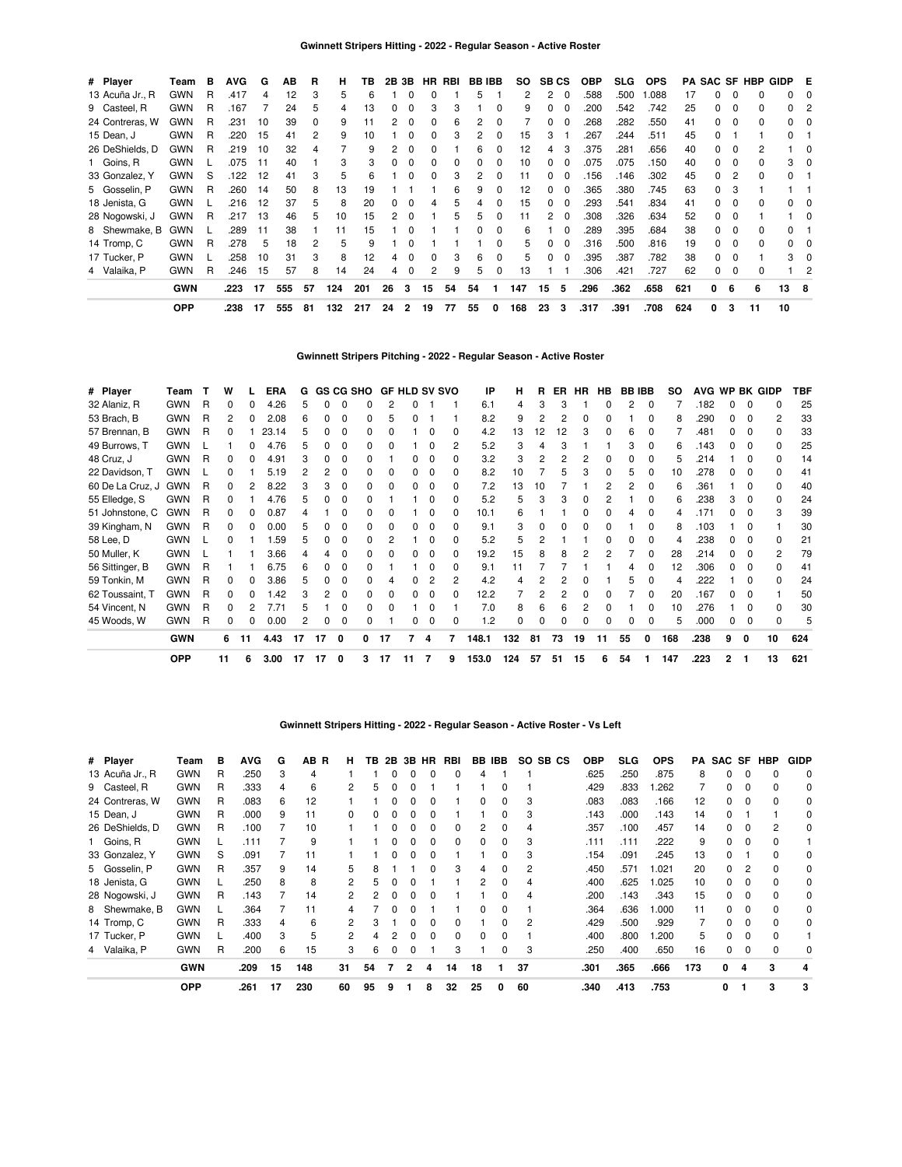| # Player        | Team       | в | <b>AVG</b> | G  | AВ  | R  | н   | ΤВ  | 2В | 3Β           |          | HR RBI |    | <b>BB IBB</b> | SO. |          | <b>SB CS</b> | <b>OBP</b> | SLG. | <b>OPS</b> |     |    |          | <b>PA SAC SF HBP</b> | GIDP E |                         |
|-----------------|------------|---|------------|----|-----|----|-----|-----|----|--------------|----------|--------|----|---------------|-----|----------|--------------|------------|------|------------|-----|----|----------|----------------------|--------|-------------------------|
| 13 Acuña Jr., R | GWN        | R | .417       | 4  | 12  | 3  | 5   | 6   |    |              |          |        | 5  |               | 2   | 2        | $\Omega$     | .588       | .500 | .088       | 17  |    | $\Omega$ |                      | 0      |                         |
| 9 Casteel, R    | <b>GWN</b> | R | .167       |    | 24  | 5  | 4   | 13  | 0  |              | З        | 3      |    | 0             | 9   | 0        |              | 200        | .542 | .742       | 25  |    | $\Omega$ | 0                    | 0      |                         |
| 24 Contreras, W | <b>GWN</b> | R | .231       | 10 | 39  | 0  | 9   |     |    |              |          | 6      |    |               |     |          |              | 268        | .282 | .550       | 41  |    | $\Omega$ | 0                    |        |                         |
| 15 Dean, J      | <b>GWN</b> | R | .220       | 15 | 41  | 2  | 9   | 10  |    |              |          | 3      |    |               | 15  | 3        |              | 267        | .244 | .511       | 45  |    |          |                      | 0      |                         |
| 26 DeShields, D | <b>GWN</b> | R | .219       | 10 | 32  | 4  |     | 9   |    |              |          |        | հ  |               | 12  |          |              | 375        | .281 | .656       | 40  |    | $\Omega$ |                      |        | 0                       |
| 1 Goins, R      | <b>GWN</b> |   | .075       | 11 | 40  |    | 3   | 3   |    |              |          | ŋ      |    |               | 10  | $\Omega$ |              | .075       | .075 | .150       | 40  |    | $\Omega$ |                      | 3      |                         |
| 33 Gonzalez, Y  | <b>GWN</b> | S | .122       | 12 | 41  | 3  | 5   | 6   |    |              |          | 3      |    |               | 11  | 0        |              | 156        | .146 | .302       | 45  |    | 2        |                      |        |                         |
| 5 Gosselin, P   | <b>GWN</b> | R | .260       | 14 | 50  | 8  | 13  | 19  |    |              |          | 6      |    |               | 12  | 0        |              | .365       | .380 | .745       | 63  | 0  | 3        |                      |        |                         |
| 18 Jenista, G   | <b>GWN</b> |   | .216       | 12 | 37  | 5  | 8   | 20  | 0  |              |          | 5      |    |               | 15  | $\Omega$ |              | .293       | .541 | .834       | 41  | O. | 0        |                      |        |                         |
| 28 Nogowski, J  | <b>GWN</b> | R | .217       | 13 | 46  | 5  | 10  | 15  |    |              |          | 5      | 5  |               | 11  | 2        | - 0          | .308       | .326 | .634       | 52  | O. | 0        |                      |        | $\overline{\mathbf{0}}$ |
| 8 Shewmake, B   | <b>GWN</b> |   | 289        | 11 | 38  |    | 11  | 15  |    |              |          |        | 0  | 0             | 6   |          | - 0          | 289        | .395 | .684       | 38  | O. | $\Omega$ | 0                    | 0      |                         |
| 14 Tromp, C     | <b>GWN</b> | R | .278       | 5  | 18  | 2  | 5   | 9   |    |              |          |        |    | 0             | 5   | $\Omega$ | $\Omega$     | .316       | .500 | .816       | 19  | O. | 0        | 0                    | 0      |                         |
| 17 Tucker, P    | <b>GWN</b> |   | 258        | 10 | 31  | 3  | 8   | 12  | 4  |              | $\Omega$ | 3      | 6  | 0             | 5   | $\Omega$ | $\Omega$     | .395       | .387 | .782       | 38  | 0  | $\Omega$ |                      | 3.     |                         |
| 4 Valaika, P    | <b>GWN</b> | R | .246       | 15 | 57  | 8  | 14  | 24  | 4  | <sup>0</sup> | 2        | 9      | 5  | 0             | 13  |          |              | 306        | .421 | .727       | 62  | 0  | $\Omega$ |                      |        | 2                       |
|                 | <b>GWN</b> |   | .223       | 17 | 555 | 57 | 124 | 201 | 26 | 3            | 15       | 54     | 54 |               | 147 | 15       | 5            | .296       | .362 | .658       | 621 | 0  | 6        | 6                    | 13     | - 8                     |
|                 | <b>OPP</b> |   | .238       | 17 | 555 | 81 | 132 | 217 | 24 | 2            | 19       | 77     | 55 | 0             | 168 | 23       | 3            | .317       | .391 | .708       | 624 | 0  | 3        | 11                   | 10     |                         |

## **Gwinnett Stripers Pitching - 2022 - Regular Season - Active Roster**

| # Player         | Team       |   | w            |     | <b>ERA</b> | G  |    |   | <b>GS CG SHO</b> |              | <b>GF HLD SV SVO</b> |              |   | IP    | н   | R   | ER | <b>HR</b> | HB. | <b>BB IBB</b> |    | so  |      |   |              | AVG WP BK GIDP | TBF |
|------------------|------------|---|--------------|-----|------------|----|----|---|------------------|--------------|----------------------|--------------|---|-------|-----|-----|----|-----------|-----|---------------|----|-----|------|---|--------------|----------------|-----|
| 32 Alaniz, R     | <b>GWN</b> | R | <sup>0</sup> |     | 4.26       |    |    |   |                  |              |                      |              |   | 6.1   | 4   |     |    |           |     |               |    |     | .182 |   | O            | n              | 25  |
| 53 Brach, B      | <b>GWN</b> | R | 2            |     | 2.08       |    |    | 0 | 0                | 5            | ŋ                    |              |   | 8.2   | 9   |     | 2  | 0         |     |               | 0  | 8   | .290 |   | $\Omega$     | 2              | 33  |
| 57 Brennan, B    | <b>GWN</b> | R | O            |     | 23.14      |    |    |   |                  |              |                      |              |   | 4.2   | 13  | 12  | 12 |           |     | հ             | ŋ  |     | .481 |   | $\Omega$     | 0              | 33  |
| 49 Burrows, T    | <b>GWN</b> |   |              | 0   | 4.76       | 5  |    | 0 | 0                | <sup>0</sup> |                      |              |   | 5.2   | 3   |     | 3  |           |     | 3             | 0  | 6   | .143 |   | 0            | $\Omega$       | 25  |
| 48 Cruz, J       | <b>GWN</b> | R | <sup>0</sup> |     | 4.91       |    |    | 0 |                  |              |                      |              |   | 3.2   | 3   |     | 2  |           |     |               | O  | 5   | .214 |   | 0            | 0              | 14  |
| 22 Davidson, T   | <b>GWN</b> |   |              |     | 5.19       |    |    |   | O.               | <sup>0</sup> |                      | <sup>0</sup> | 0 | 8.2   | 10  |     | 5  |           |     | 5             | 0  | 10  | .278 |   | $\Omega$     | U              | 41  |
| 60 De La Cruz, J | <b>GWN</b> | R |              |     | 8.22       |    |    |   | O.               | <sup>0</sup> |                      |              | 0 | 7.2   | 13  | 10  |    |           |     | 2             | O  |     | .361 |   | <sup>0</sup> | <sup>0</sup>   | 40  |
| 55 Elledge, S    | <b>GWN</b> | R |              |     | 4.76       |    |    |   |                  |              |                      |              |   | 5.2   | 5   |     | 3  |           |     |               |    | 6   | .238 |   | $\Omega$     | <sup>0</sup>   | 24  |
| 51 Johnstone, C  | <b>GWN</b> | R | <sup>n</sup> | 0   | 0.87       |    |    | ŋ | 0                | o            |                      | 0            | 0 | 10.1  | 6   |     |    | 0         | 0   | 4             | 0  | 4   | .171 |   | $\Omega$     | 3              | 39  |
| 39 Kingham, N    | <b>GWN</b> | R | <sup>0</sup> |     | 0.00       |    |    |   | O.               |              |                      |              |   | 9.1   | 3   |     | 0  |           |     |               | O  | 8   | .103 |   | 0            |                | 30  |
| 58 Lee, D        | <b>GWN</b> |   | 0            |     | 1.59       |    |    | ŋ | O.               |              |                      |              |   | 5.2   | 5   |     |    |           |     |               | O  |     | .238 |   | $\Omega$     | U              | 21  |
| 50 Muller, K     | <b>GWN</b> |   |              |     | 3.66       |    |    |   |                  |              |                      |              |   | 19.2  | 15  |     |    |           |     |               |    | 28  | .214 |   | O            | 2              | 79  |
| 56 Sittinger, B  | <b>GWN</b> | R |              |     | 6.75       |    |    | O |                  |              |                      |              |   | 9.1   | 11  |     |    |           |     |               | O  | 12  | .306 |   | $\Omega$     | <sup>0</sup>   | 41  |
| 59 Tonkin, M     | <b>GWN</b> | R | n.           | o   | 3.86       | ь  |    | ŋ | O.               | 4            | <sup>0</sup>         | 2            | 2 | 4.2   | 4   |     |    |           |     | 5             | 0  | 4   | .222 |   | $\Omega$     | $\Omega$       | 24  |
| 62 Toussaint, T  | <b>GWN</b> | R |              |     | .42        |    |    | 0 | 0                | 0            |                      |              |   | 12.2  |     |     | 2  |           |     |               | 0  | 20  | .167 |   | 0            |                | 50  |
| 54 Vincent, N    | <b>GWN</b> | R | n.           |     | 7.71       |    |    | ი | O.               | <sup>0</sup> |                      |              |   | 7.0   | 8   | 6   | 6  |           |     |               | O. | 10  | .276 |   | <sup>0</sup> | <sup>0</sup>   | 30  |
| 45 Woods, W      | <b>GWN</b> | R |              |     | 0.00       |    |    |   |                  |              |                      |              |   | 1.2   | O   |     |    |           |     |               |    | 5   | .000 |   | $\Omega$     |                | 5   |
|                  | <b>GWN</b> |   | 6            | -11 | 4.43       | 17 | 17 | 0 | 0                | 17           | 7                    | 4            | 7 | 148.1 | 132 | -81 | 73 | 19        | 11  | 55            | 0  | 168 | .238 | 9 | 0            | 10             | 624 |
|                  | <b>OPP</b> |   | 11           | 6   | 3.00       | 17 | 17 | 0 | 3                | 17           | 11                   | 7            | 9 | 153.0 | 124 | 57  | 51 | 15        | 6   | 54            |    | 147 | .223 | 2 |              | 13             | 621 |

### **Gwinnett Stripers Hitting - 2022 - Regular Season - Active Roster - Vs Left**

| # Player        | Team       | в | AVG  | G  | AB R | н             | TB |              | 2B 3B        | HR | RBI |    | BB IBB |    | SO SB CS | <b>OBP</b> | <b>SLG</b> | <b>OPS</b> | PA  | SAC SF |   | HBP | <b>GIDP</b> |
|-----------------|------------|---|------|----|------|---------------|----|--------------|--------------|----|-----|----|--------|----|----------|------------|------------|------------|-----|--------|---|-----|-------------|
| 13 Acuña Jr., R | <b>GWN</b> | R | .250 | 3  | 4    |               |    |              | 0            | 0  | O   | 4  |        |    |          | .625       | .250       | .875       | 8   | 0      |   |     | $\Omega$    |
| 9 Casteel, R    | <b>GWN</b> | R | .333 | 4  | 6    | 2             | 5  | O            | <sup>0</sup> |    |     |    |        |    |          | .429       | .833       | .262       |     | 0      |   | n   | 0           |
| 24 Contreras, W | <b>GWN</b> | R | .083 | 6  | 12   |               |    |              |              |    |     |    | 0      | 3  |          | .083       | .083       | .166       | 12  | 0      |   |     | 0           |
| 15 Dean, J      | <b>GWN</b> | R | .000 | 9  | 11   |               |    |              |              |    |     |    |        | 3  |          | .143       | .000       | .143       | 14  | O.     |   |     | 0           |
| 26 DeShields, D | <b>GWN</b> | R | .100 |    | 10   |               |    |              |              |    |     | 2  |        | 4  |          | .357       | .100       | .457       | 14  | 0      |   |     | 0           |
| 1 Goins, R      | <b>GWN</b> |   | .111 |    | 9    |               |    |              |              |    | 0   |    | 0      | 3  |          | .111       | .111       | .222       | 9   | 0      |   |     |             |
| 33 Gonzalez, Y  | <b>GWN</b> | S | .091 |    |      |               |    |              | O            |    |     |    | 0      | 3  |          | .154       | .091       | .245       | 13  | 0      |   |     | 0           |
| 5 Gosselin, P   | <b>GWN</b> | R | .357 | 9  | 14   | 5             | 8  |              |              | 0  | 3   | 4  | 0      | 2  |          | .450       | .571       | 1.021      | 20  | 0      |   |     | 0           |
| 18 Jenista, G   | <b>GWN</b> |   | .250 | 8  | 8    | 2             | 5  |              | <sup>0</sup> |    |     | 2  | 0      | 4  |          | .400       | .625       | 1.025      | 10  | O.     |   |     | 0           |
| 28 Nogowski, J  | <b>GWN</b> | R | .143 |    | 14   | 2             | 2  | <sup>0</sup> | <sup>0</sup> | ŋ  |     |    |        | 4  |          | .200       | .143       | .343       | 15  | 0      |   |     | 0           |
| 8 Shewmake, B   | <b>GWN</b> |   | .364 |    | 11   |               |    |              |              |    |     |    |        |    |          | .364       | .636       | .000       | 11  | O.     |   |     | 0           |
| 14 Tromp, C     | <b>GWN</b> | R | .333 | 4  | 6    | 2             |    |              |              |    |     |    |        | 2  |          | .429       | .500       | .929       |     | 0      |   |     | 0           |
| 17 Tucker, P    | <b>GWN</b> |   | .400 | 3  | 5    | $\mathcal{P}$ |    |              |              |    | 0   | 0  |        |    |          | .400       | .800       | .200       | 5   | 0      |   |     |             |
| 4 Valaika, P    | <b>GWN</b> | R | .200 | 6  | 15   | 3             | 6  | 0            | 0            |    | 3   |    |        | 3  |          | .250       | .400       | .650       | 16  | 0      |   |     | 0           |
|                 | <b>GWN</b> |   | .209 | 15 | 148  | 31            | 54 |              | 2            | 4  | 14  | 18 |        | 37 |          | .301       | .365       | .666       | 173 | 0      | 4 | 3   | 4           |
|                 | <b>OPP</b> |   | .261 | 17 | 230  | 60            | 95 | 9            |              | 8  | 32  | 25 | 0      | 60 |          | .340       | .413       | .753       |     | 0      |   | 3   | 3           |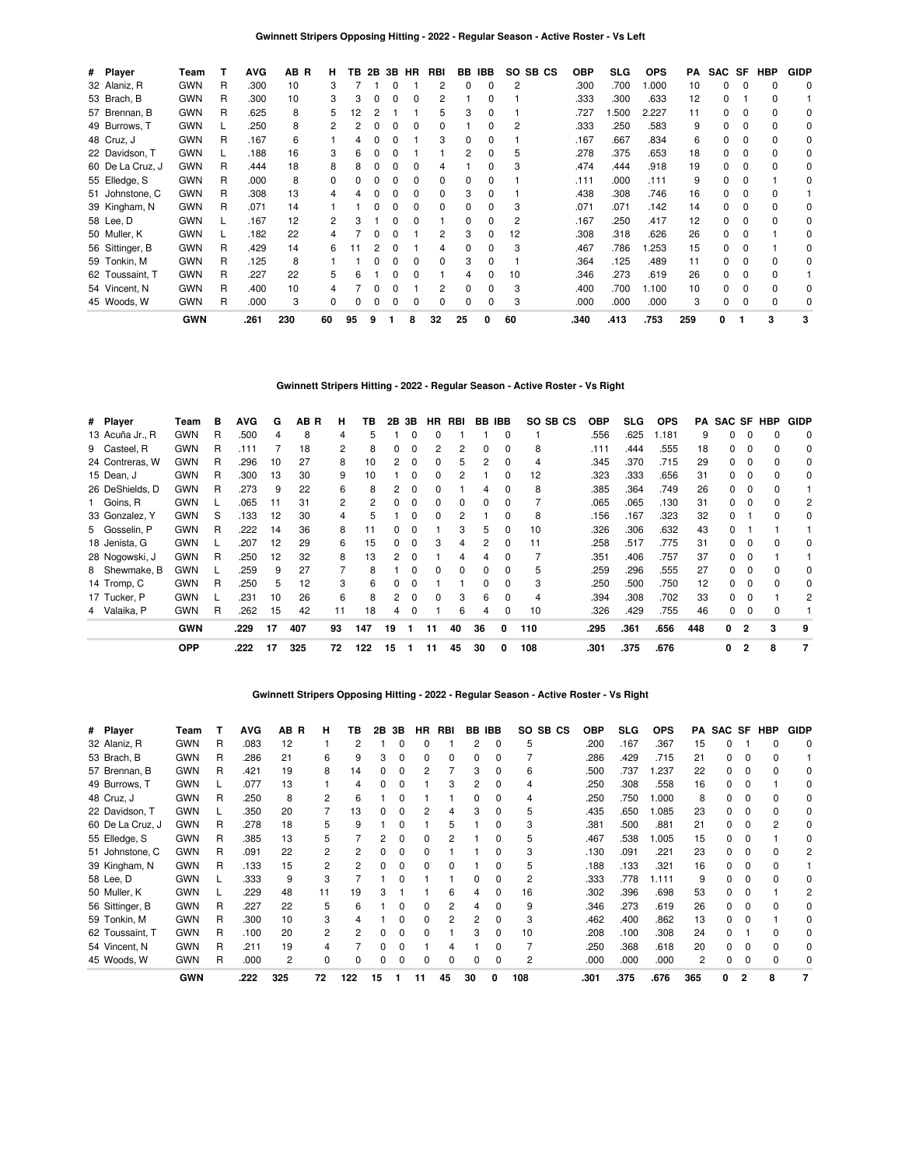| # Player         | Team       |    | <b>AVG</b> | AB R | н  | TВ | 2B           |              | 3B HR        | RBI          |    | BB IBB       | SO SB CS | <b>OBP</b> | SLG   | <b>OPS</b> | PA  | SAC SF   |              | HBP      | <b>GIDP</b> |
|------------------|------------|----|------------|------|----|----|--------------|--------------|--------------|--------------|----|--------------|----------|------------|-------|------------|-----|----------|--------------|----------|-------------|
| 32 Alaniz, R     | <b>GWN</b> | R  | .300       | 10   | 3  |    |              | 0            |              | 2            | 0  | 0            | 2        | .300       | .700  | 000.       | 10  | 0        | 0            | 0        | 0           |
| 53 Brach, B      | <b>GWN</b> | R  | .300       | 10   | 3  | З  | 0            | 0            | 0            | 2            |    | 0            |          | .333       | .300  | .633       | 12  | 0        |              | $\Omega$ |             |
| 57 Brennan, B    | <b>GWN</b> | R. | .625       | 8    | 5  | 2  |              |              |              | 5            | 3  | 0            |          | .727       | 1.500 | 2.227      | 11  | 0        |              | 0        | 0           |
| 49 Burrows, T    | <b>GWN</b> |    | .250       | 8    |    |    |              |              |              | 0            |    | 0            | 2        | .333       | .250  | .583       | 9   | 0        |              | 0        | 0           |
| 48 Cruz, J       | <b>GWN</b> | R  | .167       | 6    |    |    |              |              |              | 3            | 0  |              |          | .167       | .667  | .834       | 6   | 0        |              | $\Omega$ | 0           |
| 22 Davidson, T   | <b>GWN</b> |    | .188       | 16   | з  |    |              |              |              |              |    | 0            | 5        | .278       | .375  | .653       | 18  | 0        |              | $\Omega$ | $\Omega$    |
| 60 De La Cruz, J | <b>GWN</b> | R  | .444       | 18   | 8  |    |              |              |              | 4            |    | o            | З        | .474       | .444  | .918       | 19  | 0        |              | $\Omega$ | $\Omega$    |
| 55 Elledge, S    | <b>GWN</b> | R  | .000       | 8    | 0  |    |              |              |              | 0            | 0  | U            |          | .111       | .000  | .111       | 9   | $\Omega$ |              |          | 0           |
| 51 Johnstone, C  | <b>GWN</b> | R  | .308       | 13   |    |    |              |              |              | 0            | 3  | 0            |          | .438       | .308  | .746       | 16  | 0        | $\Omega$     | $\Omega$ |             |
| 39 Kingham, N    | <b>GWN</b> | R  | .071       | 14   |    |    |              |              |              | 0            | 0  | U            | 3        | .071       | .071  | .142       | 14  | 0        |              | $\Omega$ | 0           |
| 58 Lee, D        | <b>GWN</b> |    | .167       | 12   | 2  |    |              |              |              |              | 0  | 0            | 2        | .167       | .250  | .417       | 12  | 0        | <sup>0</sup> | $\Omega$ | 0           |
| 50 Muller, K     | <b>GWN</b> |    | .182       | 22   |    |    |              |              |              | 2            | 3  | 0            | 12       | .308       | .318  | .626       | 26  | 0        | 0            |          | 0           |
| 56 Sittinger, B  | <b>GWN</b> | R  | .429       | 14   | 6  | 11 |              | n            |              | 4            | 0  | <sup>0</sup> | 3        | .467       | .786  | .253       | 15  | 0        | $\Omega$     |          | 0           |
| 59 Tonkin, M     | <b>GWN</b> | R  | .125       | 8    |    |    |              | <sup>0</sup> |              | <sup>0</sup> | 3  | 0            |          | .364       | .125  | .489       | 11  | 0        | $\Omega$     | $\Omega$ | 0           |
| 62 Toussaint, T  | <b>GWN</b> | R  | .227       | 22   | 5  | 6  |              | O            |              |              | 4  | <sup>0</sup> | 10       | .346       | .273  | .619       | 26  | $\Omega$ | 0            | $\Omega$ |             |
| 54 Vincent, N    | <b>GWN</b> | R. | .400       | 10   |    |    |              | 0            |              |              | 0  | 0            | 3        | .400       | .700  | 1.100      | 10  | 0        | $\Omega$     | $\Omega$ | 0           |
| 45 Woods, W      | <b>GWN</b> | R  | .000       | 3    | 0  |    | <sup>0</sup> | <sup>0</sup> | <sup>0</sup> | 0            | 0  | 0            | 3        | .000       | .000  | .000       | 3   | 0        | $\Omega$     | $\Omega$ | 0           |
|                  | <b>GWN</b> |    | .261       | 230  | 60 | 95 | 9            |              | 8            | 32           | 25 | 0            | 60       | .340       | .413  | .753       | 259 | 0        |              | 3        | 3           |

## **Gwinnett Stripers Hitting - 2022 - Regular Season - Active Roster - Vs Right**

| # Player        | Team       | в | <b>AVG</b> | G  | AB R | н              | ΤВ  | 2В           | 3В           | HR.          | RBI |    | <b>BB IBB</b> | SO SB CS | ОВР  | <b>SLG</b> | <b>OPS</b> | PA  | SAC SF HBP   |          |   | <b>GIDP</b> |
|-----------------|------------|---|------------|----|------|----------------|-----|--------------|--------------|--------------|-----|----|---------------|----------|------|------------|------------|-----|--------------|----------|---|-------------|
| 13 Acuña Jr., R | <b>GWN</b> | R | .500       | 4  | 8    | 4              | 5   |              | 0            | 0            |     |    | $\Omega$      |          | .556 | .625       | 1.181      | 9   | 0            | $\Omega$ |   | $\Omega$    |
| 9 Casteel, R    | <b>GWN</b> | R | .111       |    | 18   | 2              | 8   | 0            | $\Omega$     | 2            | 2   | 0  | $\Omega$      | 8        | .111 | .444       | .555       | 18  | 0            | $\Omega$ |   | 0           |
| 24 Contreras, W | <b>GWN</b> | R | .296       | 10 | 27   | 8              | 10  |              | $\Omega$     | 0            | 5   | 2  | $\Omega$      | 4        | .345 | .370       | .715       | 29  | O.           |          |   | 0           |
| 15 Dean, J      | <b>GWN</b> | R | .300       | 13 | 30   | 9              | 10  |              |              | 0            | 2   |    | $\Omega$      | 12       | .323 | .333       | .656       | 31  | 0            |          |   | 0           |
| 26 DeShields, D | <b>GWN</b> | R | .273       | 9  | 22   | 6              |     |              |              |              |     |    | <sup>0</sup>  | 8        | .385 | .364       | .749       | 26  | O.           |          |   |             |
| 1 Goins, R      | <b>GWN</b> |   | .065       | 11 | 31   | $\overline{2}$ | 2   |              |              | 0            | 0   | 0  | 0             |          | .065 | .065       | .130       | 31  | O.           |          |   | 2           |
| 33 Gonzalez, Y  | <b>GWN</b> | S | .133       | 12 | 30   | 4              |     |              |              | 0            | 2   |    | 0             | 8        | .156 | .167       | .323       | 32  | 0            |          |   | 0           |
| 5 Gosselin, P   | <b>GWN</b> | R | .222       | 14 | 36   | 8              | 11  |              | 0            |              | 3   | 5  | 0             | 10       | .326 | .306       | .632       | 43  | 0            |          |   |             |
| 18 Jenista, G   | <b>GWN</b> |   | .207       | 12 | 29   | 6              | 15  | <sup>0</sup> | 0            | 3            | 4   | 2  | $\Omega$      | 11       | .258 | .517       | .775       | 31  | 0            | $\Omega$ |   | 0           |
| 28 Nogowski, J  | <b>GWN</b> | R | .250       | 12 | 32   | 8              | 13  | 2            | $\Omega$     |              | 4   | 4  | $\Omega$      |          | .351 | .406       | .757       | 37  | <sup>0</sup> | $\Omega$ |   |             |
| 8 Shewmake, B   | <b>GWN</b> |   | .259       | 9  | 27   |                | 8   |              | <sup>0</sup> | <sup>0</sup> | 0   | 0  | $\Omega$      | 5        | .259 | .296       | .555       | 27  | 0            | $\Omega$ |   | 0           |
| 14 Tromp, C     | <b>GWN</b> | R | .250       | 5  | 12   | 3              | 6   |              |              |              |     | n  | $\Omega$      | 3        | .250 | .500       | .750       | 12  |              |          |   | 0           |
| 17 Tucker, P    | <b>GWN</b> |   | .231       | 10 | 26   | 6              |     |              |              | <sup>0</sup> | 3   | 6  | $\Omega$      | 4        | .394 | .308       | .702       | 33  | O.           |          |   | 2           |
| 4 Valaika, P    | <b>GWN</b> | R | .262       | 15 | 42   | 11             | 18  | 4            | 0            |              | 6   | 4  | 0             | 10       | .326 | .429       | .755       | 46  | 0            | $\Omega$ |   |             |
|                 | <b>GWN</b> |   | .229       | 17 | 407  | 93             | 147 | 19           |              | 11           | 40  | 36 | 0             | 110      | .295 | .361       | .656       | 448 | 0            |          | 3 | 9           |
|                 | <b>OPP</b> |   | .222       | 17 | 325  | 72             | 122 | 15           |              | 11           | 45  | 30 | 0             | 108      | .301 | .375       | .676       |     | 0            | 2        | 8 |             |

### **Gwinnett Stripers Opposing Hitting - 2022 - Regular Season - Active Roster - Vs Right**

| # Player         | Team       |   | <b>AVG</b> | AB R           | н              | ΤВ  | 2В | 3В | HR | RBI |    | <b>BB IBB</b> | SO. | SB CS | <b>OBP</b> | <b>SLG</b> | <b>OPS</b> | PA  | SAC SF | HBP | <b>GIDP</b> |
|------------------|------------|---|------------|----------------|----------------|-----|----|----|----|-----|----|---------------|-----|-------|------------|------------|------------|-----|--------|-----|-------------|
| 32 Alaniz, R     | <b>GWN</b> | R | .083       | 12             |                |     |    |    |    |     | 2  | 0             | 5   |       | .200       | .167       | .367       | 15  |        |     | 0           |
| 53 Brach, B      | <b>GWN</b> | R | .286       | 21             | 6              |     | 3  |    |    | 0   | 0  | 0             |     |       | .286       | .429       | .715       | 21  | 0      |     |             |
| 57 Brennan, B    | <b>GWN</b> | R | .421       | 19             | 8              | 14  |    |    |    |     | 3  | 0             | 6   |       | .500       | .737       | .237       | 22  | 0      |     | 0           |
| 49 Burrows, T    | <b>GWN</b> |   | .077       | 13             |                |     |    |    |    |     |    |               |     |       | .250       | .308       | .558       | 16  | 0      |     |             |
| 48 Cruz, J       | <b>GWN</b> | R | .250       | 8              |                | 6   |    |    |    |     |    |               |     |       | .250       | .750       | 1.000      | 8   |        |     |             |
| 22 Davidson, T   | <b>GWN</b> |   | .350       | 20             |                | 13  |    |    |    |     | 3  |               | 5   |       | .435       | .650       | .085       | 23  | 0      |     |             |
| 60 De La Cruz, J | <b>GWN</b> | R | .278       | 18             | 5              |     |    |    |    | 5   |    |               | 3   |       | .381       | .500       | .881       | 21  | n.     |     |             |
| 55 Elledge, S    | <b>GWN</b> | R | .385       | 13             | 5              |     |    |    |    |     |    |               | 5   |       | .467       | .538       | .005       | 15  | O.     |     |             |
| 51 Johnstone, C  | <b>GWN</b> | R | .091       | 22             | 2              |     |    |    |    |     |    |               | 3   |       | .130       | .091       | .221       | 23  | O.     |     |             |
| 39 Kingham, N    | <b>GWN</b> | R | .133       | 15             | 2              |     |    |    |    |     |    | <sup>0</sup>  | 5   |       | .188       | .133       | .321       | 16  | O.     |     |             |
| 58 Lee, D        | <b>GWN</b> |   | .333       | 9              | 3              |     |    |    |    |     | ი  | <sup>0</sup>  | 2   |       | .333       | .778       | 1.111      | 9   | 0      |     |             |
| 50 Muller, K     | <b>GWN</b> |   | .229       | 48             | 11             | 19  |    |    |    | 6   | 4  | <sup>0</sup>  | 16  |       | .302       | .396       | .698       | 53  | 0      |     |             |
| 56 Sittinger, B  | <b>GWN</b> | R | .227       | 22             | 5              | 6   |    |    |    | 2   | 4  | <sup>0</sup>  | 9   |       | .346       | .273       | .619       | 26  | O.     |     |             |
| 59 Tonkin, M     | <b>GWN</b> | R | .300       | 10             | 3              |     |    |    |    | 2   | 2  |               | 3   |       | .462       | .400       | .862       | 13  | O.     |     |             |
| 62 Toussaint, T  | <b>GWN</b> | R | .100       | 20             | $\overline{c}$ |     |    |    |    |     | 3  | $\Omega$      | 10  |       | .208       | .100       | .308       | 24  | 0      |     |             |
| 54 Vincent, N    | <b>GWN</b> | R | .211       | 19             | 4              |     |    |    |    |     |    |               |     |       | .250       | .368       | .618       | 20  | 0      |     |             |
| 45 Woods, W      | <b>GWN</b> | R | .000       | $\overline{2}$ | $\Omega$       |     |    |    |    | ŋ   | n  | <sup>0</sup>  | 2   |       | .000       | .000       | .000       | 2   | U      |     |             |
|                  | <b>GWN</b> |   | .222       | 325            | 72             | 122 | 15 |    | 11 | 45  | 30 |               | 108 |       | .301       | .375       | .676       | 365 | o      | 8   |             |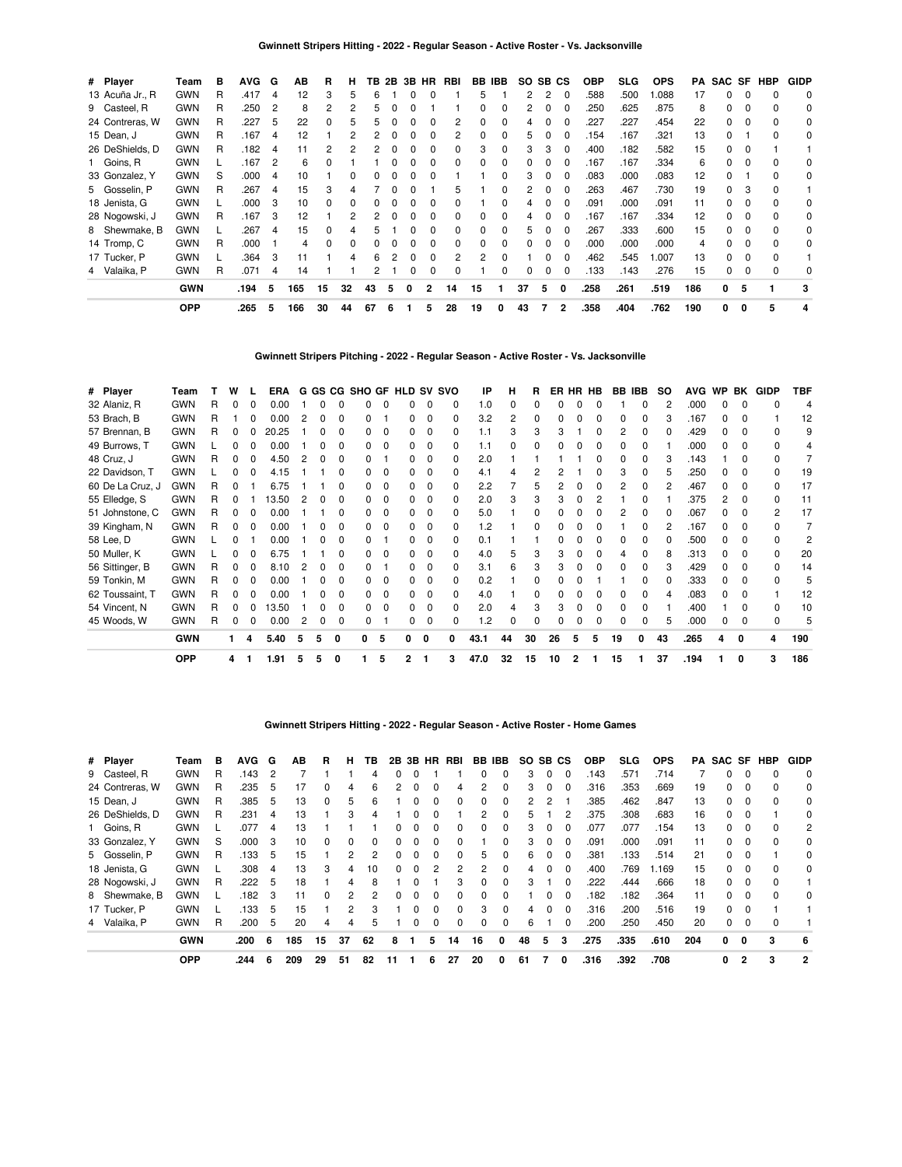| # Player        | Team       | в | <b>AVG</b> | G              | ΑВ  | R            | н  |    | TB 2B | 3B | <b>HR</b>    | RBI | <b>BB IBB</b> |   | SO. | SB CS |              | <b>OBP</b> | SLG. | <b>OPS</b> | PA  | SAC SF |              | HBP      | <b>GIDP</b> |
|-----------------|------------|---|------------|----------------|-----|--------------|----|----|-------|----|--------------|-----|---------------|---|-----|-------|--------------|------------|------|------------|-----|--------|--------------|----------|-------------|
| 13 Acuña Jr., R | <b>GWN</b> | R | .417       | 4              | 12  | 3            | 5  | 6  |       | ŋ  | O            |     | 5             |   | 2   | 2     | $\Omega$     | .588       | .500 | .088       | 17  | 0      |              | $\Omega$ | 0           |
| 9 Casteel, R    | <b>GWN</b> | R | .250       | $\overline{c}$ | 8   |              |    | ҕ  |       |    |              |     |               |   | 2   |       |              | 250        | .625 | .875       | 8   | 0      |              | $\Omega$ | 0           |
| 24 Contreras, W | <b>GWN</b> | R | .227       | 5              | 22  |              |    |    |       |    |              | 2   |               |   |     |       |              | .227       | 227  | .454       | 22  | 0      |              | $\Omega$ | 0           |
| 15 Dean, J      | <b>GWN</b> | R | .167       | 4              | 12  |              |    |    |       |    |              | 2   |               | 0 | 5   |       |              | 154        | .167 | .321       | 13  | 0      |              | $\Omega$ | 0           |
| 26 DeShields, D | <b>GWN</b> | R | .182       | 4              | 11  |              |    |    |       |    |              | 0   | З             |   |     |       |              | .400       | .182 | .582       | 15  | O.     |              |          |             |
| 1 Goins, R      | <b>GWN</b> |   | .167       | 2              | 6   |              |    |    |       |    |              | ŋ   |               |   |     |       |              | .167       | .167 | .334       | 6   | 0      |              |          | 0           |
| 33 Gonzalez, Y  | <b>GWN</b> | S | .000       | 4              | 10  |              |    |    |       |    |              |     |               |   | 3   |       |              | .083       | .000 | .083       | 12  | 0      |              |          | 0           |
| 5 Gosselin, P   | <b>GWN</b> | R | .267       | 4              | 15  |              |    |    |       |    |              | 5   |               |   |     |       |              | .263       | .467 | .730       | 19  | 0      | з            |          |             |
| 18 Jenista, G   | <b>GWN</b> |   | .000       | 3              | 10  |              | 0  |    |       |    | 0            | 0   |               |   |     |       |              | .091       | .000 | .091       | 11  | 0      |              |          | 0           |
| 28 Nogowski, J  | <b>GWN</b> | R | .167       | 3              | 12  |              |    |    |       |    | o            | 0   |               |   | 4   |       |              | 167        | .167 | .334       | 12  | 0      |              |          | 0           |
| 8 Shewmake, B   | <b>GWN</b> |   | .267       | 4              | 15  |              |    | h  |       |    | 0            | 0   |               | 0 | 5   |       | $\Omega$     | .267       | .333 | .600       | 15  | 0      | 0            | $\Omega$ | 0           |
| 14 Tromp, C     | <b>GWN</b> | R | .000       |                | 4   | <sup>0</sup> | 0  | 0  | 0     | 0  | 0            | 0   | $\Omega$      | 0 | 0   | 0     | $\Omega$     | .000       | .000 | .000       | 4   | 0      |              | $\Omega$ | 0           |
| 17 Tucker, P    | <b>GWN</b> |   | .364       | 3              | 11  |              | 4  | 6  |       | O  | ŋ            | 2   | 2             | 0 |     |       |              | .462       | .545 | 1.007      | 13  | 0      | <sup>0</sup> | $\Omega$ |             |
| 4 Valaika, P    | <b>GWN</b> | R | .071       | 4              | 14  |              |    |    |       | O  | <sup>0</sup> |     |               |   | 0   |       |              | .133       | .143 | .276       | 15  | 0      |              |          | 0           |
|                 | <b>GWN</b> |   | .194       | 5              | 165 | 15           | 32 | 43 | 5     | 0  | 2            | 14  | 15            |   | 37  | 5     | 0            | .258       | .261 | .519       | 186 | 0      | 5            |          | 3           |
|                 | <b>OPP</b> |   | .265       | 5              | 166 | 30           | 44 | 67 | 6     |    | 5            | 28  | 19            | 0 | 43  | 7     | $\mathbf{2}$ | .358       | .404 | .762       | 190 | 0      | 0            | 5        | 4           |

**Gwinnett Stripers Pitching - 2022 - Regular Season - Active Roster - Vs. Jacksonville**

| # Player         | Team       |   | w  | L | ERA   |   |   |              | G GS CG SHO GF HLD SV SVO |          |    |              |    | IP   | н  | R.       |    | ER HR HB |   | BB IBB       |              | <b>SO</b> | <b>AVG</b> | <b>WP</b>    | BK           | GIDP         | TBF            |
|------------------|------------|---|----|---|-------|---|---|--------------|---------------------------|----------|----|--------------|----|------|----|----------|----|----------|---|--------------|--------------|-----------|------------|--------------|--------------|--------------|----------------|
| 32 Alaniz, R     | <b>GWN</b> | R |    |   | 0.00  |   |   |              |                           |          |    |              |    | 1.0  |    |          |    |          |   |              |              |           | .000       |              |              |              | 4              |
| 53 Brach, B      | <b>GWN</b> | R |    |   | 0.00  |   |   | O            |                           |          | 0  | 0            | o  | 3.2  |    | $\Omega$ |    | O        |   | <sup>0</sup> |              |           | .167       | U            | <sup>0</sup> |              | 12             |
| 57 Brennan, B    | <b>GWN</b> | R |    |   | 20.25 |   |   |              |                           |          |    |              | 0  | 1.1  |    | 3        |    |          |   | 2            |              |           | .429       |              |              |              | 9              |
| 49 Burrows, T    | <b>GWN</b> |   | o  | 0 | 0.00  |   |   | O            | 0.                        | $\Omega$ | n. | 0            | O. | 1.1  |    | 0        |    |          |   | n            |              |           | .000       | <sup>0</sup> | n            |              | 4              |
| 48 Cruz, J       | <b>GWN</b> | R | 0  | 0 | 4.50  |   |   | 0            |                           |          |    | 0            |    | 2.0  |    |          |    |          |   | Ω            |              |           | .143       |              |              |              |                |
| 22 Davidson, T   | GWN        |   |    |   | 4.15  |   |   |              |                           |          |    |              |    | 4.1  |    |          |    |          |   |              |              |           | .250       |              |              |              | 19             |
| 60 De La Cruz, J | <b>GWN</b> | R |    |   | 6.75  |   |   | U            |                           | $\Omega$ | n. | 0            | 0  | 2.2  |    | 5        |    |          |   | 2            |              |           | .467       | <sup>n</sup> | $\Omega$     | <sup>n</sup> | 17             |
| 55 Elledge, S    | <b>GWN</b> | R |    |   | 3.50  |   |   |              |                           |          |    |              | 0  | 2.0  |    |          |    |          |   |              |              |           | .375       | 2            | n            | 0            | 11             |
| 51 Johnstone, C  | <b>GWN</b> | R | 0  | 0 | 0.00  |   |   | n            | n.                        | $\Omega$ | O. | 0            | 0  | 5.0  |    | 0        |    |          |   | 2            | <sup>0</sup> |           | .067       | <sup>n</sup> | $\Omega$     | 2            | 17             |
| 39 Kingham, N    | <b>GWN</b> | R | 0  | 0 | 0.00  |   |   |              | 0                         | $\Omega$ |    |              |    | 1.2  |    |          |    |          |   |              |              |           | .167       |              |              |              |                |
| 58 Lee, D        | <b>GWN</b> |   |    |   | 0.00  |   |   |              |                           |          |    | <sup>0</sup> |    | 0.1  |    |          |    |          |   |              |              |           | .500       |              |              |              | $\overline{c}$ |
| 50 Muller, K     | <b>GWN</b> |   |    |   | 6.75  |   |   |              |                           | $\Omega$ |    |              | U  | 4.0  | 5  | 3        |    |          |   |              |              |           | .313       |              | <sup>0</sup> | 0            | 20             |
| 56 Sittinger, B  | <b>GWN</b> | R |    |   | 8.10  |   |   |              |                           |          |    |              |    | 3.1  |    |          |    |          |   |              |              |           | .429       |              |              | <sup>0</sup> | 14             |
| 59 Tonkin, M     | <b>GWN</b> | R | 0  | 0 | 0.00  |   |   | <sup>0</sup> | 0.                        | $\Omega$ | O. | 0            | 0  | 0.2  |    | 0        |    |          |   |              | 0            |           | .333       | <sup>0</sup> | <sup>n</sup> | n            | 5              |
| 62 Toussaint, T  | <b>GWN</b> | R | 0  | 0 | 0.00  |   |   |              | n.                        | $\Omega$ |    | 0            | 0  | 4.0  |    |          |    |          |   |              |              |           | .083       | <sup>0</sup> | n            |              | 12             |
| 54 Vincent, N    | <b>GWN</b> | R | 0  |   | 3.50  |   |   |              | n.                        | $\Omega$ | n. | <sup>0</sup> |    | 2.0  |    |          |    |          |   |              |              |           | .400       |              |              | <sup>0</sup> | 10             |
| 45 Woods, W      | <b>GWN</b> | R | 0  | 0 | 0.00  |   |   | 0            |                           |          | 0  |              |    | 1.2  |    |          |    |          |   |              |              |           | .000       |              | $\Omega$     |              | 5              |
|                  | <b>GWN</b> |   | 1. | 4 | 5.40  | 5 | 5 | 0            | o                         | 5        | 0  | 0            | 0  | 43.1 | 44 | 30       | 26 | 5        | 5 | 19           | 0            | 43        | .265       | 4            | 0            | 4            | 190            |
|                  | <b>OPP</b> |   | 4  |   | 1.91  | 5 | 5 | 0            |                           | 5        | 2  |              | 3  | 47.0 | 32 | 15       | 10 | 2        |   | 15           |              | 37        | .194       |              | 0            | 3            | 186            |

### **Gwinnett Stripers Hitting - 2022 - Regular Season - Active Roster - Home Games**

| # Player        | Team       | в | <b>AVG</b> | G   | ΑВ  | R            | н             | ΤВ           | 2В | 3В |          | HR RBI       | BB       | <b>IBB</b>   | SO SB CS |          |              | <b>OBP</b> | SLG  | <b>OPS</b> | PA  | SAC SF |          | HBP | <b>GIDP</b> |
|-----------------|------------|---|------------|-----|-----|--------------|---------------|--------------|----|----|----------|--------------|----------|--------------|----------|----------|--------------|------------|------|------------|-----|--------|----------|-----|-------------|
| 9 Casteel, R    | <b>GWN</b> | R | .143       | 2   |     |              |               | 4            | 0  |    |          |              | $\Omega$ | 0            | 3        | 0        | $\Omega$     | .143       | .571 | .714       |     | 0      |          |     | $\Omega$    |
| 24 Contreras, W | <b>GWN</b> | R | .235       | 5   | 17  |              | 4             | 6            | 2  |    | 0        | 4            |          | 0            | 3        | 0        | 0            | .316       | .353 | .669       | 19  | 0      |          |     | 0           |
| 15 Dean, J      | <b>GWN</b> | R | .385       | 5   | 13  | 0            | 5             | 6            |    |    | 0        | 0            |          | 0            | 2        | 2        |              | .385       | .462 | .847       | 13  | 0      | 0        | n   | 0           |
| 26 DeShields, D | <b>GWN</b> | R | .231       | 4   | 13  |              | з             |              |    |    |          |              | 2        | 0            | 5        |          |              | .375       | .308 | .683       | 16  | 0      |          |     | 0           |
| 1 Goins, R      | <b>GWN</b> |   | .077       | 4   | 13  |              |               |              |    |    | 0        | 0            |          | 0            | 3        | 0        | 0            | .077       | .077 | .154       | 13  | 0      | $\Omega$ |     | 2           |
| 33 Gonzalez, Y  | <b>GWN</b> | S | .000       | 3   | 10  | <sup>0</sup> | $\Omega$      | <sup>0</sup> | 0  |    | 0        | <sup>0</sup> |          | <sup>0</sup> | 3        | 0        | <sup>0</sup> | .091       | .000 | .091       | 11  | 0      |          |     | 0           |
| 5 Gosselin, P   | <b>GWN</b> | R | .133       | 5   | 15  |              |               | 2            | 0  |    | 0        | 0            | 5        | 0            | 6        | $\Omega$ | 0            | .381       | .133 | .514       | 21  | 0      | 0        |     | 0           |
| 18 Jenista, G   | <b>GWN</b> |   | .308       | 4   | 13  | 3            | 4             | 10           | 0  | 0  | 2        | 2            | 2        | 0            | 4        | 0        | 0            | .400       | .769 | .169       | 15  | 0      | $\Omega$ |     | $\Omega$    |
| 28 Nogowski, J  | <b>GWN</b> | R | .222       | 5   | 18  |              | 4             | 8            |    |    |          | з            |          | 0            | з        |          | O            | .222       | .444 | .666       | 18  | 0      |          |     |             |
| 8 Shewmake, B   | <b>GWN</b> |   | .182       | 3   | 11  | $\Omega$     | 2             | 2            | 0  | 0  | $\Omega$ | 0            | $\Omega$ | 0            |          | 0        | $\Omega$     | 182        | .182 | .364       | 11  | 0      | $\Omega$ |     | 0           |
| 17 Tucker, P    | <b>GWN</b> |   | 133        | 5   | 15  |              | $\mathcal{P}$ | з            |    |    | 0        | $\Omega$     | з        | 0            | 4        | 0        | <sup>0</sup> | .316       | .200 | .516       | 19  | 0      | 0        |     |             |
| 4 Valaika, P    | <b>GWN</b> | R | .200       | 5   | 20  |              |               | 5            |    |    |          | 0            |          | 0            | 6        |          | 0            | .200       | 250  | .450       | 20  | 0      | 0        |     |             |
|                 | <b>GWN</b> |   | .200       | - 6 | 185 | 15           | 37            | 62           | 8  |    | 5        | 14           | 16       | 0            | 48       | 5        | 3            | .275       | .335 | .610       | 204 | 0      | 0        | 3   | -6          |
|                 | <b>OPP</b> |   | .244       | 6   | 209 | 29           | 51            | 82           | 11 |    | 6        | 27           | 20       | 0            | 61       |          | 0            | .316       | .392 | .708       |     | 0      | 2        | 3   | 2           |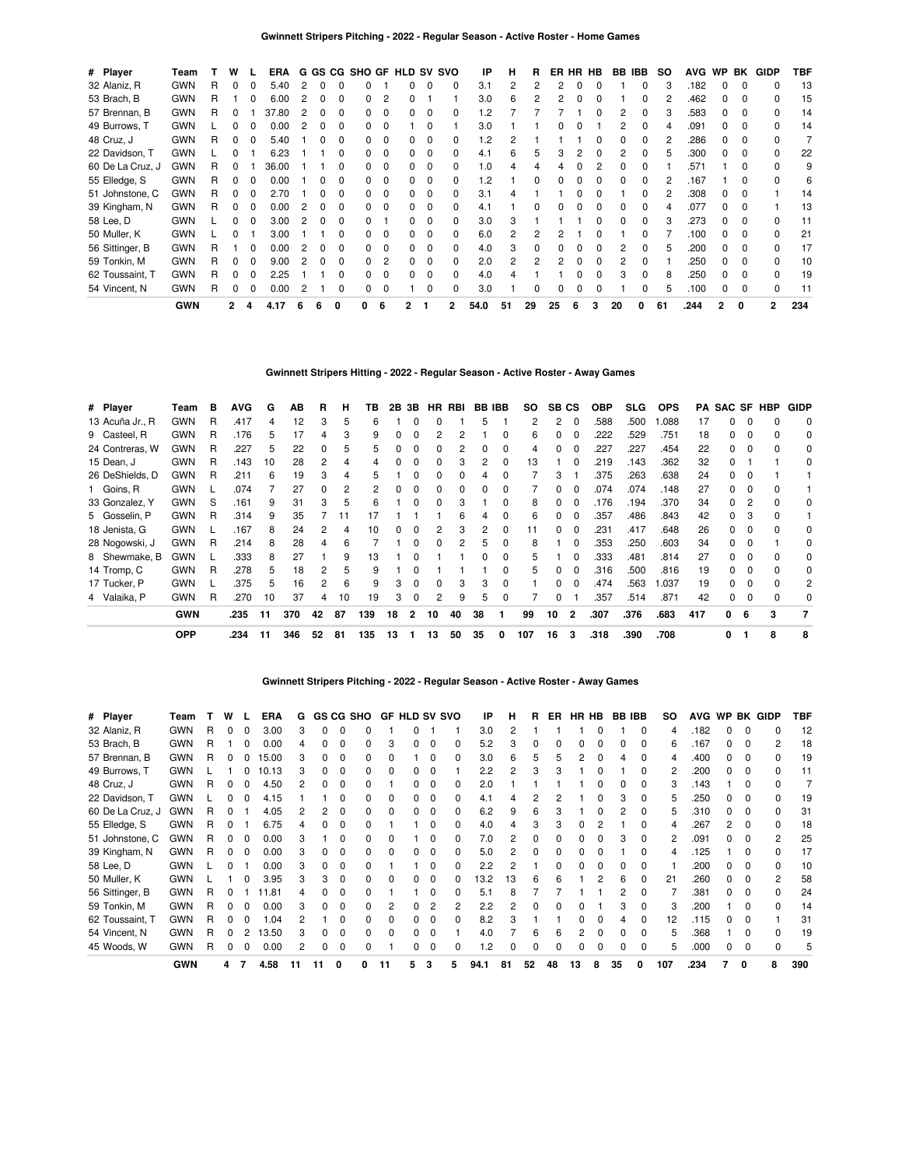| # Player         | Team       |   | w            |          | <b>ERA</b> |    |              |              |   |          |   |              | G GS CG SHO GF HLD SV SVO | IP       | н  | R  |    |   | ER HR HB | BB IBB |   | SO. | <b>AVG</b> | WP           | BK           | <b>GIDP</b>    | TBF |
|------------------|------------|---|--------------|----------|------------|----|--------------|--------------|---|----------|---|--------------|---------------------------|----------|----|----|----|---|----------|--------|---|-----|------------|--------------|--------------|----------------|-----|
| 32 Alaniz, R     | <b>GWN</b> | R | 0            | 0        | 5.40       | 2  | 0            |              |   |          |   | 0            |                           | 3.1      |    | 2  |    |   |          |        |   |     | .182       | 0            | $\Omega$     |                | 13  |
| 53 Brach, B      | <b>GWN</b> | R |              | 0        | 6.00       |    | 0            | O            |   | 2        |   |              |                           | 3.0      | 6  |    |    |   |          |        |   |     | .462       |              | <sup>0</sup> |                | 15  |
| 57 Brennan, B    | <b>GWN</b> | R | 0            |          | 37.80      |    | 0            |              |   | $\Omega$ |   | 0            |                           | .2       |    |    |    |   |          |        |   |     | .583       |              | <sup>0</sup> |                | 14  |
| 49 Burrows, T    | <b>GWN</b> |   | 0            | 0        | 0.00       |    | 0            | <sup>0</sup> |   | $\Omega$ |   | 0            |                           | 3.0      |    |    |    |   |          |        |   |     | .091       |              | <sup>0</sup> |                | 14  |
| 48 Cruz, J       | <b>GWN</b> | R | 0            | $\Omega$ | 5.40       |    | 0            | <sup>0</sup> |   | $\Omega$ |   | 0            |                           | 1.2      |    |    |    |   |          |        |   |     | .286       | 0            | <sup>0</sup> |                |     |
| 22 Davidson, T   | <b>GWN</b> |   | <sup>0</sup> |          | 6.23       |    |              | <sup>0</sup> |   | $\Omega$ |   | 0            |                           | 4.1      | 6  | 5  | З  |   | O        |        |   |     | .300       | <sup>n</sup> | <sup>0</sup> | 0              | 22  |
| 60 De La Cruz, J | <b>GWN</b> | R | 0            |          | 36.00      |    |              |              |   | $\Omega$ |   | 0            |                           | $\Omega$ |    |    |    |   |          |        |   |     | .571       |              |              |                | 9   |
| 55 Elledge, S    | <b>GWN</b> | R | 0            | $\Omega$ | 0.00       |    | O            | <sup>0</sup> |   | $\Omega$ | 0 | 0            |                           | $\cdot$  |    | ŋ  |    |   |          |        |   |     | .167       |              | <sup>0</sup> |                | 6   |
| 51 Johnstone, C  | <b>GWN</b> | R | 0            | $\Omega$ | 2.70       |    |              |              |   | $\Omega$ |   | <sup>0</sup> |                           | 3.1      |    |    |    |   |          |        |   |     | .308       | <sup>n</sup> | <sup>0</sup> |                | 14  |
| 39 Kingham, N    | <b>GWN</b> | R | 0            | $\Omega$ | 0.00       |    | <sup>0</sup> | O            |   | $\Omega$ |   | <sup>0</sup> |                           | 4.1      |    |    |    |   |          |        |   |     | .077       | <sup>n</sup> | <sup>0</sup> |                | 13  |
| 58 Lee, D        | <b>GWN</b> |   | 0            | $\Omega$ | 3.00       | 2  | $\Omega$     | <sup>0</sup> |   |          |   | $\Omega$     |                           | 3.0      | 3  |    |    |   |          |        |   |     | .273       | <sup>n</sup> | n            |                | 11  |
| 50 Muller, K     | <b>GWN</b> |   | 0            |          | 3.00       |    |              |              |   | $\Omega$ |   | 0            |                           | 6.0      |    |    |    |   |          |        |   |     | .100       | <sup>n</sup> | <sup>0</sup> | <sup>n</sup>   | 21  |
| 56 Sittinger, B  | <b>GWN</b> | R |              | $\Omega$ | 0.00       | 2  | <sup>0</sup> | <sup>0</sup> |   | $\Omega$ |   | $\Omega$     |                           | 4.0      |    | ŋ  |    |   |          |        |   |     | .200       | n            | <sup>0</sup> |                | 17  |
| 59 Tonkin, M     | <b>GWN</b> | R | 0            | $\Omega$ | 9.00       |    | <sup>0</sup> |              |   | 2        |   | $\Omega$     |                           | 2.0      | 2  | 2  |    |   |          |        |   |     | .250       |              | <sup>0</sup> |                | 10  |
| 62 Toussaint, T  | <b>GWN</b> | R | $\Omega$     | $\Omega$ | 2.25       |    |              |              |   | $\Omega$ |   | $\Omega$     |                           | 4.0      |    |    |    |   |          |        |   |     | .250       |              | <sup>0</sup> |                | 19  |
| 54 Vincent, N    | <b>GWN</b> | R | 0            | 0        | 0.00       |    |              |              |   | $\Omega$ |   |              |                           | 3.0      |    |    |    |   |          |        |   |     | .100       |              | $\Omega$     |                | 11  |
|                  | <b>GWN</b> |   | 2            | 4        | 4.17       | -6 | 6            | 0            | 0 | 6        |   |              | 2                         | 54.0     | 51 | 29 | 25 | 6 | 3        | 20     | 0 | 61  | .244       | 2            | 0            | $\overline{2}$ | 234 |

### **Gwinnett Stripers Hitting - 2022 - Regular Season - Active Roster - Away Games**

| # Player        | Team       | в | <b>AVG</b> | G  | AВ  | R  | н  | ΤВ  | 2В | 3B             |    | HR RBI |              | <b>BB IBB</b> | SO. | SB CS |                | <b>OBP</b> | <b>SLG</b> | <b>OPS</b> |     | <b>PA SAC SF HBP</b> |   |   | <b>GIDP</b> |
|-----------------|------------|---|------------|----|-----|----|----|-----|----|----------------|----|--------|--------------|---------------|-----|-------|----------------|------------|------------|------------|-----|----------------------|---|---|-------------|
| 13 Acuña Jr., R | <b>GWN</b> | R | .417       | 4  | 12  | З  | 5  | 6   |    |                | 0  |        | 5            |               | 2   | 2     | $\Omega$       | .588       | .500       | .088       | 17  | 0                    | O |   | 0           |
| 9 Casteel, R    | <b>GWN</b> | R | .176       | 5  | 17  | 4  | 3  | 9   | 0  |                | 2  |        |              | 0             | 6   | 0     | $\Omega$       | 222        | 529        | .751       | 18  | 0                    | 0 |   | 0           |
| 24 Contreras, W | GWN        | R | .227       | 5  | 22  | 0  | 5  | 5   | 0  |                | 0  |        |              | 0             | 4   |       | $\Omega$       | .227       | .227       | .454       | 22  | 0                    | O |   | 0           |
| 15 Dean, J      | <b>GWN</b> | R | .143       | 10 | 28  | 2  | Δ  |     |    |                | 0  | 3      |              | 0             | 13  |       | 0              | 219        | .143       | .362       | 32  | 0                    |   |   | 0           |
| 26 DeShields, D | GWN        | R | .211       | 6  | 19  |    |    |     |    |                | 0  | ŋ      |              | 0             |     | 3     |                | 375        | .263       | .638       | 24  | 0                    |   |   |             |
| 1 Goins, R      | <b>GWN</b> |   | .074       |    | 27  |    | 2  |     | o  |                |    | ŋ      |              |               |     |       |                | .074       | .074       | .148       | 27  | 0                    |   |   |             |
| 33 Gonzalez, Y  | <b>GWN</b> | S | .161       | 9  | 31  | З  | 5  | 6   |    |                | 0  | 3      |              | 0             | 8   |       |                | .176       | .194       | .370       | 34  | 0                    |   |   | 0           |
| 5 Gosselin, P   | <b>GWN</b> | R | .314       | 9  | 35  |    | 11 | 17  |    |                |    | 6      |              | 0             | 6   |       |                | 357        | .486       | .843       | 42  | 0                    | 3 |   |             |
| 18 Jenista, G   | <b>GWN</b> |   | .167       | 8  | 24  |    | 4  | 10  | 0  |                | 2  | 3      |              | 0             | 11  | 0     | 0              | .231       | .417       | .648       | 26  | 0                    | 0 |   | 0           |
| 28 Nogowski, J  | <b>GWN</b> | R | .214       | 8  | 28  | 4  | 6  |     |    |                | 0  | 2      | 5.           | 0             | 8   |       | $\Omega$       | .353       | .250       | .603       | 34  | 0                    | O |   | 0           |
| 8 Shewmake, B   | <b>GWN</b> |   | .333       | 8  | 27  |    | 9  | 13  |    |                |    |        | <sup>0</sup> | 0             | 5   |       | $\Omega$       | .333       | .481       | .814       | 27  | <sup>o</sup>         | O |   | 0           |
| 14 Tromp, C     | <b>GWN</b> | R | .278       | 5  | 18  | 2  | 5  | 9   |    |                |    |        |              | <sup>0</sup>  | 5   | n     | $\Omega$       | .316       | .500       | .816       | 19  | <sup>o</sup>         |   |   | 0           |
| 17 Tucker, P    | <b>GWN</b> |   | .375       | 5  | 16  | 2  | 6  | 9   | 3  |                | 0  | 3      | з            | 0             |     | n     | $\Omega$       | .474       | .563       | .037       | 19  | 0                    | O |   | 2           |
| 4 Valaika, P    | <b>GWN</b> | R | .270       | 10 | 37  | 4  | 10 | 19  | 3  | $\Omega$       | 2  | 9      | 5            | 0             |     | 0     |                | .357       | .514       | .871       | 42  | 0                    |   |   | 0           |
|                 | <b>GWN</b> |   | .235       | 11 | 370 | 42 | 87 | 139 | 18 | $\overline{2}$ | 10 | 40     | 38           | 1             | 99  | 10    | $\overline{2}$ | .307       | .376       | .683       | 417 | 0                    | 6 | 3 |             |
|                 | <b>OPP</b> |   | .234       | 11 | 346 | 52 | 81 | 135 | 13 |                | 13 | 50     | 35           | 0             | 107 | 16    | 3              | .318       | .390       | .708       |     | 0                    |   | 8 | 8           |

### **Gwinnett Stripers Pitching - 2022 - Regular Season - Active Roster - Away Games**

| # Player         | Team       |   | w        | <b>ERA</b> | G  |    |              | GS CG SHO |              |   |          | <b>GF HLD SV SVO</b> | IP   | н  | R  | ER |    | HR HB | <b>BB IBB</b> |              | SO. |      |    |              | AVG WP BK GIDP | TBF |
|------------------|------------|---|----------|------------|----|----|--------------|-----------|--------------|---|----------|----------------------|------|----|----|----|----|-------|---------------|--------------|-----|------|----|--------------|----------------|-----|
| 32 Alaniz, R     | <b>GWN</b> | R |          | 3.00       | 3  |    |              |           |              |   |          |                      | 3.0  |    |    |    |    |       |               | 0            | 4   | .182 | 0  | 0            | o              | 12  |
| 53 Brach, B      | <b>GWN</b> |   |          | 0.00       | 4  |    | 0            |           | 3            |   | 0        | 0                    | 5.2  |    |    | 0  |    |       |               | 0            | 6   | .167 | 0  | 0            | 2              | 18  |
| 57 Brennan, B    | <b>GWN</b> | R |          | 15.00      | 3  |    |              |           |              |   |          | 0                    | 3.0  |    | 5  | 5  |    |       |               |              | 4   | .400 | 0  |              |                | 19  |
| 49 Burrows, T    | <b>GWN</b> |   |          | 10.13      | 3  |    |              |           |              |   |          |                      | 2.2  |    | 3  | 3  |    |       |               |              | 2   | .200 | 0  | 0            |                | 11  |
| 48 Cruz, J       | <b>GWN</b> |   | $\Omega$ | 4.50       |    |    |              |           |              |   |          | <sup>0</sup>         | 2.0  |    |    |    |    |       |               |              | з   | .143 |    |              |                |     |
| 22 Davidson, T   | <b>GWN</b> |   |          | 4.15       |    |    |              |           | <sup>0</sup> |   |          | 0                    |      |    |    |    |    |       | з             | <sup>0</sup> | 5   | 250  | n  |              |                | 19  |
| 60 De La Cruz, J | <b>GWN</b> |   |          | 4.05       |    |    |              |           | <sup>0</sup> |   |          | <sup>0</sup>         | 6.2  |    | 6  | 3  |    |       | 2             | <sup>0</sup> | 5   | .310 | 0  | <sup>0</sup> |                | 31  |
| 55 Elledge, S    | <b>GWN</b> |   |          | 6.75       |    |    |              |           |              |   |          | 0                    | 4.0  |    | 3  |    |    |       |               |              |     | .267 | 2  |              |                | 18  |
| 51 Johnstone, C  | <b>GWN</b> |   |          | 0.00       | 3  |    |              |           |              |   |          | 0                    | 7.0  |    |    | ŋ  |    |       | З             |              | 2   | .091 | O. |              | 2              | 25  |
| 39 Kingham, N    | <b>GWN</b> |   |          | 0.00       | з  |    |              |           |              |   | $\Omega$ | <sup>0</sup>         | 5.0  |    | U  | ŋ  |    |       |               |              | 4   | .125 |    | <sup>0</sup> |                | 17  |
| 58 Lee, D        | <b>GWN</b> |   |          | 0.00       | 3  |    | <sup>0</sup> |           |              |   | n        | <sup>0</sup>         | 2.2  |    |    | ŋ  |    |       | <sup>0</sup>  | <sup>0</sup> |     | .200 | O. | <sup>0</sup> |                | 10  |
| 50 Muller, K     | <b>GWN</b> |   |          | 3.95       | з  | 3  | <sup>0</sup> |           | <sup>0</sup> |   | $\Omega$ | <sup>0</sup>         | 13.2 | 13 | 6  | 6  |    | 2     | 6             | <sup>0</sup> | 21  | .260 | 0  | <sup>0</sup> | 2              | 58  |
| 56 Sittinger, B  | <b>GWN</b> | R |          | 1.81       | 4  |    | $\Omega$     |           |              |   | O        | <sup>0</sup>         | 5.1  | 8  |    |    |    |       |               | <sup>0</sup> |     | .381 | O. | <sup>0</sup> | ŋ              | 24  |
| 59 Tonkin, M     | <b>GWN</b> | R |          | 0.00       | 3  |    |              | n.        |              |   |          | 2                    | 2.2  |    | O  | o  |    |       | 3             | 0            | 3   | .200 |    | <sup>0</sup> | ŋ              | 14  |
| 62 Toussaint, T  | <b>GWN</b> | R |          | .04        | 2  |    | 0            | n.        | <sup>0</sup> |   | 0        | 0                    | 8.2  |    |    |    |    |       | 4             | 0            | 12  | .115 | 0  | 0            |                | 31  |
| 54 Vincent, N    | <b>GWN</b> | R |          | 13.50      | 3  |    |              |           | 0            |   |          |                      | 4.0  |    | 6  | 6  |    |       |               | 0            | 5   | .368 |    | 0            |                | 19  |
| 45 Woods, W      | <b>GWN</b> |   |          | 0.00       | 2  |    |              |           |              |   | $\Omega$ | 0                    | 1.2  |    |    | 0  |    |       |               | 0            | 5   | .000 | 0  | 0            |                | 5   |
|                  | <b>GWN</b> |   | 4        | 4.58       | 11 | 11 |              | O         | 11           | 5 | 3        | 5                    | 94.1 | 81 | 52 | 48 | 13 | 8     | 35            | <sup>0</sup> | 107 | .234 |    | $\Omega$     | 8              | 390 |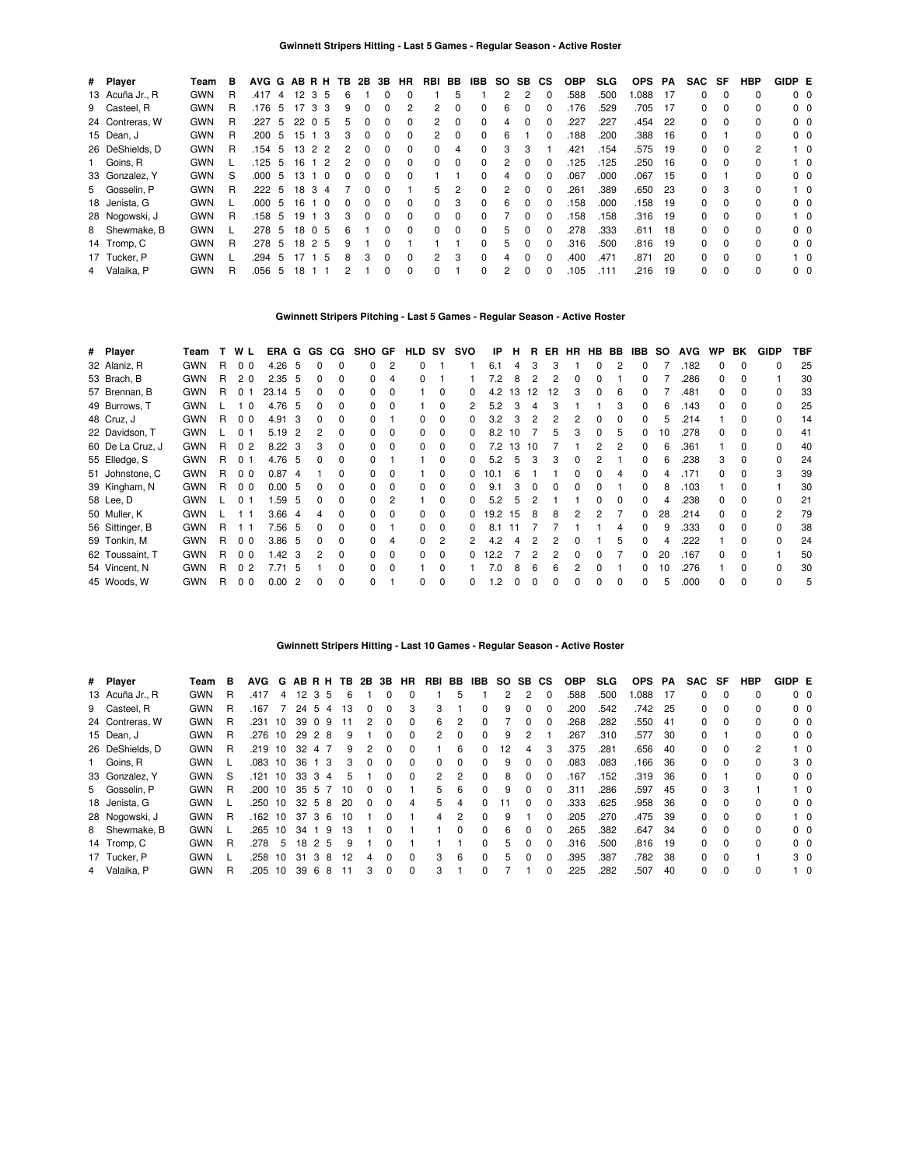| # Player        | Team       | в | AVG G AB R H TB |    |    |                |          | 2B 3B        |              | <b>HR</b>    | RBI            | BB | IBB      | SO. | SB.          | СS           | <b>OBP</b>       | <b>SLG</b> | <b>OPS</b> | PA   | SAC SF |          | <b>HBP</b> | GIDP E         |            |
|-----------------|------------|---|-----------------|----|----|----------------|----------|--------------|--------------|--------------|----------------|----|----------|-----|--------------|--------------|------------------|------------|------------|------|--------|----------|------------|----------------|------------|
| 13 Acuña Jr., R | <b>GWN</b> | R | .417            | 4  |    | 1235           | 6        |              | 0            | $\Omega$     |                | 5  |          | 2   |              | $\Omega$     | 588              | .500       | .088       | - 17 | 0      | $\Omega$ | 0          | 0 <sub>0</sub> |            |
| 9 Casteel, R    | <b>GWN</b> | R | .176            | -5 | 17 | -3<br>3        | 9        |              |              | 2            | $\overline{2}$ | 0  | $\Omega$ | 6   |              | O            | 176              | .529       | .705       | -17  | 0      | $\Omega$ | 0          |                | $0\quad 0$ |
| 24 Contreras, W | <b>GWN</b> | R | .227            | 5  | 22 | $\Omega$<br>-5 | 'n.      |              |              | 0            | 2              | 0  |          | 4   | <sup>0</sup> | 0            | .227             | .227       | .454       | 22   | 0      | $\Omega$ | 0          | 0 <sub>0</sub> |            |
| 15 Dean, J      | <b>GWN</b> | R | .200            | 5  | 15 | -3             | 3        | $\Omega$     | 0            | $\Omega$     | $\mathbf{2}$   | 0  | $\Omega$ | 6   |              | 0            | 188              | .200       | .388       | - 16 | 0      |          | 0          |                | $0\quad 0$ |
| 26 DeShields, D | <b>GWN</b> | R | .154            | -5 | 13 | 2 2            | 2        |              | 0            | <sup>0</sup> | 0              | 4  |          | 3   | 3            |              | .42 <sup>1</sup> | .154       | .575       | - 19 | 0      | $\Omega$ | 2          |                | $1\quad 0$ |
| 1 Goins, R      | <b>GWN</b> |   | .125            | 5  | 16 | $\overline{2}$ |          |              | <sup>0</sup> | 0            | 0              | 0  |          | 2   | $\Omega$     | 0            | 125              | .125       | .250       | - 16 | 0      | $\Omega$ | 0          |                | $1\quad$ 0 |
| 33 Gonzalez, Y  | <b>GWN</b> | S | .000            | 5  | 13 | $\overline{0}$ |          |              |              | $\Omega$     |                |    |          | 4   |              | O            | .067             | .000       | .067       | -15  | 0      |          | 0          | 0 <sub>0</sub> |            |
| 5 Gosselin, P   | <b>GWN</b> | R | .222            | -5 | 18 | -3<br>-4       |          | $\Omega$     | 0            |              | 5              | 2  | $\Omega$ | 2   | <sup>0</sup> | O            | .261             | .389       | .650       | -23  | 0      | 3        | 0          |                | $1\quad$ 0 |
| 18 Jenista, G   | <b>GWN</b> |   | .000            | -5 | 16 | $\overline{0}$ | $\Omega$ |              | 0            | $\Omega$     | 0              | 3  | $\Omega$ | 6   | $\Omega$     | O            | .158             | .000       | .158       | - 19 | 0      | $\Omega$ | 0          | 0 <sub>0</sub> |            |
| 28 Nogowski, J  | <b>GWN</b> | R | .158            | -5 | 19 | -3             | 3        | <sup>0</sup> | $\Omega$     | $\Omega$     | 0              | 0  |          |     | $\Omega$     | O            | 158              | .158       | .316       | - 19 | 0      | $\Omega$ | 0          |                | $1\quad 0$ |
| 8 Shewmake, B   | <b>GWN</b> |   | .278            | -5 |    | 18 0 5         | 6        |              | U            | $\Omega$     | 0              | 0  | $\Omega$ | 5   |              | O            | 278              | .333       | .611       | 18   | 0      | $\Omega$ | 0          |                | $0\quad 0$ |
| 14 Tromp, C     | <b>GWN</b> | R | .278            | 5  |    | 18 2 5         | 9        |              |              |              |                |    | $\Omega$ | 5   | $\Omega$     | <sup>0</sup> | .316             | .500       | .816       | -19  | 0      | $\Omega$ | 0          |                | $0\quad 0$ |
| 17 Tucker, P    | <b>GWN</b> |   | .294            | 5  | 17 | - 5            | 8        | з            | <sup>0</sup> | $\Omega$     | 2              | 3  | $\Omega$ | 4   | $\Omega$     | $\Omega$     | .400             | 471        | .871       | 20   | 0      | $\Omega$ | O          |                | $1\quad$ 0 |
| 4 Valaika, P    | <b>GWN</b> | R | .056            | 5  | 18 |                |          |              |              | $\Omega$     | 0              |    |          | 2   | <sup>0</sup> | $\Omega$     | 105              | .111       | .216       | 19   | 0      | $\Omega$ | 0          |                | $0\quad 0$ |

## **Gwinnett Stripers Pitching - Last 5 Games - Regular Season - Active Roster**

| 32 Alaniz, R<br><b>GWN</b><br>4.26<br>.182<br>- 5<br>3<br>R.<br>0 <sub>0</sub><br>0<br>6.1<br>3<br>0<br>$\Omega$<br><sup>0</sup><br><sup>0</sup><br>0<br><sup>0</sup><br>4<br><b>GWN</b><br>53 Brach, B<br>$2.35\quad 5$<br>.286<br>R.<br><sup>0</sup><br>20<br>7.2<br>2<br>2<br><sup>0</sup><br>$\Omega$<br>8<br>$\Omega$<br>o<br>0<br>4<br><b>GWN</b><br>57 Brennan, B<br>.481<br>23.14 5<br>$\Omega$<br>R.<br>4.2<br>01<br>$\Omega$<br>13<br>12<br>12<br>3<br>0<br><sup>0</sup><br>0<br><sup>0</sup><br>б<br>0<br><sup>0</sup><br>0<br><b>GWN</b><br>49 Burrows, T<br>4.76<br>5.2<br>3<br>3<br>.143<br>1 <sub>0</sub><br>0<br>-5<br><sup>n</sup><br><sup>0</sup><br>6<br>0<br><sup>0</sup><br><sup>0</sup><br>4<br>48 Cruz, J<br><b>GWN</b><br>4.91<br>.214<br>3.2<br>3<br>2<br>R.<br>0 <sub>0</sub><br>3<br>0<br>2<br>2<br>0<br>0<br><sup>0</sup><br>0<br><sup>0</sup><br><sup>0</sup><br>5<br>22 Davidson, T<br><b>GWN</b><br>278<br>5.19<br>0 <sub>1</sub><br><sup>0</sup><br>0<br>8.2<br>2<br>10<br>10<br><sup>0</sup><br><sup>n</sup><br>60 De La Cruz, J<br>8.22<br>361<br><b>GWN</b><br>R<br>0 <sub>2</sub><br>72<br>-3<br><sup>0</sup><br>0<br>13<br>O<br>10<br>55 Elledge, S<br>4.76<br>.238<br><b>GWN</b><br>$\Omega$<br>5.2<br>3<br>3<br>3<br>R.<br>5<br>0 <sub>1</sub><br>-5<br><sup>n</sup><br>0<br>3<br>51 Johnstone, C<br><b>GWN</b><br>0.87<br>.171<br>ŋ<br>R.<br>0 <sub>0</sub><br>10.1<br>-4<br>39 Kingham, N<br>.103<br><b>GWN</b><br>0.00, 5<br>R<br>0 <sub>0</sub><br>ŋ<br>9.1<br><b>GWN</b><br>1.59<br>.238<br>58 Lee, D<br>5.2<br>01<br><sup>0</sup><br>-5<br>0<br>5<br>3.66<br>50 Muller, K<br><b>GWN</b><br>28<br>.214<br>0<br>19.2<br>2<br>0<br>0<br>15<br>8<br>8<br>2<br>0<br><sup>0</sup><br>$\Omega$<br><sup>0</sup><br>-4<br>7.56<br>.333<br>56 Sittinger, B<br><b>GWN</b><br>R<br>- 5<br>0<br>8.1<br>0<br>9<br>0<br><sup>0</sup><br><sup>0</sup><br>n<br>0<br>222<br>59 Tonkin, M<br><b>GWN</b><br>3.86<br>R.<br>0 <sub>0</sub><br>2<br>4.2<br><sup>0</sup><br>- 5<br>0<br>O<br>0<br>0<br>1.42<br>167<br>62 Toussaint, T<br><b>GWN</b><br>12.2<br>20<br>R.<br>0 <sub>0</sub><br>-3<br>0<br>0<br>2<br>2<br>0<br>0<br>0<br>$\Omega$<br>0<br>0<br>54 Vincent, N<br><b>GWN</b><br>.276<br>7.71<br>R.<br>0 <sub>2</sub><br>.5<br>0<br>7.0<br>6<br><sup>0</sup><br><sup>0</sup><br>0<br>6<br><sup>o</sup><br>10<br><sup>0</sup><br>$\Omega$<br>8<br><b>GWN</b><br>.000<br>45 Woods, W<br>0.00<br>$\Omega$<br>R<br>0<br>$\Omega$<br>0 <sub>0</sub><br>-2<br>0<br>0<br>.2<br>5<br>0<br><sup>0</sup><br>0<br>0<br>0<br><sup>n</sup><br><sup>0</sup><br>ŋ | # Player | Team | т. | W L | ERA G GS CG |  | SHO GF | HLD SV | svo | IP | н | R. | ER | <b>HR</b> | HB BB | IBB | SO. | <b>AVG</b> | <b>WP</b> | BK | <b>GIDP</b> | TBF |
|-----------------------------------------------------------------------------------------------------------------------------------------------------------------------------------------------------------------------------------------------------------------------------------------------------------------------------------------------------------------------------------------------------------------------------------------------------------------------------------------------------------------------------------------------------------------------------------------------------------------------------------------------------------------------------------------------------------------------------------------------------------------------------------------------------------------------------------------------------------------------------------------------------------------------------------------------------------------------------------------------------------------------------------------------------------------------------------------------------------------------------------------------------------------------------------------------------------------------------------------------------------------------------------------------------------------------------------------------------------------------------------------------------------------------------------------------------------------------------------------------------------------------------------------------------------------------------------------------------------------------------------------------------------------------------------------------------------------------------------------------------------------------------------------------------------------------------------------------------------------------------------------------------------------------------------------------------------------------------------------------------------------------------------------------------------------------------------------------------------------------------------------------------------------------------------------------------------------------------------------------------------------------------------------------------------------------------------------------------------------------------------------------------------------------------------------------------------------------------------------------------------------------------------------------------------------------------------|----------|------|----|-----|-------------|--|--------|--------|-----|----|---|----|----|-----------|-------|-----|-----|------------|-----------|----|-------------|-----|
|                                                                                                                                                                                                                                                                                                                                                                                                                                                                                                                                                                                                                                                                                                                                                                                                                                                                                                                                                                                                                                                                                                                                                                                                                                                                                                                                                                                                                                                                                                                                                                                                                                                                                                                                                                                                                                                                                                                                                                                                                                                                                                                                                                                                                                                                                                                                                                                                                                                                                                                                                                                   |          |      |    |     |             |  |        |        |     |    |   |    |    |           |       |     |     |            |           |    |             | 25  |
|                                                                                                                                                                                                                                                                                                                                                                                                                                                                                                                                                                                                                                                                                                                                                                                                                                                                                                                                                                                                                                                                                                                                                                                                                                                                                                                                                                                                                                                                                                                                                                                                                                                                                                                                                                                                                                                                                                                                                                                                                                                                                                                                                                                                                                                                                                                                                                                                                                                                                                                                                                                   |          |      |    |     |             |  |        |        |     |    |   |    |    |           |       |     |     |            |           |    |             | 30  |
|                                                                                                                                                                                                                                                                                                                                                                                                                                                                                                                                                                                                                                                                                                                                                                                                                                                                                                                                                                                                                                                                                                                                                                                                                                                                                                                                                                                                                                                                                                                                                                                                                                                                                                                                                                                                                                                                                                                                                                                                                                                                                                                                                                                                                                                                                                                                                                                                                                                                                                                                                                                   |          |      |    |     |             |  |        |        |     |    |   |    |    |           |       |     |     |            |           |    |             | 33  |
|                                                                                                                                                                                                                                                                                                                                                                                                                                                                                                                                                                                                                                                                                                                                                                                                                                                                                                                                                                                                                                                                                                                                                                                                                                                                                                                                                                                                                                                                                                                                                                                                                                                                                                                                                                                                                                                                                                                                                                                                                                                                                                                                                                                                                                                                                                                                                                                                                                                                                                                                                                                   |          |      |    |     |             |  |        |        |     |    |   |    |    |           |       |     |     |            |           |    |             | 25  |
|                                                                                                                                                                                                                                                                                                                                                                                                                                                                                                                                                                                                                                                                                                                                                                                                                                                                                                                                                                                                                                                                                                                                                                                                                                                                                                                                                                                                                                                                                                                                                                                                                                                                                                                                                                                                                                                                                                                                                                                                                                                                                                                                                                                                                                                                                                                                                                                                                                                                                                                                                                                   |          |      |    |     |             |  |        |        |     |    |   |    |    |           |       |     |     |            |           |    |             | 14  |
|                                                                                                                                                                                                                                                                                                                                                                                                                                                                                                                                                                                                                                                                                                                                                                                                                                                                                                                                                                                                                                                                                                                                                                                                                                                                                                                                                                                                                                                                                                                                                                                                                                                                                                                                                                                                                                                                                                                                                                                                                                                                                                                                                                                                                                                                                                                                                                                                                                                                                                                                                                                   |          |      |    |     |             |  |        |        |     |    |   |    |    |           |       |     |     |            |           |    |             | 41  |
|                                                                                                                                                                                                                                                                                                                                                                                                                                                                                                                                                                                                                                                                                                                                                                                                                                                                                                                                                                                                                                                                                                                                                                                                                                                                                                                                                                                                                                                                                                                                                                                                                                                                                                                                                                                                                                                                                                                                                                                                                                                                                                                                                                                                                                                                                                                                                                                                                                                                                                                                                                                   |          |      |    |     |             |  |        |        |     |    |   |    |    |           |       |     |     |            |           |    |             | 40  |
|                                                                                                                                                                                                                                                                                                                                                                                                                                                                                                                                                                                                                                                                                                                                                                                                                                                                                                                                                                                                                                                                                                                                                                                                                                                                                                                                                                                                                                                                                                                                                                                                                                                                                                                                                                                                                                                                                                                                                                                                                                                                                                                                                                                                                                                                                                                                                                                                                                                                                                                                                                                   |          |      |    |     |             |  |        |        |     |    |   |    |    |           |       |     |     |            |           |    |             | 24  |
|                                                                                                                                                                                                                                                                                                                                                                                                                                                                                                                                                                                                                                                                                                                                                                                                                                                                                                                                                                                                                                                                                                                                                                                                                                                                                                                                                                                                                                                                                                                                                                                                                                                                                                                                                                                                                                                                                                                                                                                                                                                                                                                                                                                                                                                                                                                                                                                                                                                                                                                                                                                   |          |      |    |     |             |  |        |        |     |    |   |    |    |           |       |     |     |            |           |    |             | 39  |
|                                                                                                                                                                                                                                                                                                                                                                                                                                                                                                                                                                                                                                                                                                                                                                                                                                                                                                                                                                                                                                                                                                                                                                                                                                                                                                                                                                                                                                                                                                                                                                                                                                                                                                                                                                                                                                                                                                                                                                                                                                                                                                                                                                                                                                                                                                                                                                                                                                                                                                                                                                                   |          |      |    |     |             |  |        |        |     |    |   |    |    |           |       |     |     |            |           |    |             | 30  |
|                                                                                                                                                                                                                                                                                                                                                                                                                                                                                                                                                                                                                                                                                                                                                                                                                                                                                                                                                                                                                                                                                                                                                                                                                                                                                                                                                                                                                                                                                                                                                                                                                                                                                                                                                                                                                                                                                                                                                                                                                                                                                                                                                                                                                                                                                                                                                                                                                                                                                                                                                                                   |          |      |    |     |             |  |        |        |     |    |   |    |    |           |       |     |     |            |           |    |             | 21  |
|                                                                                                                                                                                                                                                                                                                                                                                                                                                                                                                                                                                                                                                                                                                                                                                                                                                                                                                                                                                                                                                                                                                                                                                                                                                                                                                                                                                                                                                                                                                                                                                                                                                                                                                                                                                                                                                                                                                                                                                                                                                                                                                                                                                                                                                                                                                                                                                                                                                                                                                                                                                   |          |      |    |     |             |  |        |        |     |    |   |    |    |           |       |     |     |            |           |    |             | 79  |
|                                                                                                                                                                                                                                                                                                                                                                                                                                                                                                                                                                                                                                                                                                                                                                                                                                                                                                                                                                                                                                                                                                                                                                                                                                                                                                                                                                                                                                                                                                                                                                                                                                                                                                                                                                                                                                                                                                                                                                                                                                                                                                                                                                                                                                                                                                                                                                                                                                                                                                                                                                                   |          |      |    |     |             |  |        |        |     |    |   |    |    |           |       |     |     |            |           |    |             | 38  |
|                                                                                                                                                                                                                                                                                                                                                                                                                                                                                                                                                                                                                                                                                                                                                                                                                                                                                                                                                                                                                                                                                                                                                                                                                                                                                                                                                                                                                                                                                                                                                                                                                                                                                                                                                                                                                                                                                                                                                                                                                                                                                                                                                                                                                                                                                                                                                                                                                                                                                                                                                                                   |          |      |    |     |             |  |        |        |     |    |   |    |    |           |       |     |     |            |           |    |             | 24  |
|                                                                                                                                                                                                                                                                                                                                                                                                                                                                                                                                                                                                                                                                                                                                                                                                                                                                                                                                                                                                                                                                                                                                                                                                                                                                                                                                                                                                                                                                                                                                                                                                                                                                                                                                                                                                                                                                                                                                                                                                                                                                                                                                                                                                                                                                                                                                                                                                                                                                                                                                                                                   |          |      |    |     |             |  |        |        |     |    |   |    |    |           |       |     |     |            |           |    |             | 50  |
|                                                                                                                                                                                                                                                                                                                                                                                                                                                                                                                                                                                                                                                                                                                                                                                                                                                                                                                                                                                                                                                                                                                                                                                                                                                                                                                                                                                                                                                                                                                                                                                                                                                                                                                                                                                                                                                                                                                                                                                                                                                                                                                                                                                                                                                                                                                                                                                                                                                                                                                                                                                   |          |      |    |     |             |  |        |        |     |    |   |    |    |           |       |     |     |            |           |    |             | 30  |
|                                                                                                                                                                                                                                                                                                                                                                                                                                                                                                                                                                                                                                                                                                                                                                                                                                                                                                                                                                                                                                                                                                                                                                                                                                                                                                                                                                                                                                                                                                                                                                                                                                                                                                                                                                                                                                                                                                                                                                                                                                                                                                                                                                                                                                                                                                                                                                                                                                                                                                                                                                                   |          |      |    |     |             |  |        |        |     |    |   |    |    |           |       |     |     |            |           |    |             | 5   |

#### **Gwinnett Stripers Hitting - Last 10 Games - Regular Season - Active Roster**

| # Player        | Team       | в  | AVG  |                 |                 |                     | G ABRH TB 2B |          | 3B       | HR | RBI BB   |                | IBB |    | SO SB CS |              | <b>OBP</b> | <b>SLG</b> | <b>OPS</b> | PA  | SAC | SF       | <b>HBP</b>   | GIDP E |                |
|-----------------|------------|----|------|-----------------|-----------------|---------------------|--------------|----------|----------|----|----------|----------------|-----|----|----------|--------------|------------|------------|------------|-----|-----|----------|--------------|--------|----------------|
| 13 Acuña Jr., R | <b>GWN</b> | R  | .417 | 4               | 12 <sub>3</sub> | -5                  | 6            |          | 0        | 0  |          | 5              |     |    | 2        | - 0          | .588       | .500       | .088       | -17 | 0   | $\Omega$ | 0            |        | 0 <sub>0</sub> |
| 9 Casteel, R    | <b>GWN</b> | R  | .167 |                 | 24              | -5<br>4             | 13           | 0        | 0        | 3  | 3        |                | 0   | 9  | 0        |              | .200       | .542       | .742       | 25  | 0   | $\Omega$ | <sup>0</sup> |        | $0\quad 0$     |
| 24 Contreras, W | <b>GWN</b> | R  | .231 | 10              | 39              | -9<br>$\Omega$      | 11           | 2        | 0        | 0  | 6        | 2              | 0   |    | 0        | <sup>0</sup> | .268       | .282       | .550       | -41 | 0   | $\Omega$ |              |        | 0 <sub>0</sub> |
| 15 Dean, J      | <b>GWN</b> | R  | .276 | 10              | 29              | $\overline{2}$<br>8 | 9            |          | 0        | 0  | 2        | $\Omega$       | 0   | 9  | 2        |              | .267       | .310       | .577       | 30  | 0   |          | <sup>0</sup> |        | $0\quad 0$     |
| 26 DeShields, D | <b>GWN</b> | R  | .219 | 10              | 32              | 47                  | 9            | 2        | 0        | 0  |          | 6              | 0   | 12 | 4        | З            | .375       | .281       | .656       | -40 | 0   | $\Omega$ | 2            |        | $1\quad 0$     |
| 1 Goins, R      | <b>GWN</b> |    | .083 | 10              | 36              | - 3                 | 3            | 0        | 0        | 0  | $\Omega$ | $\Omega$       | 0   | 9  | 0        | $\Omega$     | .083       | .083       | .166       | 36  | 0   | $\Omega$ | <sup>0</sup> |        | 3 0            |
| 33 Gonzalez, Y  | <b>GWN</b> | -S | .121 | 10              | 33 3            | 4                   | 5            |          | $\Omega$ | 0  | 2        | 2              | 0   | 8  | 0        | n            | .167       | .152       | .319       | 36  | 0   |          | <sup>0</sup> |        | 0 <sub>0</sub> |
| 5 Gosselin, P   | <b>GWN</b> | R  | .200 | 10              | 35              | -5                  | 10           | 0        | $\Omega$ |    | 5.       | 6              | 0   | 9  | 0        | $\Omega$     | .311       | .286       | .597       | 45  | 0   | 3        |              |        | $1\quad$ 0     |
| 18 Jenista, G   | <b>GWN</b> |    | .250 | 10              |                 | 32 5 8              | 20           | $\Omega$ | $\Omega$ | 4  | 5.       | 4              | O.  |    | 0        | $\Omega$     | .333       | .625       | .958       | 36  | 0   | $\Omega$ | <sup>0</sup> |        | 0 <sub>0</sub> |
| 28 Nogowski, J  | <b>GWN</b> | R  | .162 | 10              | 37              | 3<br>-6             | 10           |          | 0        |    | 4        | $\overline{c}$ | 0   | 9  |          | $\Omega$     | .205       | .270       | .475       | 39  | 0   | $\Omega$ | <sup>0</sup> |        | $1\quad$ 0     |
| 8 Shewmake, B   | <b>GWN</b> |    | 265  | 10              | 34              | -9                  | IЗ           |          | $\Omega$ |    |          | 0              | 0   | 6  | 0        | $\Omega$     | .265       | .382       | .647       | 34  | 0   | $\Omega$ | <sup>0</sup> |        | 0 <sub>0</sub> |
| 14 Tromp, C     | <b>GWN</b> | R  | 278  | 5               | 18              | 2<br>5              | 9            |          | 0        |    |          |                | 0   | 5  | 0        | $\Omega$     | .316       | .500       | .816       | 19  | 0   | $\Omega$ | $\Omega$     |        | 0 <sub>0</sub> |
| 17 Tucker, P    | <b>GWN</b> |    | 258  | 10              | 31              | 3<br>8              | 12           | 4        | 0        | 0  | 3        | 6              | 0   | 5  | 0        | $\Omega$     | .395       | .387       | .782       | -38 | 0   | $\Omega$ |              |        | 3 0            |
| 4 Valaika, P    | <b>GWN</b> | R  | 205  | 10 <sup>1</sup> | 39              | -6<br>8             |              | 3        | 0        | 0  | 3        |                | 0   |    |          |              | .225       | .282       | 507        | 40  | 0   | $\Omega$ | <sup>0</sup> |        | $1\quad$ 0     |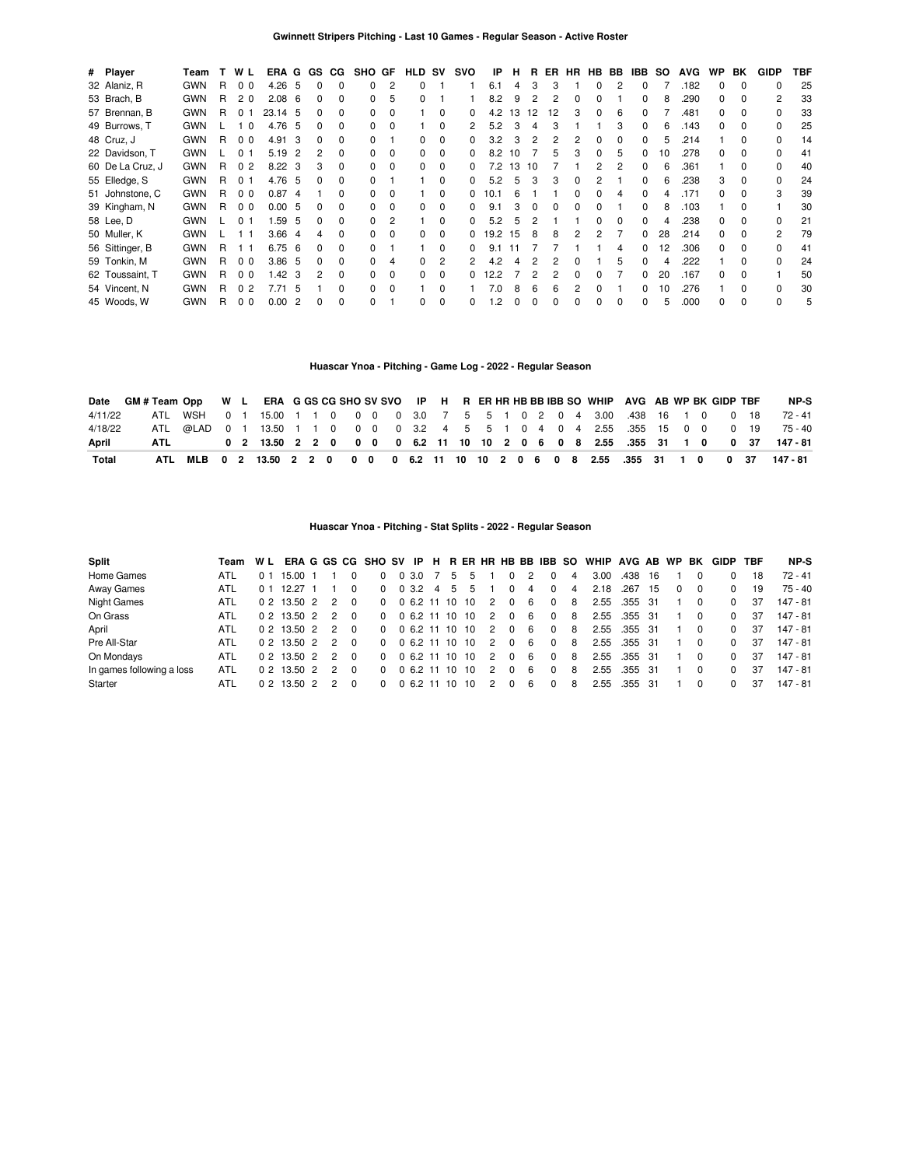| # Player         | Team       |    | W L            | ERA G             |                | GS.      | CG.          | SHO GF |          | HLD SV       |              | svo          | IP   | н            | R  | ER | HR       |              | HB BB | IBB.         | SO. | <b>AVG</b> | <b>WP</b> | BK           | <b>GIDP</b>  | TBF |
|------------------|------------|----|----------------|-------------------|----------------|----------|--------------|--------|----------|--------------|--------------|--------------|------|--------------|----|----|----------|--------------|-------|--------------|-----|------------|-----------|--------------|--------------|-----|
| 32 Alaniz, R     | <b>GWN</b> | R  | 0 <sub>0</sub> | $4.26\quad 5$     |                | $\Omega$ | 0            |        | 2        | $\Omega$     |              |              | 6.1  | 4            | 3  | 3  |          | 0            |       | 0            |     | .182       | 0         | $\Omega$     | <sup>0</sup> | 25  |
| 53 Brach, B      | <b>GWN</b> | R  | 20             | 2.08 <sub>6</sub> |                | 0        | $\Omega$     |        | 5        | $\Omega$     |              |              | 8.2  | 9            | 2  | 2  | 0        | ŋ            |       |              | 8   | .290       | 0         | <sup>0</sup> | 2            | 33  |
| 57 Brennan, B    | <b>GWN</b> | R  | 01             | 23.14 5           |                | 0        | 0            |        |          |              | $\Omega$     |              | 4.2  | 13           | 12 | 12 | 3        | 0            | 6     |              |     | .481       | O.        | <sup>0</sup> | n            | 33  |
| 49 Burrows, T    | <b>GWN</b> |    | 1 O            | 4.76              | -5             | O.       | <sup>0</sup> |        |          |              | O            |              | 5.2  |              | 4  | З  |          |              |       |              |     | .143       | U         | $\Omega$     |              | 25  |
| 48 Cruz, J       | <b>GWN</b> | R  | 0 <sub>0</sub> | 4.91              | -3             | 0        | 0            |        |          | <sup>0</sup> | 0            |              | 3.2  |              |    |    |          |              |       |              |     | 214        |           | <sup>0</sup> |              | 14  |
| 22 Davidson, T   | <b>GWN</b> |    | 0 1            | 5.19              | $\overline{2}$ |          | <sup>0</sup> |        | $\Omega$ | <sup>0</sup> | <sup>0</sup> |              | 8.2  | 10           |    | 5  |          |              |       |              | 10  | .278       | n         | $\Omega$     |              | 41  |
| 60 De La Cruz, J | <b>GWN</b> | R. | 0 <sub>2</sub> | $8.22 \quad 3$    |                | 3        | <sup>0</sup> | n.     | $\Omega$ | <sup>0</sup> | <sup>0</sup> |              | 7.2  | 13           | 10 |    |          |              |       |              |     | .361       |           |              |              | 40  |
| 55 Elledge, S    | <b>GWN</b> | R. | 0 <sub>1</sub> | 4.76 5            |                |          | 0            |        |          |              | $\Omega$     |              | 5.2  | 5            | 3  | 3  |          |              |       |              |     | .238       |           |              |              | 24  |
| 51 Johnstone, C  | <b>GWN</b> | R. | 0 <sub>0</sub> | 0.874             |                |          | <sup>0</sup> |        |          |              | $\Omega$     |              | 10.1 |              |    |    |          |              |       |              |     | .171       |           |              |              | 39  |
| 39 Kingham, N    | <b>GWN</b> | R  | 0 <sub>0</sub> | 0.005             |                | 0        | 0            |        | $\Omega$ | 0            | $\Omega$     |              | 9.1  |              | O  | 0  | 0        |              |       |              |     | .103       |           |              |              | 30  |
| 58 Lee, D        | <b>GWN</b> |    | 0 <sub>1</sub> | 1.59              | -5             | O.       | $\Omega$     |        | 2        |              | $\Omega$     |              | 5.2  | 5            |    |    |          | $\Omega$     |       |              |     | .238       |           | <sup>0</sup> |              | 21  |
| 50 Muller, K     | <b>GWN</b> |    |                | 3.66              | -4             | 4        | $\Omega$     | 0      | $\Omega$ | $\Omega$     | $\Omega$     | 0            | 19.2 | 15           | 8  | 8  | 2        | 2            |       | 0            | 28  | .214       |           | <sup>0</sup> | 2            | 79  |
| 56 Sittinger, B  | <b>GWN</b> | R. | 11             | 6.75              | - 6            | 0        | $\Omega$     |        |          |              | $\Omega$     | 0            | 9.1  | 11           |    |    |          |              | 4     | 0            | 12  | .306       | 0         | $\Omega$     |              | 41  |
| 59 Tonkin, M     | <b>GWN</b> | R  | 0 <sub>0</sub> | 3.86 <sub>5</sub> |                | 0        | $\Omega$     |        | 4        | <sup>0</sup> | 2            | 2            | 4.2  | Δ            |    | 2  | o        |              | 'n.   | <sup>0</sup> |     | 222        |           | $\Omega$     | <sup>0</sup> | 24  |
| 62 Toussaint, T  | <b>GWN</b> | R. | 0 <sub>0</sub> | 1.42              | 3              | 2        | $\Omega$     |        | $\Omega$ | $\Omega$     | $\Omega$     | <sup>0</sup> | 12.2 |              | 2  | 2  | $\Omega$ | <sup>n</sup> |       | <sup>0</sup> | 20  | .167       | 0         | $\Omega$     |              | 50  |
| 54 Vincent, N    | <b>GWN</b> | R  | 0 <sub>2</sub> | 7.71              | 5              |          | $\Omega$     | n.     | $\Omega$ |              | $\Omega$     |              | 7.0  | 8            | 6  | 6  | 2        |              |       | <sup>n</sup> | 10  | 276        |           | <sup>0</sup> | $\Omega$     | 30  |
| 45 Woods, W      | <b>GWN</b> | R  | 0 <sub>0</sub> | 0.00              | $\overline{2}$ |          | $\Omega$     |        |          | 0            | $\Omega$     | U            | .2   | <sup>0</sup> | ŋ  | O  |          |              |       |              | 5   | .000       |           | $\Omega$     | n            | 5   |

# **Huascar Ynoa - Pitching - Game Log - 2022 - Regular Season**

|         | Date GM # Team Opp W L ERA G GS CG SHO SV SVO IP H R ER HR HB BB IBB SO WHIP AVG AB WP BK GIDP TBF |                                                                                                                          |  |  |  |  |  |  |  |  |  |  |  |  | NP-S                                                                              |
|---------|----------------------------------------------------------------------------------------------------|--------------------------------------------------------------------------------------------------------------------------|--|--|--|--|--|--|--|--|--|--|--|--|-----------------------------------------------------------------------------------|
| 4/11/22 |                                                                                                    | ATL WSH   0   1   15.00   1   1   0   0   0   0   3.0   7   5   5   1   0   2   0   4   3.00   438   16   1   0   0   18 |  |  |  |  |  |  |  |  |  |  |  |  | 72 - 41                                                                           |
| 4/18/22 |                                                                                                    |                                                                                                                          |  |  |  |  |  |  |  |  |  |  |  |  | ATL @LAD 0 1 13.50 1 1 0 0 0 0 3.2 4 5 5 1 0 4 0 4 2.55 .355 15 0 0 0 19 75 -40   |
| April   | ATL                                                                                                |                                                                                                                          |  |  |  |  |  |  |  |  |  |  |  |  | 0 2 13.50 2 2 0 0 0 0 6.2 11 10 10 2 0 6 0 8 2.55 .355 31 1 0 0 37 147-81         |
| Total   |                                                                                                    |                                                                                                                          |  |  |  |  |  |  |  |  |  |  |  |  | ATL MLB 0 2 13.50 2 2 0 0 0 0 6.2 11 10 10 2 0 6 0 8 2.55 .355 31 1 0 0 37 147-81 |

# **Huascar Ynoa - Pitching - Stat Splits - 2022 - Regular Season**

| <b>Split</b>              | Team | WL    |                |               |          |  |             |       |    |      |   |   |          |   | ERA G GS CG SHO SV IP H R ER HR HB BB IBB SO WHIP AVG AB WP |         |    | BK | <b>GIDP</b>  | TBF | NP-S       |
|---------------------------|------|-------|----------------|---------------|----------|--|-------------|-------|----|------|---|---|----------|---|-------------------------------------------------------------|---------|----|----|--------------|-----|------------|
| Home Games                | ATL  | 01    | 15.00          |               |          |  | 0 3.0       |       | b. |      |   |   | 0        | 4 | 3.00                                                        | .438    | 16 |    |              | 18  | $72 - 41$  |
| Away Games                | ATL  | 0 1   | 12.27          |               |          |  | $0\,3.2$    | 4     | 5  | 5    |   | 4 |          | 4 | 2.18                                                        | .267    | 15 |    |              | 19  | 75 - 40    |
| Night Games               | ATL  |       | 0 2 13.50 2    | 2             |          |  | 0 6.2 11 10 |       |    | 10   | 2 | 6 | 0        | 8 | 2.55                                                        | .355 31 |    |    | $\Omega$     | 37  | $147 - 81$ |
| On Grass                  | ATL  |       | 0, 2, 13.50, 2 | $\mathcal{P}$ |          |  | 0 6.2 11 10 |       |    | -10  | 2 | 6 | $\Omega$ | 8 | 2.55                                                        | .355 31 |    |    | 0            | 37  | $147 - 81$ |
| April                     | ATL  |       | 0, 2, 13.50, 2 | $\mathcal{P}$ |          |  | 0 6 2 11 10 |       |    | - 10 | 2 | 6 | $\Omega$ | 8 | 2.55                                                        | .355 31 |    | 0  | <sup>0</sup> | 37  | 147 - 81   |
| Pre All-Star              | ATL  |       | 0, 2, 13.50, 2 | $\mathcal{P}$ |          |  | 0 6 2 11 10 |       |    | - 10 | 2 | 6 | $\Omega$ | 8 | 2.55                                                        | .355 31 |    |    | <sup>0</sup> | 37  | $147 - 81$ |
| On Mondays                | ATL  |       | 0 2 13.50 2    | $\mathcal{P}$ |          |  | 0 6.2 11 10 |       |    | 10   | 2 | 6 | $\Omega$ | 8 | 2.55                                                        | .355 31 |    |    | <sup>0</sup> | 37  | $147 - 81$ |
| In games following a loss | ATL  |       | $0, 2$ 13.50 2 | $\mathcal{P}$ | $\Omega$ |  | 0 6 2 11 10 |       |    | 10   | 2 | 6 | 0        | 8 | 2.55                                                        | .355 31 |    |    | 0            | 37  | $147 - 81$ |
| Starter                   | ATL  | 0 2 I | $13.50$ 2      |               |          |  | 0 6.2       | 11 10 |    | 10   |   | 6 | 0        | 8 | 2.55                                                        | .355 31 |    |    |              | 37  | $147 - 81$ |